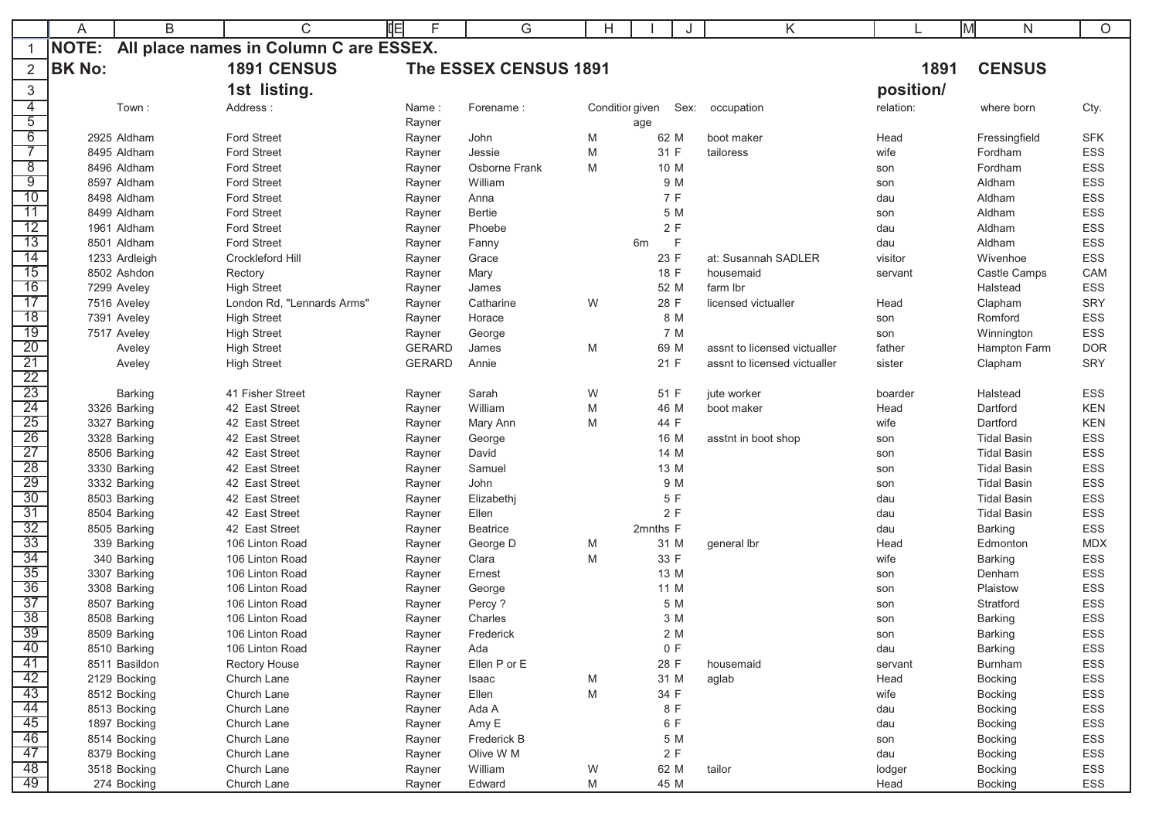|                       | A             | B                            | 咱<br>С                                 | F                | G                     | H               |              | J    | K                            | IМ         | N.                   | $\circ$           |
|-----------------------|---------------|------------------------------|----------------------------------------|------------------|-----------------------|-----------------|--------------|------|------------------------------|------------|----------------------|-------------------|
|                       | NOTE:         |                              | All place names in Column C are ESSEX. |                  |                       |                 |              |      |                              |            |                      |                   |
|                       | <b>BK No:</b> |                              | <b>1891 CENSUS</b>                     |                  | The ESSEX CENSUS 1891 |                 |              |      |                              | 1891       | <b>CENSUS</b>        |                   |
| 3                     |               |                              | 1st listing.                           |                  |                       |                 |              |      |                              | position/  |                      |                   |
| $\overline{4}$        |               | Town:                        | Address:                               | Name:            | Forename:             | Conditior given |              | Sex: | occupation                   | relation:  | where born           | Cty.              |
| $\overline{5}$        |               |                              |                                        | Rayner           |                       |                 | age          |      |                              |            |                      |                   |
| $\overline{6}$        |               | 2925 Aldham                  | <b>Ford Street</b>                     | Rayner           | John                  | M               | 62 M         |      | boot maker                   | Head       | Fressingfield        | <b>SFK</b>        |
|                       |               | 8495 Aldham                  | <b>Ford Street</b>                     | Rayner           | Jessie                | M               | 31 F         |      | tailoress                    | wife       | Fordham              | ESS               |
| $\overline{8}$        |               | 8496 Aldham                  | <b>Ford Street</b>                     | Rayner           | Osborne Frank         | M               | 10 M         |      |                              | son        | Fordham              | <b>ESS</b>        |
| $\overline{9}$        |               | 8597 Aldham                  | <b>Ford Street</b>                     | Rayner           | William               |                 | 9 M          |      |                              | son        | Aldham               | ESS               |
| 10                    |               | 8498 Aldham                  | <b>Ford Street</b>                     | Rayner           | Anna                  |                 | 7 F          |      |                              | dau        | Aldham               | ESS               |
| 11                    |               | 8499 Aldham                  | <b>Ford Street</b>                     | Rayner           | Bertie                |                 | 5 M          |      |                              | son        | Aldham               | ESS               |
| 12                    |               | 1961 Aldham                  | <b>Ford Street</b>                     | Rayner           | Phoebe                |                 | 2F           |      |                              | dau        | Aldham               | <b>ESS</b>        |
| 13                    |               | 8501 Aldham                  | <b>Ford Street</b>                     | Rayner           | Fanny                 |                 | 6m           | - F  |                              | dau        | Aldham               | ESS               |
| 14                    |               | 1233 Ardleigh                | Crockleford Hill                       | Rayner           | Grace                 |                 | 23 F         |      | at: Susannah SADLER          | visitor    | Wivenhoe             | <b>ESS</b>        |
| $\overline{15}$       |               | 8502 Ashdon                  | Rectory                                | Rayner           | Mary                  |                 | 18 F         |      | housemaid                    | servant    | Castle Camps         | CAM               |
| 16                    |               | 7299 Aveley                  | <b>High Street</b>                     | Rayner           | James                 |                 | 52 M         |      | farm lbr                     |            | Halstead             | ESS               |
| 17                    |               | 7516 Aveley                  | London Rd, "Lennards Arms"             | Rayner           | Catharine             | W               | 28 F         |      | licensed victualler          | Head       | Clapham              | SRY               |
| $\overline{18}$       |               | 7391 Aveley                  | <b>High Street</b>                     | Rayner           | Horace                |                 | 8 M          |      |                              | son        | Romford              | ESS               |
| 19                    |               | 7517 Aveley                  | <b>High Street</b>                     | Rayner           | George                |                 | 7 M          |      |                              | son        | Winnington           | <b>ESS</b>        |
| 20                    |               | Aveley                       | <b>High Street</b>                     | <b>GERARD</b>    | James                 | M               | 69 M         |      | assnt to licensed victualler | father     | Hampton Farm         | <b>DOR</b>        |
| $\overline{21}$       |               | Aveley                       | <b>High Street</b>                     | <b>GERARD</b>    | Annie                 |                 | 21 F         |      | assnt to licensed victualler | sister     | Clapham              | <b>SRY</b>        |
| 22<br>$\overline{23}$ |               |                              | 41 Fisher Street                       |                  |                       |                 |              |      |                              |            |                      |                   |
| $\overline{24}$       |               | Barking                      | 42 East Street                         | Rayner           | Sarah<br>William      | W               | 51 F<br>46 M |      | jute worker                  | boarder    | Halstead<br>Dartford | ESS<br><b>KEN</b> |
| 25                    |               | 3326 Barking                 | 42 East Street                         | Rayner           |                       | M               | 44 F         |      | boot maker                   | Head       | Dartford             | <b>KEN</b>        |
| 26                    |               | 3327 Barking<br>3328 Barking | 42 East Street                         | Rayner           | Mary Ann<br>George    | M               | 16 M         |      |                              | wife       | <b>Tidal Basin</b>   | <b>ESS</b>        |
| 27                    |               | 8506 Barking                 | 42 East Street                         | Rayner           | David                 |                 | 14 M         |      | asstnt in boot shop          | son        | <b>Tidal Basin</b>   | ESS               |
| $\overline{28}$       |               | 3330 Barking                 | 42 East Street                         | Rayner<br>Rayner | Samuel                |                 | 13 M         |      |                              | son        | <b>Tidal Basin</b>   | ESS               |
| $\overline{29}$       |               | 3332 Barking                 | 42 East Street                         |                  | John                  |                 | 9 M          |      |                              | son        | <b>Tidal Basin</b>   | <b>ESS</b>        |
| $\overline{30}$       |               | 8503 Barking                 | 42 East Street                         | Rayner<br>Rayner | Elizabethj            |                 | 5 F          |      |                              | son<br>dau | <b>Tidal Basin</b>   | ESS               |
| $\overline{31}$       |               | 8504 Barking                 | 42 East Street                         | Rayner           | Ellen                 |                 | 2F           |      |                              | dau        | <b>Tidal Basin</b>   | ESS               |
| 32                    |               | 8505 Barking                 | 42 East Street                         | Rayner           | <b>Beatrice</b>       |                 | 2mnths F     |      |                              | dau        | <b>Barking</b>       | ESS               |
| 33                    |               | 339 Barking                  | 106 Linton Road                        | Rayner           | George D              | M               | 31 M         |      | general lbr                  | Head       | Edmonton             | <b>MDX</b>        |
| 34                    |               | 340 Barking                  | 106 Linton Road                        | Rayner           | Clara                 | M               | 33 F         |      |                              | wife       | <b>Barking</b>       | ESS               |
| 35                    |               | 3307 Barking                 | 106 Linton Road                        | Rayner           | Ernest                |                 | 13 M         |      |                              | son        | Denham               | ESS               |
| $\overline{36}$       |               | 3308 Barking                 | 106 Linton Road                        | Rayner           | George                |                 | 11 M         |      |                              | son        | Plaistow             | <b>ESS</b>        |
| $\overline{37}$       |               | 8507 Barking                 | 106 Linton Road                        | Rayner           | Percy?                |                 | 5 M          |      |                              | son        | Stratford            | ESS               |
| $\overline{38}$       |               | 8508 Barking                 | 106 Linton Road                        | Rayner           | Charles               |                 | 3 M          |      |                              | son        | <b>Barking</b>       | ESS               |
| 39                    |               | 8509 Barking                 | 106 Linton Road                        | Rayner           | Frederick             |                 | 2 M          |      |                              | son        | Barking              | ESS               |
| 40                    |               | 8510 Barking                 | 106 Linton Road                        | Rayner           | Ada                   |                 | 0 F          |      |                              | dau        | <b>Barking</b>       | ESS               |
| 41                    |               | 8511 Basildon                | Rectory House                          | Rayner           | Ellen P or E          |                 | 28 F         |      | housemaid                    | servant    | Burnham              | ESS               |
| 42                    |               | 2129 Bocking                 | Church Lane                            | Rayner           | Isaac                 | M               | 31 M         |      | aglab                        | Head       | <b>Bocking</b>       | ESS               |
| 43                    |               | 8512 Bocking                 | Church Lane                            | Rayner           | Ellen                 | M               | 34 F         |      |                              | wife       | <b>Bocking</b>       | ESS               |
| 44                    |               | 8513 Bocking                 | Church Lane                            | Rayner           | Ada A                 |                 | 8 F          |      |                              | dau        | <b>Bocking</b>       | ESS               |
| 45                    |               | 1897 Bocking                 | Church Lane                            | Rayner           | Amy E                 |                 | 6 F          |      |                              | dau        | <b>Bocking</b>       | ESS               |
| 46                    |               | 8514 Bocking                 | Church Lane                            | Rayner           | Frederick B           |                 | 5 M          |      |                              | son        | <b>Bocking</b>       | ESS               |
| 47                    |               | 8379 Bocking                 | Church Lane                            | Rayner           | Olive W M             |                 | 2 F          |      |                              | dau        | <b>Bocking</b>       | ESS               |
| 48                    |               | 3518 Bocking                 | Church Lane                            | Rayner           | William               | W               | 62 M         |      | tailor                       | lodger     | <b>Bocking</b>       | ESS               |
| 49                    |               | 274 Bocking                  | Church Lane                            | Rayner           | Edward                | M               | 45 M         |      |                              | Head       | <b>Bocking</b>       | ESS               |
|                       |               |                              |                                        |                  |                       |                 |              |      |                              |            |                      |                   |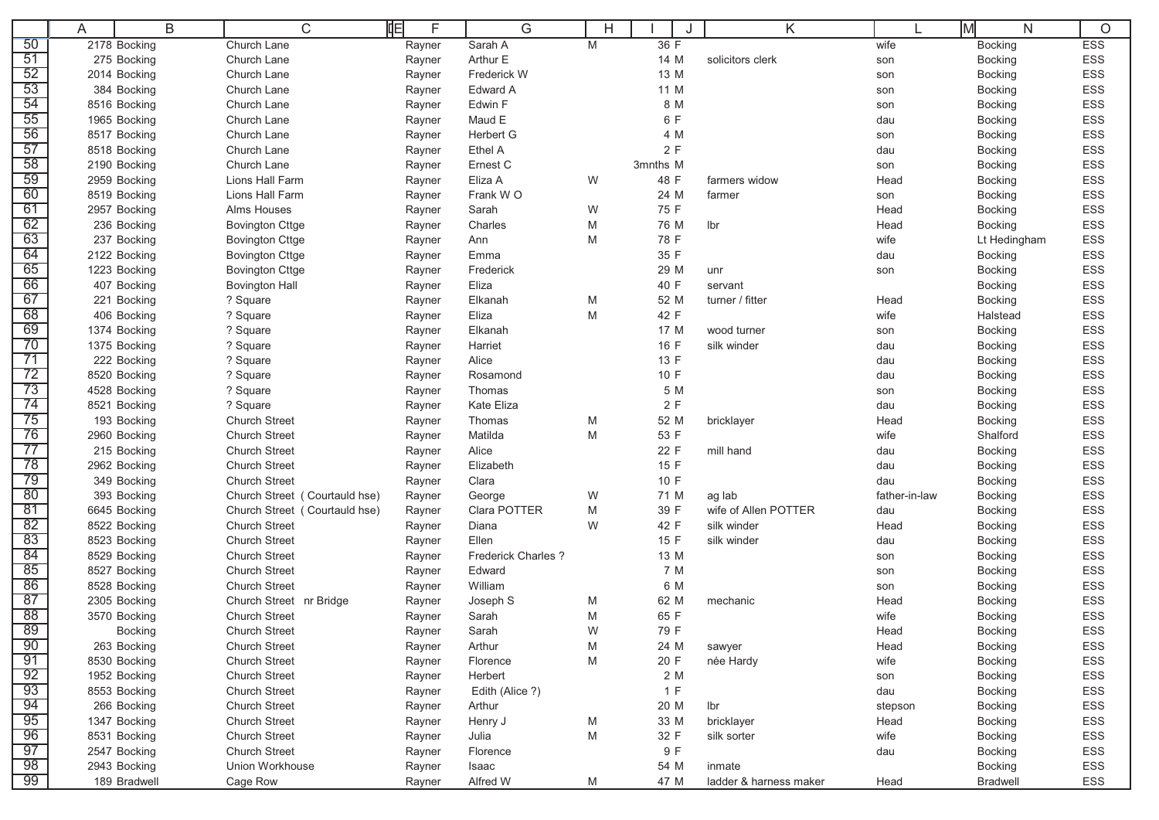|                 | A | B              | C                             | 咱<br>F | G                   | Н |             | K                      |               | lМ<br>N         | O          |
|-----------------|---|----------------|-------------------------------|--------|---------------------|---|-------------|------------------------|---------------|-----------------|------------|
| 50              |   | 2178 Bocking   | Church Lane                   | Rayner | Sarah A             | M | 36 F        |                        | wife          | <b>Bocking</b>  | <b>ESS</b> |
| 51              |   | 275 Bocking    | Church Lane                   | Rayner | Arthur E            |   | 14 M        | solicitors clerk       | son           | <b>Bocking</b>  | ESS        |
| 52              |   | 2014 Bocking   | Church Lane                   | Rayner | Frederick W         |   | 13 M        |                        | son           | <b>Bocking</b>  | <b>ESS</b> |
| 53              |   | 384 Bocking    | Church Lane                   | Rayner | Edward A            |   | 11 M        |                        | son           | <b>Bocking</b>  | ESS        |
| 54              |   | 8516 Bocking   | Church Lane                   | Rayner | Edwin F             |   | 8 M         |                        | son           | <b>Bocking</b>  | ESS        |
| 55              |   | 1965 Bocking   | Church Lane                   | Rayner | Maud E              |   | 6 F         |                        | dau           | <b>Bocking</b>  | ESS        |
| 56              |   | 8517 Bocking   | Church Lane                   | Rayner | Herbert G           |   | 4 M         |                        | son           | <b>Bocking</b>  | ESS        |
| 57              |   | 8518 Bocking   | Church Lane                   | Rayner | Ethel A             |   | 2F          |                        | dau           | <b>Bocking</b>  | ESS        |
| 58              |   | 2190 Bocking   | Church Lane                   | Rayner | Ernest C            |   | 3mnths M    |                        | son           | <b>Bocking</b>  | ESS        |
| $\overline{59}$ |   | 2959 Bocking   | Lions Hall Farm               | Rayner | Eliza A             | W | 48 F        | farmers widow          | Head          | <b>Bocking</b>  | ESS        |
| 60              |   | 8519 Bocking   | Lions Hall Farm               | Rayner | Frank WO            |   | 24 M        | farmer                 | son           | <b>Bocking</b>  | ESS        |
| 61              |   | 2957 Bocking   | Alms Houses                   | Rayner | Sarah               | W | 75 F        |                        | Head          | <b>Bocking</b>  | ESS        |
| 62              |   | 236 Bocking    | <b>Bovington Cttge</b>        | Rayner | Charles             | M | 76 M        | Ibr                    | Head          | <b>Bocking</b>  | <b>ESS</b> |
| 63              |   | 237 Bocking    | <b>Bovington Cttge</b>        | Rayner | Ann                 | M | 78 F        |                        | wife          | Lt Hedingham    | ESS        |
| 64              |   | 2122 Bocking   | <b>Bovington Cttge</b>        | Rayner | Emma                |   | 35 F        |                        | dau           | <b>Bocking</b>  | ESS        |
| 65              |   | 1223 Bocking   | <b>Bovington Cttge</b>        | Rayner | Frederick           |   | 29 M        | unr                    | son           | <b>Bocking</b>  | ESS        |
| 66              |   | 407 Bocking    | <b>Bovington Hall</b>         | Rayner | Eliza               |   | 40 F        | servant                |               | <b>Bocking</b>  | ESS        |
| 67              |   | 221 Bocking    | ? Square                      | Rayner | Elkanah             | M | 52 M        | turner / fitter        | Head          | <b>Bocking</b>  | ESS        |
| 68              |   | 406 Bocking    | ? Square                      | Rayner | Eliza               | M | 42 F        |                        | wife          | Halstead        | ESS        |
| 69              |   | 1374 Bocking   | ? Square                      | Rayner | Elkanah             |   | 17 M        | wood turner            | son           | <b>Bocking</b>  | ESS        |
| $\overline{70}$ |   | 1375 Bocking   | ? Square                      | Rayner | Harriet             |   | 16 F        | silk winder            | dau           | <b>Bocking</b>  | <b>ESS</b> |
| 71              |   | 222 Bocking    | ? Square                      | Rayner | Alice               |   | 13 F        |                        | dau           | <b>Bocking</b>  | ESS        |
| 72              |   | 8520 Bocking   | ? Square                      | Rayner | Rosamond            |   | 10 F        |                        | dau           | <b>Bocking</b>  | ESS        |
| 73              |   | 4528 Bocking   | ? Square                      | Rayner | Thomas              |   | 5 M         |                        | son           | <b>Bocking</b>  | ESS        |
| 74              |   | 8521 Bocking   | ? Square                      | Rayner | Kate Eliza          |   | 2F          |                        | dau           | <b>Bocking</b>  | ESS        |
| 75              |   | 193 Bocking    | <b>Church Street</b>          | Rayner | Thomas              | M | 52 M        | bricklayer             | Head          | <b>Bocking</b>  | ESS        |
| 76              |   | 2960 Bocking   | <b>Church Street</b>          | Rayner | Matilda             | M | 53 F        |                        | wife          | Shalford        | ESS        |
| $\overline{77}$ |   | 215 Bocking    | <b>Church Street</b>          | Rayner | Alice               |   | 22 F        | mill hand              | dau           | <b>Bocking</b>  | ESS        |
| 78              |   | 2962 Bocking   | <b>Church Street</b>          | Rayner | Elizabeth           |   | 15 F        |                        | dau           | <b>Bocking</b>  | ESS        |
| 79              |   | 349 Bocking    | <b>Church Street</b>          | Rayner | Clara               |   | 10 F        |                        | dau           | <b>Bocking</b>  | ESS        |
| 80              |   | 393 Bocking    | Church Street (Courtauld hse) | Rayner | George              | W | 71 M        | ag lab                 | father-in-law | Bocking         | <b>ESS</b> |
| 81              |   | 6645 Bocking   | Church Street (Courtauld hse) | Rayner | Clara POTTER        | M | 39 F        | wife of Allen POTTER   | dau           | <b>Bocking</b>  | <b>ESS</b> |
| 82              |   | 8522 Bocking   | <b>Church Street</b>          | Rayner | Diana               | W | 42 F        | silk winder            | Head          | <b>Bocking</b>  | ESS        |
| $\overline{83}$ |   | 8523 Bocking   | <b>Church Street</b>          | Rayner | Ellen               |   | 15 F        | silk winder            | dau           | <b>Bocking</b>  | <b>ESS</b> |
| 84              |   | 8529 Bocking   | <b>Church Street</b>          | Rayner | Frederick Charles ? |   | 13 M        |                        | son           | <b>Bocking</b>  | ESS        |
| 85              |   | 8527 Bocking   | <b>Church Street</b>          | Rayner | Edward              |   | 7 M         |                        | son           | <b>Bocking</b>  | ESS        |
| 86              |   | 8528 Bocking   | <b>Church Street</b>          | Rayner | William             |   | 6 M         |                        | son           | <b>Bocking</b>  | ESS        |
| 87              |   | 2305 Bocking   | Church Street nr Bridge       | Rayner | Joseph S            | M | 62 M        | mechanic               | Head          | <b>Bocking</b>  | ESS        |
| 88<br>89        |   | 3570 Bocking   | <b>Church Street</b>          | Rayner | Sarah               | M | 65 F        |                        | wife          | <b>Bocking</b>  | <b>ESS</b> |
|                 |   | <b>Bocking</b> | <b>Church Street</b>          | Rayner | Sarah               | W | 79 F        |                        | Head          | <b>Bocking</b>  | <b>ESS</b> |
| 90              |   | 263 Bocking    | <b>Church Street</b>          | Rayner | Arthur              | M | 24 M        | sawyer                 | Head          | <b>Bocking</b>  | ESS        |
| $\overline{91}$ |   | 8530 Bocking   | <b>Church Street</b>          | Rayner | Florence            | M | 20 F        | née Hardy              | wife          | Bocking         | ESS        |
| 92<br>93        |   | 1952 Bocking   | <b>Church Street</b>          | Rayner | Herbert             |   | 2 M         |                        | son           | <b>Bocking</b>  | ESS        |
|                 |   | 8553 Bocking   | <b>Church Street</b>          | Rayner | Edith (Alice ?)     |   | 1 F         |                        | dau           | <b>Bocking</b>  | ESS        |
| 94<br>95        |   | 266 Bocking    | <b>Church Street</b>          | Rayner | Arthur              |   | 20 M        | lbr                    | stepson       | <b>Bocking</b>  | ESS        |
| 96              |   | 1347 Bocking   | <b>Church Street</b>          | Rayner | Henry J             | M | 33 M        | bricklayer             | Head          | <b>Bocking</b>  | ESS        |
| 97              |   | 8531 Bocking   | <b>Church Street</b>          | Rayner | Julia               | M | 32 F<br>9 F | silk sorter            | wife          | <b>Bocking</b>  | ESS        |
| 98              |   | 2547 Bocking   | <b>Church Street</b>          | Rayner | Florence            |   |             |                        | dau           | Bocking         | ESS        |
| $\overline{99}$ |   | 2943 Bocking   | Union Workhouse               | Rayner | Isaac               |   | 54 M        | inmate                 |               | <b>Bocking</b>  | ESS        |
|                 |   | 189 Bradwell   | Cage Row                      | Rayner | Alfred W            | M | 47 M        | ladder & harness maker | Head          | <b>Bradwell</b> | ESS        |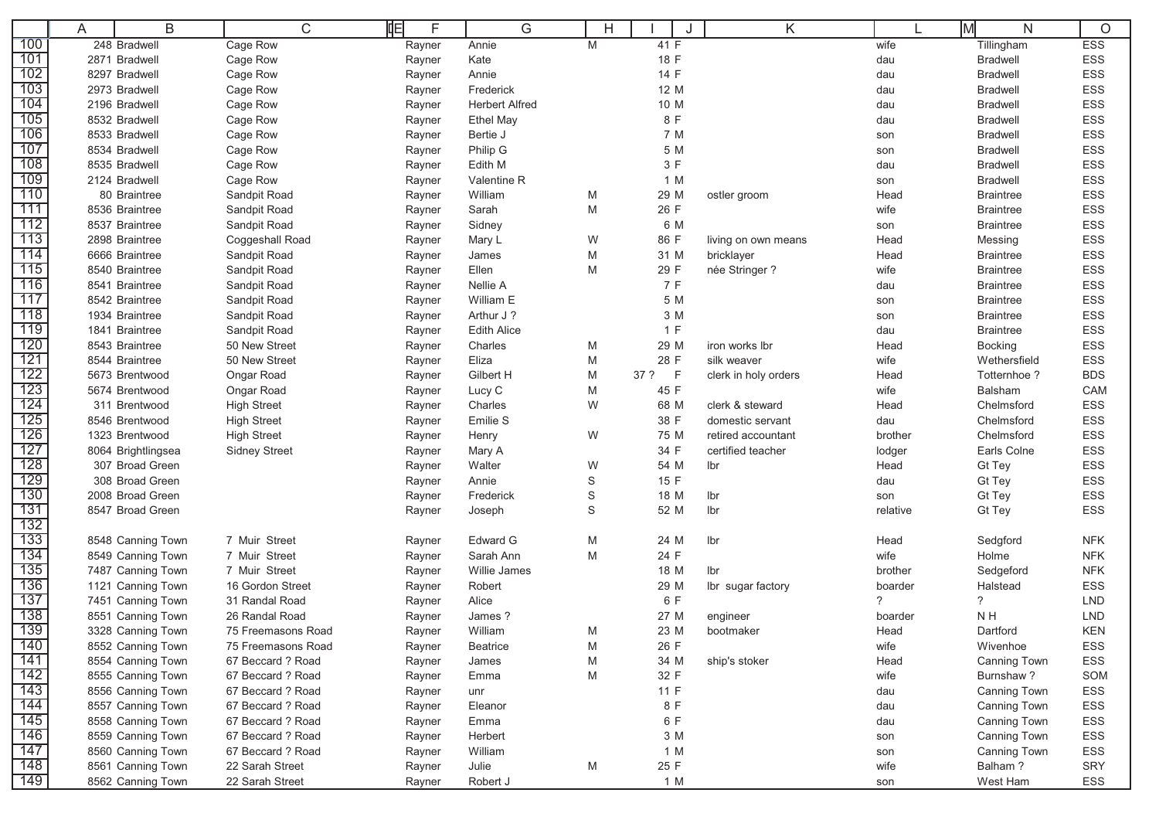|            | A | B                                      | 咱<br>$\mathsf C$     | F                | G                            | Н      |              | K                    |              | lм<br>N           | O          |
|------------|---|----------------------------------------|----------------------|------------------|------------------------------|--------|--------------|----------------------|--------------|-------------------|------------|
| 100        |   | 248 Bradwell                           | Cage Row             | Rayner           | Annie                        | M      | 41 F         |                      | wife         | Tillingham        | <b>ESS</b> |
| 101        |   | 2871 Bradwell                          | Cage Row             | Rayner           | Kate                         |        | 18 F         |                      | dau          | <b>Bradwell</b>   | ESS        |
| 102        |   | 8297 Bradwell                          | Cage Row             | Rayner           | Annie                        |        | 14 F         |                      | dau          | <b>Bradwell</b>   | <b>ESS</b> |
| 103        |   | 2973 Bradwell                          | Cage Row             | Rayner           | Frederick                    |        | 12 M         |                      | dau          | <b>Bradwell</b>   | ESS        |
| 104        |   | 2196 Bradwell                          | Cage Row             | Rayner           | <b>Herbert Alfred</b>        |        | 10 M         |                      | dau          | <b>Bradwell</b>   | ESS        |
| 105        |   | 8532 Bradwell                          | Cage Row             | Rayner           | <b>Ethel May</b>             |        | 8 F          |                      | dau          | <b>Bradwell</b>   | <b>ESS</b> |
| 106        |   | 8533 Bradwell                          | Cage Row             | Rayner           | Bertie J                     |        | 7 M          |                      | son          | <b>Bradwell</b>   | ESS        |
| 107        |   | 8534 Bradwell                          | Cage Row             | Rayner           | Philip G                     |        | 5 M          |                      | son          | <b>Bradwell</b>   | ESS        |
| 108        |   | 8535 Bradwell                          | Cage Row             | Rayner           | Edith M                      |        | 3 F          |                      | dau          | <b>Bradwell</b>   | ESS        |
| 109        |   | 2124 Bradwell                          | Cage Row             | Rayner           | Valentine R                  |        | 1 M          |                      | son          | <b>Bradwell</b>   | <b>ESS</b> |
| 110        |   | 80 Braintree                           | Sandpit Road         | Rayner           | William                      | M      | 29 M         | ostler groom         | Head         | <b>Braintree</b>  | ESS        |
| 111        |   | 8536 Braintree                         | Sandpit Road         | Rayner           | Sarah                        | M      | 26 F         |                      | wife         | <b>Braintree</b>  | ESS        |
| 112        |   | 8537 Braintree                         | Sandpit Road         | Rayner           | Sidney                       |        | 6 M          |                      | son          | <b>Braintree</b>  | <b>ESS</b> |
| 113        |   | 2898 Braintree                         | Coggeshall Road      | Rayner           | Mary L                       | W      | 86 F         | living on own means  | Head         | Messing           | ESS        |
| 114        |   | 6666 Braintree                         | Sandpit Road         | Rayner           | James                        | M      | 31 M         | bricklayer           | Head         | <b>Braintree</b>  | ESS        |
| 115        |   | 8540 Braintree                         | Sandpit Road         | Rayner           | Ellen                        | M      | 29 F         | née Stringer ?       | wife         | <b>Braintree</b>  | ESS        |
| 716        |   | 8541 Braintree                         | Sandpit Road         | Rayner           | Nellie A                     |        | 7 F          |                      | dau          | <b>Braintree</b>  | <b>ESS</b> |
| 117        |   | 8542 Braintree                         | Sandpit Road         | Rayner           | William E                    |        | 5 M          |                      | son          | <b>Braintree</b>  | ESS        |
| 118        |   | 1934 Braintree                         | Sandpit Road         | Rayner           | Arthur J?                    |        | 3 M          |                      | son          | <b>Braintree</b>  | ESS        |
| 119        |   | 1841 Braintree                         | Sandpit Road         | Rayner           | <b>Edith Alice</b>           |        | 1 F          |                      | dau          | <b>Braintree</b>  | <b>ESS</b> |
| 120        |   | 8543 Braintree                         | 50 New Street        | Rayner           | Charles                      | M      | 29 M         | iron works lbr       | Head         | <b>Bocking</b>    | <b>ESS</b> |
| 121        |   | 8544 Braintree                         | 50 New Street        | Rayner           | Eliza                        | M      | 28 F         | silk weaver          | wife         | Wethersfield      | ESS        |
| 122        |   | 5673 Brentwood                         | Ongar Road           | Rayner           | Gilbert H                    | M      | $-F$<br>37 ? | clerk in holy orders | Head         | Totternhoe?       | <b>BDS</b> |
| 123        |   | 5674 Brentwood                         | Ongar Road           | Rayner           | Lucy C                       | M      | 45 F         |                      | wife         | <b>Balsham</b>    | CAM        |
| 124        |   | 311 Brentwood                          | <b>High Street</b>   | Rayner           | Charles                      | W      | 68 M         | clerk & steward      | Head         | Chelmsford        | ESS        |
| 125        |   | 8546 Brentwood                         | <b>High Street</b>   | Rayner           | Emilie S                     |        | 38 F         | domestic servant     | dau          | Chelmsford        | ESS        |
| 126        |   | 1323 Brentwood                         | <b>High Street</b>   | Rayner           | Henry                        | W      | 75 M         | retired accountant   | brother      | Chelmsford        | ESS        |
| 127        |   | 8064 Brightlingsea                     | <b>Sidney Street</b> | Rayner           | Mary A                       |        | 34 F         | certified teacher    | lodger       | Earls Colne       | ESS        |
| 128        |   | 307 Broad Green                        |                      | Rayner           | Walter                       | W      | 54 M         | Ibr                  | Head         | Gt Tey            | ESS        |
| 129        |   | 308 Broad Green                        |                      | Rayner           | Annie                        | S      | 15 F         |                      | dau          | Gt Tey            | ESS        |
| 130        |   | 2008 Broad Green                       |                      | Rayner           | Frederick                    | S      | 18 M         | Ibr                  | son          | <b>Gt Tey</b>     | ESS        |
| 131<br>132 |   | 8547 Broad Green                       |                      | Rayner           | Joseph                       | S      | 52 M         | Ibr                  | relative     | Gt Tey            | <b>ESS</b> |
| 133        |   |                                        | 7 Muir Street        |                  |                              |        |              |                      |              |                   | <b>NFK</b> |
| 134        |   | 8548 Canning Town<br>8549 Canning Town | 7 Muir Street        | Rayner           | <b>Edward G</b><br>Sarah Ann | M<br>M | 24 M<br>24 F | Ibr                  | Head<br>wife | Sedgford<br>Holme | <b>NFK</b> |
| 135        |   | 7487 Canning Town                      | 7 Muir Street        | Rayner<br>Rayner | Willie James                 |        | 18 M         | Ibr                  | brother      | Sedgeford         | <b>NFK</b> |
| 136        |   | 1121 Canning Town                      | 16 Gordon Street     | Rayner           | Robert                       |        | 29 M         | Ibr sugar factory    | boarder      | Halstead          | <b>ESS</b> |
| 137        |   | 7451 Canning Town                      | 31 Randal Road       | Rayner           | Alice                        |        | 6 F          |                      | ?            | $\tilde{?}$       | <b>LND</b> |
| 138        |   | 8551 Canning Town                      | 26 Randal Road       | Rayner           | James?                       |        | 27 M         | engineer             | boarder      | NH                | <b>LND</b> |
| 139        |   | 3328 Canning Town                      | 75 Freemasons Road   | Rayner           | William                      | M      | 23 M         | bootmaker            | Head         | Dartford          | <b>KEN</b> |
| 140        |   | 8552 Canning Town                      | 75 Freemasons Road   | Rayner           | <b>Beatrice</b>              | M      | 26 F         |                      | wife         | Wivenhoe          | ESS        |
| 141        |   | 8554 Canning Town                      | 67 Beccard ? Road    | Rayner           | James                        | M      | 34 M         | ship's stoker        | Head         | Canning Town      | ESS        |
| 142        |   | 8555 Canning Town                      | 67 Beccard ? Road    | Rayner           | Emma                         | M      | 32 F         |                      | wife         | Burnshaw?         | SOM        |
| 143        |   | 8556 Canning Town                      | 67 Beccard ? Road    | Rayner           | unr                          |        | 11 F         |                      | dau          | Canning Town      | ESS        |
| 144        |   | 8557 Canning Town                      | 67 Beccard ? Road    | Rayner           | Eleanor                      |        | 8 F          |                      | dau          | Canning Town      | ESS        |
| 145        |   | 8558 Canning Town                      | 67 Beccard ? Road    | Rayner           | Emma                         |        | 6 F          |                      | dau          | Canning Town      | ESS        |
| 146        |   | 8559 Canning Town                      | 67 Beccard ? Road    | Rayner           | Herbert                      |        | 3 M          |                      | son          | Canning Town      | ESS        |
| 147        |   | 8560 Canning Town                      | 67 Beccard ? Road    | Rayner           | William                      |        | 1 M          |                      | son          | Canning Town      | ESS        |
| 148        |   | 8561 Canning Town                      | 22 Sarah Street      | Rayner           | Julie                        | М      | 25 F         |                      | wife         | Balham?           | SRY        |
| 149        |   | 8562 Canning Town                      | 22 Sarah Street      | Rayner           | Robert J                     |        | 1 M          |                      | son          | West Ham          | ESS        |
|            |   |                                        |                      |                  |                              |        |              |                      |              |                   |            |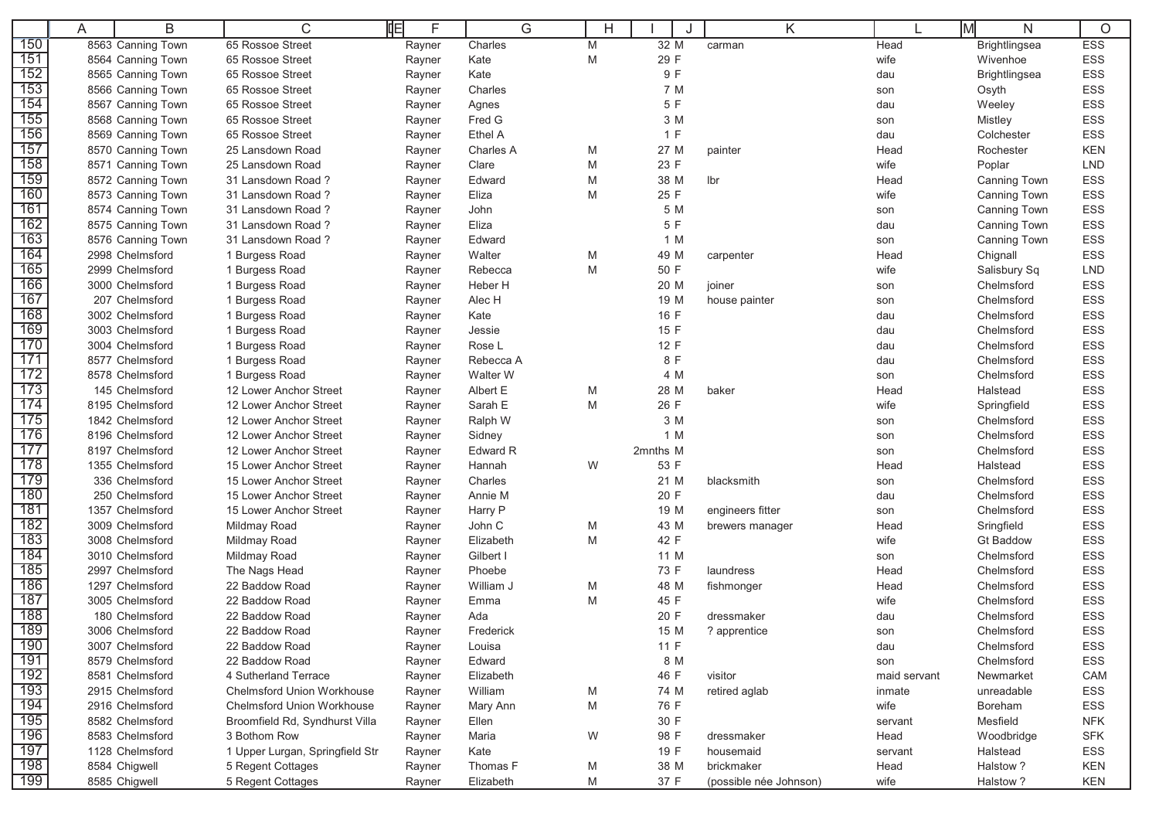|             | A | B                 | C                                 | 岶<br>F | G         | Н |          | K                      |              | Iм<br>N              | O          |
|-------------|---|-------------------|-----------------------------------|--------|-----------|---|----------|------------------------|--------------|----------------------|------------|
| 150         |   | 8563 Canning Town | 65 Rossoe Street                  | Rayner | Charles   | M | 32 M     | carman                 | Head         | Brightlingsea        | ESS        |
| 151         |   | 8564 Canning Town | 65 Rossoe Street                  | Rayner | Kate      | M | 29 F     |                        | wife         | Wivenhoe             | ESS        |
| 152         |   | 8565 Canning Town | 65 Rossoe Street                  | Rayner | Kate      |   | 9 F      |                        | dau          | <b>Brightlingsea</b> | ESS        |
| 153         |   | 8566 Canning Town | 65 Rossoe Street                  | Rayner | Charles   |   | 7 M      |                        | son          | Osyth                | ESS        |
| 154         |   | 8567 Canning Town | 65 Rossoe Street                  | Rayner | Agnes     |   | 5 F      |                        | dau          | Weeley               | ESS        |
| 155         |   | 8568 Canning Town | 65 Rossoe Street                  | Rayner | Fred G    |   | 3 M      |                        | son          | Mistley              | <b>ESS</b> |
| 156         |   | 8569 Canning Town | 65 Rossoe Street                  | Rayner | Ethel A   |   | 1 F      |                        | dau          | Colchester           | <b>ESS</b> |
| 157         |   | 8570 Canning Town | 25 Lansdown Road                  | Rayner | Charles A | M | 27 M     | painter                | Head         | Rochester            | <b>KEN</b> |
| 158         |   | 8571 Canning Town | 25 Lansdown Road                  | Rayner | Clare     | M | 23 F     |                        | wife         | Poplar               | <b>LND</b> |
| 159         |   | 8572 Canning Town | 31 Lansdown Road?                 | Rayner | Edward    | M | 38 M     | lbr                    | Head         | <b>Canning Town</b>  | ESS        |
| 160         |   | 8573 Canning Town | 31 Lansdown Road?                 | Rayner | Eliza     | M | 25 F     |                        | wife         | Canning Town         | <b>ESS</b> |
| 161         |   | 8574 Canning Town | 31 Lansdown Road?                 | Rayner | John      |   | 5 M      |                        | son          | Canning Town         | ESS        |
| 162         |   | 8575 Canning Town | 31 Lansdown Road?                 | Rayner | Eliza     |   | 5 F      |                        | dau          | Canning Town         | ESS        |
| 163         |   | 8576 Canning Town | 31 Lansdown Road?                 | Rayner | Edward    |   | 1 M      |                        | son          | Canning Town         | ESS        |
| 164         |   | 2998 Chelmsford   | 1 Burgess Road                    | Rayner | Walter    | M | 49 M     | carpenter              | Head         | Chignall             | <b>ESS</b> |
| 165         |   | 2999 Chelmsford   | 1 Burgess Road                    | Rayner | Rebecca   | M | 50 F     |                        | wife         | Salisbury Sq         | <b>LND</b> |
| 166         |   | 3000 Chelmsford   | 1 Burgess Road                    | Rayner | Heber H   |   | 20 M     | joiner                 | son          | Chelmsford           | <b>ESS</b> |
| 167         |   | 207 Chelmsford    | 1 Burgess Road                    | Rayner | Alec H    |   | 19 M     | house painter          | son          | Chelmsford           | <b>ESS</b> |
| 168         |   | 3002 Chelmsford   | 1 Burgess Road                    | Rayner | Kate      |   | 16 F     |                        | dau          | Chelmsford           | ESS        |
| 169         |   | 3003 Chelmsford   | 1 Burgess Road                    | Rayner | Jessie    |   | 15 F     |                        | dau          | Chelmsford           | ESS        |
|             |   | 3004 Chelmsford   | 1 Burgess Road                    | Rayner | Rose L    |   | 12 F     |                        | dau          | Chelmsford           | ESS        |
|             |   | 8577 Chelmsford   | 1 Burgess Road                    | Rayner | Rebecca A |   | 8 F      |                        | dau          | Chelmsford           | <b>ESS</b> |
| 172         |   | 8578 Chelmsford   | 1 Burgess Road                    | Rayner | Walter W  |   | 4 M      |                        | son          | Chelmsford           | ESS        |
| 173         |   | 145 Chelmsford    | 12 Lower Anchor Street            | Rayner | Albert E  | M | 28 M     | baker                  | Head         | Halstead             | ESS        |
| 174         |   | 8195 Chelmsford   | 12 Lower Anchor Street            | Rayner | Sarah E   | M | 26 F     |                        | wife         | Springfield          | ESS        |
| 175         |   | 1842 Chelmsford   | 12 Lower Anchor Street            | Rayner | Ralph W   |   | 3 M      |                        | son          | Chelmsford           | ESS        |
| 176         |   | 8196 Chelmsford   | 12 Lower Anchor Street            | Rayner | Sidney    |   | 1 M      |                        | son          | Chelmsford           | ESS        |
| 177         |   | 8197 Chelmsford   | 12 Lower Anchor Street            | Rayner | Edward R  |   | 2mnths M |                        | son          | Chelmsford           | ESS        |
| 178         |   | 1355 Chelmsford   | 15 Lower Anchor Street            | Rayner | Hannah    | W | 53 F     |                        | Head         | Halstead             | <b>ESS</b> |
| 179         |   | 336 Chelmsford    | 15 Lower Anchor Street            | Rayner | Charles   |   | 21 M     | blacksmith             | son          | Chelmsford           | ESS        |
| 180         |   | 250 Chelmsford    | 15 Lower Anchor Street            | Rayner | Annie M   |   | 20 F     |                        | dau          | Chelmsford           | ESS        |
| 181         |   | 1357 Chelmsford   | 15 Lower Anchor Street            | Rayner | Harry P   |   | 19 M     | engineers fitter       | son          | Chelmsford           | ESS        |
| 182         |   | 3009 Chelmsford   | Mildmay Road                      | Rayner | John C    | M | 43 M     | brewers manager        | Head         | Sringfield           | <b>ESS</b> |
| 183         |   | 3008 Chelmsford   | Mildmay Road                      | Rayner | Elizabeth | M | 42 F     |                        | wife         | <b>Gt Baddow</b>     | ESS        |
| 184         |   | 3010 Chelmsford   | Mildmay Road                      | Rayner | Gilbert I |   | 11 M     |                        | son          | Chelmsford           | ESS        |
| 185         |   | 2997 Chelmsford   | The Nags Head                     | Rayner | Phoebe    |   | 73 F     | laundress              | Head         | Chelmsford           | ESS        |
| 186         |   | 1297 Chelmsford   | 22 Baddow Road                    | Rayner | William J | M | 48 M     | fishmonger             | Head         | Chelmsford           | ESS        |
| 187         |   | 3005 Chelmsford   | 22 Baddow Road                    | Rayner | Emma      | M | 45 F     |                        | wife         | Chelmsford           | ESS        |
| 188         |   | 180 Chelmsford    | 22 Baddow Road                    | Rayner | Ada       |   | 20 F     | dressmaker             | dau          | Chelmsford           | ESS        |
| 189         |   | 3006 Chelmsford   | 22 Baddow Road                    | Rayner | Frederick |   | 15 M     | ? apprentice           | son          | Chelmsford           | <b>ESS</b> |
| 190         |   | 3007 Chelmsford   | 22 Baddow Road                    | Rayner | Louisa    |   | 11 F     |                        | dau          | Chelmsford           | ESS        |
| 191         |   | 8579 Chelmsford   | 22 Baddow Road                    | Rayner | Edward    |   | 8 M      |                        | son          | Chelmsford           | ESS        |
| 192         |   | 8581 Chelmsford   | 4 Sutherland Terrace              | Rayner | Elizabeth |   | 46 F     | visitor                | maid servant | Newmarket            | CAM        |
| 193         |   | 2915 Chelmsford   | <b>Chelmsford Union Workhouse</b> | Rayner | William   | M | 74 M     | retired aglab          | inmate       | unreadable           | ESS        |
| 194         |   | 2916 Chelmsford   | <b>Chelmsford Union Workhouse</b> | Rayner | Mary Ann  | М | 76 F     |                        | wife         | Boreham              | ESS        |
| 195         |   | 8582 Chelmsford   | Broomfield Rd, Syndhurst Villa    | Rayner | Ellen     |   | 30 F     |                        | servant      | Mesfield             | <b>NFK</b> |
| 196         |   | 8583 Chelmsford   | 3 Bothom Row                      | Rayner | Maria     | W | 98 F     | dressmaker             | Head         | Woodbridge           | <b>SFK</b> |
| <u> 197</u> |   | 1128 Chelmsford   | 1 Upper Lurgan, Springfield Str   | Rayner | Kate      |   | 19 F     | housemaid              | servant      | Halstead             | ESS        |
| 198         |   | 8584 Chigwell     | 5 Regent Cottages                 | Rayner | Thomas F  | M | 38 M     | brickmaker             | Head         | Halstow?             | <b>KEN</b> |
| 199         |   | 8585 Chigwell     | 5 Regent Cottages                 | Rayner | Elizabeth | M | 37 F     | (possible née Johnson) | wife         | Halstow?             | KEN        |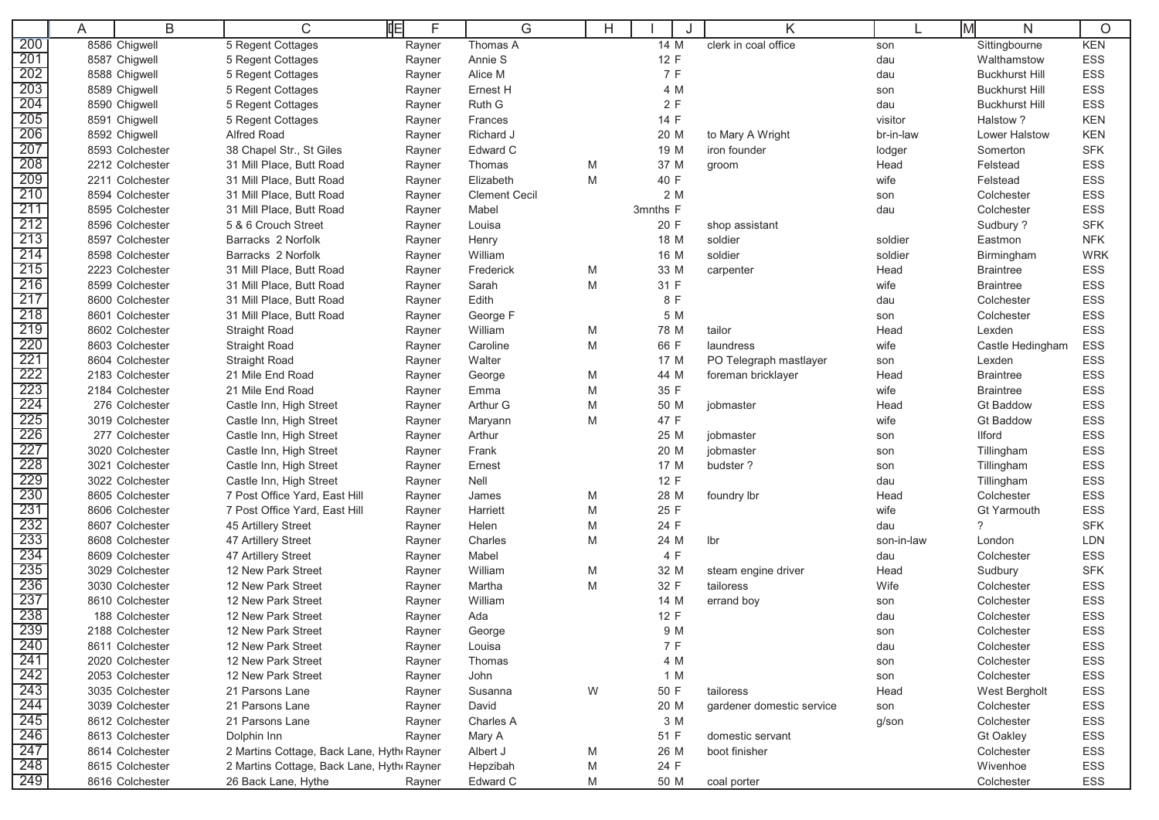| 8586 Chigwell<br>5 Regent Cottages<br>Thomas A<br>clerk in coal office<br><b>KEN</b><br>14 M<br>Sittingbourne<br>Rayner<br>son<br>12 F<br>8587 Chigwell<br>Annie S<br>ESS<br>5 Regent Cottages<br>Rayner<br>Walthamstow<br>dau<br>7 F<br><b>ESS</b><br>8588 Chigwell<br>Alice M<br>5 Regent Cottages<br>dau<br><b>Buckhurst Hill</b><br>Rayner<br>203<br>8589 Chigwell<br>Ernest H<br>4 M<br><b>ESS</b><br>5 Regent Cottages<br><b>Buckhurst Hill</b><br>Rayner<br>son<br>204<br>2F<br><b>ESS</b><br>8590 Chigwell<br>Ruth G<br>5 Regent Cottages<br>dau<br><b>Buckhurst Hill</b><br>Rayner<br>205<br>14 F<br>8591 Chigwell<br><b>KEN</b><br>5 Regent Cottages<br>Frances<br>visitor<br>Halstow?<br>Rayner<br>206<br>8592 Chigwell<br>Alfred Road<br>br-in-law<br>Lower Halstow<br><b>KEN</b><br>Richard J<br>20 M<br>to Mary A Wright<br>Rayner<br>207<br>8593 Colchester<br>Edward C<br>19 M<br><b>SFK</b><br>38 Chapel Str., St Giles<br>iron founder<br>lodger<br>Somerton<br>Rayner<br>208<br>ESS<br>2212 Colchester<br>31 Mill Place, Butt Road<br>37 M<br>Felstead<br>Thomas<br>M<br>Head<br>Rayner<br>groom<br>209<br>2211 Colchester<br>31 Mill Place, Butt Road<br>Elizabeth<br>40 F<br>Felstead<br><b>ESS</b><br>M<br>wife<br>Rayner<br>210<br>2 M<br>8594 Colchester<br>31 Mill Place, Butt Road<br><b>Clement Cecil</b><br>Colchester<br><b>ESS</b><br>Rayner<br>son<br>211<br>ESS<br>8595 Colchester<br>31 Mill Place, Butt Road<br>3mnths F<br>Colchester<br>Mabel<br>dau<br>Rayner<br>212<br>8596 Colchester<br>5 & 6 Crouch Street<br>20 F<br><b>SFK</b><br>Louisa<br>Sudbury ?<br>Rayner<br>shop assistant<br>213<br>8597 Colchester<br>Barracks 2 Norfolk<br>18 M<br><b>NFK</b><br>Henry<br>soldier<br>soldier<br>Eastmon<br>Rayner<br>214<br>8598 Colchester<br>Barracks 2 Norfolk<br>William<br>16 M<br>soldier<br><b>WRK</b><br>Rayner<br>soldier<br>Birmingham<br>215<br>2223 Colchester<br>31 Mill Place, Butt Road<br>33 M<br><b>ESS</b><br>Frederick<br>M<br>Head<br><b>Braintree</b><br>Rayner<br>carpenter<br>216<br>31 F<br>8599 Colchester<br>31 Mill Place, Butt Road<br>M<br><b>ESS</b><br>Sarah<br>wife<br><b>Braintree</b><br>Rayner<br>217<br>8 F<br>ESS<br>8600 Colchester<br>31 Mill Place, Butt Road<br>Edith<br>dau<br>Colchester<br>Rayner<br>218<br>ESS<br>8601 Colchester<br>31 Mill Place, Butt Road<br>5 M<br>George F<br>Colchester<br>Rayner<br>son<br>219<br>ESS<br>8602 Colchester<br>William<br>78 M<br><b>Straight Road</b><br>M<br>tailor<br>Head<br>Lexden<br>Rayner<br>220<br>8603 Colchester<br>66 F<br><b>ESS</b><br><b>Straight Road</b><br>Caroline<br>M<br>laundress<br>wife<br>Castle Hedingham<br>Rayner<br>221<br>8604 Colchester<br>Walter<br><b>ESS</b><br><b>Straight Road</b><br>17 M<br>PO Telegraph mastlayer<br>Lexden<br>Rayner<br>son<br>222<br>2183 Colchester<br>44 M<br><b>Braintree</b><br><b>ESS</b><br>21 Mile End Road<br>George<br>M<br>foreman bricklayer<br>Head<br>Rayner<br>223<br>2184 Colchester<br>21 Mile End Road<br>35 F<br>wife<br><b>Braintree</b><br><b>ESS</b><br>Emma<br>M<br>Rayner<br>224<br><b>ESS</b><br>276 Colchester<br>Arthur G<br>50 M<br>Castle Inn, High Street<br>M<br>Head<br><b>Gt Baddow</b><br>Rayner<br>jobmaster<br>225<br>47 F<br>ESS<br>3019 Colchester<br><b>Gt Baddow</b><br>Castle Inn, High Street<br>Maryann<br>M<br>wife<br>Rayner<br>226<br>277 Colchester<br>25 M<br><b>ESS</b><br>Castle Inn, High Street<br>Arthur<br><b>Ilford</b><br>Rayner<br>jobmaster<br>son<br>227<br>3020 Colchester<br><b>ESS</b><br>Castle Inn, High Street<br>Frank<br>20 M<br>jobmaster<br>Tillingham<br>Rayner<br>son<br>228<br>3021 Colchester<br>17 M<br>budster?<br><b>ESS</b><br>Castle Inn, High Street<br>Ernest<br>Tillingham<br>Rayner<br>son<br>229<br>3022 Colchester<br>12 F<br><b>ESS</b><br>Castle Inn, High Street<br>Nell<br>dau<br>Tillingham<br>Rayner<br>230<br>8605 Colchester<br>7 Post Office Yard, East Hill<br>28 M<br><b>ESS</b><br>M<br>foundry lbr<br>Head<br>Colchester<br>Rayner<br>James<br>231<br>8606 Colchester<br>7 Post Office Yard, East Hill<br>25 F<br>wife<br><b>ESS</b><br>Harriett<br>M<br>Gt Yarmouth<br>Rayner<br>232<br>24 F<br>?<br><b>SFK</b><br>8607 Colchester<br>45 Artillery Street<br>Helen<br>M<br>dau<br>Rayner<br>233<br>8608 Colchester<br>47 Artillery Street<br>M<br>24 M<br>LDN<br>Charles<br>Ibr<br>son-in-law<br>London<br>Rayner<br>234<br>4 F<br>8609 Colchester<br>47 Artillery Street<br>Mabel<br><b>ESS</b><br>dau<br>Colchester<br>Rayner<br>235<br>3029 Colchester<br>12 New Park Street<br>William<br>32 M<br><b>SFK</b><br>M<br>Head<br>Sudbury<br>Rayner<br>steam engine driver<br>236<br>32 F<br>3030 Colchester<br>12 New Park Street<br>Martha<br>M<br>Wife<br><b>ESS</b><br>tailoress<br>Colchester<br>Rayner<br>237<br>8610 Colchester<br>12 New Park Street<br>William<br>14 M<br><b>ESS</b><br>Colchester<br>Rayner<br>errand boy<br>son<br>238<br>12 New Park Street<br>12 F<br><b>ESS</b><br>188 Colchester<br>Ada<br>Colchester<br>Rayner<br>dau<br>239<br>9 M<br><b>ESS</b><br>2188 Colchester<br>12 New Park Street<br>George<br>Colchester<br>Rayner<br>son<br>240<br>7 F<br>12 New Park Street<br>ESS<br>8611 Colchester<br>Rayner<br>Louisa<br>Colchester<br>dau<br>241<br>4 M<br>ESS<br>2020 Colchester<br>12 New Park Street<br>Rayner<br>Thomas<br>Colchester<br>son<br>$\frac{242}{243}$<br>1 M<br><b>ESS</b><br>2053 Colchester<br>12 New Park Street<br>John<br>Colchester<br>Rayner<br>son<br>W<br>50 F<br>ESS<br>3035 Colchester<br>21 Parsons Lane<br>Susanna<br>Head<br>West Bergholt<br>Rayner<br>tailoress<br>244<br>20 M<br>ESS<br>3039 Colchester<br>21 Parsons Lane<br>Colchester<br>Rayner<br>David<br>gardener domestic service<br>son<br>245<br>3 M<br>8612 Colchester<br>21 Parsons Lane<br>Charles A<br>Colchester<br>ESS<br>Rayner<br>g/son<br>246<br>Dolphin Inn<br><b>ESS</b><br>8613 Colchester<br>Mary A<br>51 F<br>domestic servant<br><b>Gt Oakley</b><br>Rayner<br>247<br>boot finisher<br>ESS<br>8614 Colchester<br>2 Martins Cottage, Back Lane, Hyth Rayner<br>Albert J<br>М<br>26 M<br>Colchester<br>$\frac{248}{249}$<br>24 F<br>Wivenhoe<br>ESS<br>8615 Colchester<br>2 Martins Cottage, Back Lane, Hyth Rayner<br>Hepzibah<br>M<br>26 Back Lane, Hythe<br>Edward C<br>8616 Colchester<br>50 M<br>Colchester<br>ESS<br>M<br>coal porter<br>Rayner |     | A | B | С | 咱<br>F | G | Н | Κ | N | O |
|--------------------------------------------------------------------------------------------------------------------------------------------------------------------------------------------------------------------------------------------------------------------------------------------------------------------------------------------------------------------------------------------------------------------------------------------------------------------------------------------------------------------------------------------------------------------------------------------------------------------------------------------------------------------------------------------------------------------------------------------------------------------------------------------------------------------------------------------------------------------------------------------------------------------------------------------------------------------------------------------------------------------------------------------------------------------------------------------------------------------------------------------------------------------------------------------------------------------------------------------------------------------------------------------------------------------------------------------------------------------------------------------------------------------------------------------------------------------------------------------------------------------------------------------------------------------------------------------------------------------------------------------------------------------------------------------------------------------------------------------------------------------------------------------------------------------------------------------------------------------------------------------------------------------------------------------------------------------------------------------------------------------------------------------------------------------------------------------------------------------------------------------------------------------------------------------------------------------------------------------------------------------------------------------------------------------------------------------------------------------------------------------------------------------------------------------------------------------------------------------------------------------------------------------------------------------------------------------------------------------------------------------------------------------------------------------------------------------------------------------------------------------------------------------------------------------------------------------------------------------------------------------------------------------------------------------------------------------------------------------------------------------------------------------------------------------------------------------------------------------------------------------------------------------------------------------------------------------------------------------------------------------------------------------------------------------------------------------------------------------------------------------------------------------------------------------------------------------------------------------------------------------------------------------------------------------------------------------------------------------------------------------------------------------------------------------------------------------------------------------------------------------------------------------------------------------------------------------------------------------------------------------------------------------------------------------------------------------------------------------------------------------------------------------------------------------------------------------------------------------------------------------------------------------------------------------------------------------------------------------------------------------------------------------------------------------------------------------------------------------------------------------------------------------------------------------------------------------------------------------------------------------------------------------------------------------------------------------------------------------------------------------------------------------------------------------------------------------------------------------------------------------------------------------------------------------------------------------------------------------------------------------------------------------------------------------------------------------------------------------------------------------------------------------------------------------------------------------------------------------------------------------------------------------------------------------------------------------------------------------------------------------------------------------------------------------------------------------------------------------------------------------------------------------------------------------------------------------------------------------------------------------------------------------------------------------------------------------------------------------------------------------------------------------------------------------------------------------------------------------------------------------------------------------------------------------------------------------------------------------------------------------------------------------------------------------------------------------------------------------------------------------------------------------------------------------------------------------------------------------------------------------------------------------------------------------------------------------------------------------------------------------------------------------------------------------------------------------------------------------------------|-----|---|---|---|--------|---|---|---|---|---|
|                                                                                                                                                                                                                                                                                                                                                                                                                                                                                                                                                                                                                                                                                                                                                                                                                                                                                                                                                                                                                                                                                                                                                                                                                                                                                                                                                                                                                                                                                                                                                                                                                                                                                                                                                                                                                                                                                                                                                                                                                                                                                                                                                                                                                                                                                                                                                                                                                                                                                                                                                                                                                                                                                                                                                                                                                                                                                                                                                                                                                                                                                                                                                                                                                                                                                                                                                                                                                                                                                                                                                                                                                                                                                                                                                                                                                                                                                                                                                                                                                                                                                                                                                                                                                                                                                                                                                                                                                                                                                                                                                                                                                                                                                                                                                                                                                                                                                                                                                                                                                                                                                                                                                                                                                                                                                                                                                                                                                                                                                                                                                                                                                                                                                                                                                                                                                                                                                                                                                                                                                                                                                                                                                                                                                                                                                                                                                                                | 200 |   |   |   |        |   |   |   |   |   |
|                                                                                                                                                                                                                                                                                                                                                                                                                                                                                                                                                                                                                                                                                                                                                                                                                                                                                                                                                                                                                                                                                                                                                                                                                                                                                                                                                                                                                                                                                                                                                                                                                                                                                                                                                                                                                                                                                                                                                                                                                                                                                                                                                                                                                                                                                                                                                                                                                                                                                                                                                                                                                                                                                                                                                                                                                                                                                                                                                                                                                                                                                                                                                                                                                                                                                                                                                                                                                                                                                                                                                                                                                                                                                                                                                                                                                                                                                                                                                                                                                                                                                                                                                                                                                                                                                                                                                                                                                                                                                                                                                                                                                                                                                                                                                                                                                                                                                                                                                                                                                                                                                                                                                                                                                                                                                                                                                                                                                                                                                                                                                                                                                                                                                                                                                                                                                                                                                                                                                                                                                                                                                                                                                                                                                                                                                                                                                                                | 201 |   |   |   |        |   |   |   |   |   |
|                                                                                                                                                                                                                                                                                                                                                                                                                                                                                                                                                                                                                                                                                                                                                                                                                                                                                                                                                                                                                                                                                                                                                                                                                                                                                                                                                                                                                                                                                                                                                                                                                                                                                                                                                                                                                                                                                                                                                                                                                                                                                                                                                                                                                                                                                                                                                                                                                                                                                                                                                                                                                                                                                                                                                                                                                                                                                                                                                                                                                                                                                                                                                                                                                                                                                                                                                                                                                                                                                                                                                                                                                                                                                                                                                                                                                                                                                                                                                                                                                                                                                                                                                                                                                                                                                                                                                                                                                                                                                                                                                                                                                                                                                                                                                                                                                                                                                                                                                                                                                                                                                                                                                                                                                                                                                                                                                                                                                                                                                                                                                                                                                                                                                                                                                                                                                                                                                                                                                                                                                                                                                                                                                                                                                                                                                                                                                                                | 202 |   |   |   |        |   |   |   |   |   |
|                                                                                                                                                                                                                                                                                                                                                                                                                                                                                                                                                                                                                                                                                                                                                                                                                                                                                                                                                                                                                                                                                                                                                                                                                                                                                                                                                                                                                                                                                                                                                                                                                                                                                                                                                                                                                                                                                                                                                                                                                                                                                                                                                                                                                                                                                                                                                                                                                                                                                                                                                                                                                                                                                                                                                                                                                                                                                                                                                                                                                                                                                                                                                                                                                                                                                                                                                                                                                                                                                                                                                                                                                                                                                                                                                                                                                                                                                                                                                                                                                                                                                                                                                                                                                                                                                                                                                                                                                                                                                                                                                                                                                                                                                                                                                                                                                                                                                                                                                                                                                                                                                                                                                                                                                                                                                                                                                                                                                                                                                                                                                                                                                                                                                                                                                                                                                                                                                                                                                                                                                                                                                                                                                                                                                                                                                                                                                                                |     |   |   |   |        |   |   |   |   |   |
|                                                                                                                                                                                                                                                                                                                                                                                                                                                                                                                                                                                                                                                                                                                                                                                                                                                                                                                                                                                                                                                                                                                                                                                                                                                                                                                                                                                                                                                                                                                                                                                                                                                                                                                                                                                                                                                                                                                                                                                                                                                                                                                                                                                                                                                                                                                                                                                                                                                                                                                                                                                                                                                                                                                                                                                                                                                                                                                                                                                                                                                                                                                                                                                                                                                                                                                                                                                                                                                                                                                                                                                                                                                                                                                                                                                                                                                                                                                                                                                                                                                                                                                                                                                                                                                                                                                                                                                                                                                                                                                                                                                                                                                                                                                                                                                                                                                                                                                                                                                                                                                                                                                                                                                                                                                                                                                                                                                                                                                                                                                                                                                                                                                                                                                                                                                                                                                                                                                                                                                                                                                                                                                                                                                                                                                                                                                                                                                |     |   |   |   |        |   |   |   |   |   |
|                                                                                                                                                                                                                                                                                                                                                                                                                                                                                                                                                                                                                                                                                                                                                                                                                                                                                                                                                                                                                                                                                                                                                                                                                                                                                                                                                                                                                                                                                                                                                                                                                                                                                                                                                                                                                                                                                                                                                                                                                                                                                                                                                                                                                                                                                                                                                                                                                                                                                                                                                                                                                                                                                                                                                                                                                                                                                                                                                                                                                                                                                                                                                                                                                                                                                                                                                                                                                                                                                                                                                                                                                                                                                                                                                                                                                                                                                                                                                                                                                                                                                                                                                                                                                                                                                                                                                                                                                                                                                                                                                                                                                                                                                                                                                                                                                                                                                                                                                                                                                                                                                                                                                                                                                                                                                                                                                                                                                                                                                                                                                                                                                                                                                                                                                                                                                                                                                                                                                                                                                                                                                                                                                                                                                                                                                                                                                                                |     |   |   |   |        |   |   |   |   |   |
|                                                                                                                                                                                                                                                                                                                                                                                                                                                                                                                                                                                                                                                                                                                                                                                                                                                                                                                                                                                                                                                                                                                                                                                                                                                                                                                                                                                                                                                                                                                                                                                                                                                                                                                                                                                                                                                                                                                                                                                                                                                                                                                                                                                                                                                                                                                                                                                                                                                                                                                                                                                                                                                                                                                                                                                                                                                                                                                                                                                                                                                                                                                                                                                                                                                                                                                                                                                                                                                                                                                                                                                                                                                                                                                                                                                                                                                                                                                                                                                                                                                                                                                                                                                                                                                                                                                                                                                                                                                                                                                                                                                                                                                                                                                                                                                                                                                                                                                                                                                                                                                                                                                                                                                                                                                                                                                                                                                                                                                                                                                                                                                                                                                                                                                                                                                                                                                                                                                                                                                                                                                                                                                                                                                                                                                                                                                                                                                |     |   |   |   |        |   |   |   |   |   |
|                                                                                                                                                                                                                                                                                                                                                                                                                                                                                                                                                                                                                                                                                                                                                                                                                                                                                                                                                                                                                                                                                                                                                                                                                                                                                                                                                                                                                                                                                                                                                                                                                                                                                                                                                                                                                                                                                                                                                                                                                                                                                                                                                                                                                                                                                                                                                                                                                                                                                                                                                                                                                                                                                                                                                                                                                                                                                                                                                                                                                                                                                                                                                                                                                                                                                                                                                                                                                                                                                                                                                                                                                                                                                                                                                                                                                                                                                                                                                                                                                                                                                                                                                                                                                                                                                                                                                                                                                                                                                                                                                                                                                                                                                                                                                                                                                                                                                                                                                                                                                                                                                                                                                                                                                                                                                                                                                                                                                                                                                                                                                                                                                                                                                                                                                                                                                                                                                                                                                                                                                                                                                                                                                                                                                                                                                                                                                                                |     |   |   |   |        |   |   |   |   |   |
|                                                                                                                                                                                                                                                                                                                                                                                                                                                                                                                                                                                                                                                                                                                                                                                                                                                                                                                                                                                                                                                                                                                                                                                                                                                                                                                                                                                                                                                                                                                                                                                                                                                                                                                                                                                                                                                                                                                                                                                                                                                                                                                                                                                                                                                                                                                                                                                                                                                                                                                                                                                                                                                                                                                                                                                                                                                                                                                                                                                                                                                                                                                                                                                                                                                                                                                                                                                                                                                                                                                                                                                                                                                                                                                                                                                                                                                                                                                                                                                                                                                                                                                                                                                                                                                                                                                                                                                                                                                                                                                                                                                                                                                                                                                                                                                                                                                                                                                                                                                                                                                                                                                                                                                                                                                                                                                                                                                                                                                                                                                                                                                                                                                                                                                                                                                                                                                                                                                                                                                                                                                                                                                                                                                                                                                                                                                                                                                |     |   |   |   |        |   |   |   |   |   |
|                                                                                                                                                                                                                                                                                                                                                                                                                                                                                                                                                                                                                                                                                                                                                                                                                                                                                                                                                                                                                                                                                                                                                                                                                                                                                                                                                                                                                                                                                                                                                                                                                                                                                                                                                                                                                                                                                                                                                                                                                                                                                                                                                                                                                                                                                                                                                                                                                                                                                                                                                                                                                                                                                                                                                                                                                                                                                                                                                                                                                                                                                                                                                                                                                                                                                                                                                                                                                                                                                                                                                                                                                                                                                                                                                                                                                                                                                                                                                                                                                                                                                                                                                                                                                                                                                                                                                                                                                                                                                                                                                                                                                                                                                                                                                                                                                                                                                                                                                                                                                                                                                                                                                                                                                                                                                                                                                                                                                                                                                                                                                                                                                                                                                                                                                                                                                                                                                                                                                                                                                                                                                                                                                                                                                                                                                                                                                                                |     |   |   |   |        |   |   |   |   |   |
|                                                                                                                                                                                                                                                                                                                                                                                                                                                                                                                                                                                                                                                                                                                                                                                                                                                                                                                                                                                                                                                                                                                                                                                                                                                                                                                                                                                                                                                                                                                                                                                                                                                                                                                                                                                                                                                                                                                                                                                                                                                                                                                                                                                                                                                                                                                                                                                                                                                                                                                                                                                                                                                                                                                                                                                                                                                                                                                                                                                                                                                                                                                                                                                                                                                                                                                                                                                                                                                                                                                                                                                                                                                                                                                                                                                                                                                                                                                                                                                                                                                                                                                                                                                                                                                                                                                                                                                                                                                                                                                                                                                                                                                                                                                                                                                                                                                                                                                                                                                                                                                                                                                                                                                                                                                                                                                                                                                                                                                                                                                                                                                                                                                                                                                                                                                                                                                                                                                                                                                                                                                                                                                                                                                                                                                                                                                                                                                |     |   |   |   |        |   |   |   |   |   |
|                                                                                                                                                                                                                                                                                                                                                                                                                                                                                                                                                                                                                                                                                                                                                                                                                                                                                                                                                                                                                                                                                                                                                                                                                                                                                                                                                                                                                                                                                                                                                                                                                                                                                                                                                                                                                                                                                                                                                                                                                                                                                                                                                                                                                                                                                                                                                                                                                                                                                                                                                                                                                                                                                                                                                                                                                                                                                                                                                                                                                                                                                                                                                                                                                                                                                                                                                                                                                                                                                                                                                                                                                                                                                                                                                                                                                                                                                                                                                                                                                                                                                                                                                                                                                                                                                                                                                                                                                                                                                                                                                                                                                                                                                                                                                                                                                                                                                                                                                                                                                                                                                                                                                                                                                                                                                                                                                                                                                                                                                                                                                                                                                                                                                                                                                                                                                                                                                                                                                                                                                                                                                                                                                                                                                                                                                                                                                                                |     |   |   |   |        |   |   |   |   |   |
|                                                                                                                                                                                                                                                                                                                                                                                                                                                                                                                                                                                                                                                                                                                                                                                                                                                                                                                                                                                                                                                                                                                                                                                                                                                                                                                                                                                                                                                                                                                                                                                                                                                                                                                                                                                                                                                                                                                                                                                                                                                                                                                                                                                                                                                                                                                                                                                                                                                                                                                                                                                                                                                                                                                                                                                                                                                                                                                                                                                                                                                                                                                                                                                                                                                                                                                                                                                                                                                                                                                                                                                                                                                                                                                                                                                                                                                                                                                                                                                                                                                                                                                                                                                                                                                                                                                                                                                                                                                                                                                                                                                                                                                                                                                                                                                                                                                                                                                                                                                                                                                                                                                                                                                                                                                                                                                                                                                                                                                                                                                                                                                                                                                                                                                                                                                                                                                                                                                                                                                                                                                                                                                                                                                                                                                                                                                                                                                |     |   |   |   |        |   |   |   |   |   |
|                                                                                                                                                                                                                                                                                                                                                                                                                                                                                                                                                                                                                                                                                                                                                                                                                                                                                                                                                                                                                                                                                                                                                                                                                                                                                                                                                                                                                                                                                                                                                                                                                                                                                                                                                                                                                                                                                                                                                                                                                                                                                                                                                                                                                                                                                                                                                                                                                                                                                                                                                                                                                                                                                                                                                                                                                                                                                                                                                                                                                                                                                                                                                                                                                                                                                                                                                                                                                                                                                                                                                                                                                                                                                                                                                                                                                                                                                                                                                                                                                                                                                                                                                                                                                                                                                                                                                                                                                                                                                                                                                                                                                                                                                                                                                                                                                                                                                                                                                                                                                                                                                                                                                                                                                                                                                                                                                                                                                                                                                                                                                                                                                                                                                                                                                                                                                                                                                                                                                                                                                                                                                                                                                                                                                                                                                                                                                                                |     |   |   |   |        |   |   |   |   |   |
|                                                                                                                                                                                                                                                                                                                                                                                                                                                                                                                                                                                                                                                                                                                                                                                                                                                                                                                                                                                                                                                                                                                                                                                                                                                                                                                                                                                                                                                                                                                                                                                                                                                                                                                                                                                                                                                                                                                                                                                                                                                                                                                                                                                                                                                                                                                                                                                                                                                                                                                                                                                                                                                                                                                                                                                                                                                                                                                                                                                                                                                                                                                                                                                                                                                                                                                                                                                                                                                                                                                                                                                                                                                                                                                                                                                                                                                                                                                                                                                                                                                                                                                                                                                                                                                                                                                                                                                                                                                                                                                                                                                                                                                                                                                                                                                                                                                                                                                                                                                                                                                                                                                                                                                                                                                                                                                                                                                                                                                                                                                                                                                                                                                                                                                                                                                                                                                                                                                                                                                                                                                                                                                                                                                                                                                                                                                                                                                |     |   |   |   |        |   |   |   |   |   |
|                                                                                                                                                                                                                                                                                                                                                                                                                                                                                                                                                                                                                                                                                                                                                                                                                                                                                                                                                                                                                                                                                                                                                                                                                                                                                                                                                                                                                                                                                                                                                                                                                                                                                                                                                                                                                                                                                                                                                                                                                                                                                                                                                                                                                                                                                                                                                                                                                                                                                                                                                                                                                                                                                                                                                                                                                                                                                                                                                                                                                                                                                                                                                                                                                                                                                                                                                                                                                                                                                                                                                                                                                                                                                                                                                                                                                                                                                                                                                                                                                                                                                                                                                                                                                                                                                                                                                                                                                                                                                                                                                                                                                                                                                                                                                                                                                                                                                                                                                                                                                                                                                                                                                                                                                                                                                                                                                                                                                                                                                                                                                                                                                                                                                                                                                                                                                                                                                                                                                                                                                                                                                                                                                                                                                                                                                                                                                                                |     |   |   |   |        |   |   |   |   |   |
|                                                                                                                                                                                                                                                                                                                                                                                                                                                                                                                                                                                                                                                                                                                                                                                                                                                                                                                                                                                                                                                                                                                                                                                                                                                                                                                                                                                                                                                                                                                                                                                                                                                                                                                                                                                                                                                                                                                                                                                                                                                                                                                                                                                                                                                                                                                                                                                                                                                                                                                                                                                                                                                                                                                                                                                                                                                                                                                                                                                                                                                                                                                                                                                                                                                                                                                                                                                                                                                                                                                                                                                                                                                                                                                                                                                                                                                                                                                                                                                                                                                                                                                                                                                                                                                                                                                                                                                                                                                                                                                                                                                                                                                                                                                                                                                                                                                                                                                                                                                                                                                                                                                                                                                                                                                                                                                                                                                                                                                                                                                                                                                                                                                                                                                                                                                                                                                                                                                                                                                                                                                                                                                                                                                                                                                                                                                                                                                |     |   |   |   |        |   |   |   |   |   |
|                                                                                                                                                                                                                                                                                                                                                                                                                                                                                                                                                                                                                                                                                                                                                                                                                                                                                                                                                                                                                                                                                                                                                                                                                                                                                                                                                                                                                                                                                                                                                                                                                                                                                                                                                                                                                                                                                                                                                                                                                                                                                                                                                                                                                                                                                                                                                                                                                                                                                                                                                                                                                                                                                                                                                                                                                                                                                                                                                                                                                                                                                                                                                                                                                                                                                                                                                                                                                                                                                                                                                                                                                                                                                                                                                                                                                                                                                                                                                                                                                                                                                                                                                                                                                                                                                                                                                                                                                                                                                                                                                                                                                                                                                                                                                                                                                                                                                                                                                                                                                                                                                                                                                                                                                                                                                                                                                                                                                                                                                                                                                                                                                                                                                                                                                                                                                                                                                                                                                                                                                                                                                                                                                                                                                                                                                                                                                                                |     |   |   |   |        |   |   |   |   |   |
|                                                                                                                                                                                                                                                                                                                                                                                                                                                                                                                                                                                                                                                                                                                                                                                                                                                                                                                                                                                                                                                                                                                                                                                                                                                                                                                                                                                                                                                                                                                                                                                                                                                                                                                                                                                                                                                                                                                                                                                                                                                                                                                                                                                                                                                                                                                                                                                                                                                                                                                                                                                                                                                                                                                                                                                                                                                                                                                                                                                                                                                                                                                                                                                                                                                                                                                                                                                                                                                                                                                                                                                                                                                                                                                                                                                                                                                                                                                                                                                                                                                                                                                                                                                                                                                                                                                                                                                                                                                                                                                                                                                                                                                                                                                                                                                                                                                                                                                                                                                                                                                                                                                                                                                                                                                                                                                                                                                                                                                                                                                                                                                                                                                                                                                                                                                                                                                                                                                                                                                                                                                                                                                                                                                                                                                                                                                                                                                |     |   |   |   |        |   |   |   |   |   |
|                                                                                                                                                                                                                                                                                                                                                                                                                                                                                                                                                                                                                                                                                                                                                                                                                                                                                                                                                                                                                                                                                                                                                                                                                                                                                                                                                                                                                                                                                                                                                                                                                                                                                                                                                                                                                                                                                                                                                                                                                                                                                                                                                                                                                                                                                                                                                                                                                                                                                                                                                                                                                                                                                                                                                                                                                                                                                                                                                                                                                                                                                                                                                                                                                                                                                                                                                                                                                                                                                                                                                                                                                                                                                                                                                                                                                                                                                                                                                                                                                                                                                                                                                                                                                                                                                                                                                                                                                                                                                                                                                                                                                                                                                                                                                                                                                                                                                                                                                                                                                                                                                                                                                                                                                                                                                                                                                                                                                                                                                                                                                                                                                                                                                                                                                                                                                                                                                                                                                                                                                                                                                                                                                                                                                                                                                                                                                                                |     |   |   |   |        |   |   |   |   |   |
|                                                                                                                                                                                                                                                                                                                                                                                                                                                                                                                                                                                                                                                                                                                                                                                                                                                                                                                                                                                                                                                                                                                                                                                                                                                                                                                                                                                                                                                                                                                                                                                                                                                                                                                                                                                                                                                                                                                                                                                                                                                                                                                                                                                                                                                                                                                                                                                                                                                                                                                                                                                                                                                                                                                                                                                                                                                                                                                                                                                                                                                                                                                                                                                                                                                                                                                                                                                                                                                                                                                                                                                                                                                                                                                                                                                                                                                                                                                                                                                                                                                                                                                                                                                                                                                                                                                                                                                                                                                                                                                                                                                                                                                                                                                                                                                                                                                                                                                                                                                                                                                                                                                                                                                                                                                                                                                                                                                                                                                                                                                                                                                                                                                                                                                                                                                                                                                                                                                                                                                                                                                                                                                                                                                                                                                                                                                                                                                |     |   |   |   |        |   |   |   |   |   |
|                                                                                                                                                                                                                                                                                                                                                                                                                                                                                                                                                                                                                                                                                                                                                                                                                                                                                                                                                                                                                                                                                                                                                                                                                                                                                                                                                                                                                                                                                                                                                                                                                                                                                                                                                                                                                                                                                                                                                                                                                                                                                                                                                                                                                                                                                                                                                                                                                                                                                                                                                                                                                                                                                                                                                                                                                                                                                                                                                                                                                                                                                                                                                                                                                                                                                                                                                                                                                                                                                                                                                                                                                                                                                                                                                                                                                                                                                                                                                                                                                                                                                                                                                                                                                                                                                                                                                                                                                                                                                                                                                                                                                                                                                                                                                                                                                                                                                                                                                                                                                                                                                                                                                                                                                                                                                                                                                                                                                                                                                                                                                                                                                                                                                                                                                                                                                                                                                                                                                                                                                                                                                                                                                                                                                                                                                                                                                                                |     |   |   |   |        |   |   |   |   |   |
|                                                                                                                                                                                                                                                                                                                                                                                                                                                                                                                                                                                                                                                                                                                                                                                                                                                                                                                                                                                                                                                                                                                                                                                                                                                                                                                                                                                                                                                                                                                                                                                                                                                                                                                                                                                                                                                                                                                                                                                                                                                                                                                                                                                                                                                                                                                                                                                                                                                                                                                                                                                                                                                                                                                                                                                                                                                                                                                                                                                                                                                                                                                                                                                                                                                                                                                                                                                                                                                                                                                                                                                                                                                                                                                                                                                                                                                                                                                                                                                                                                                                                                                                                                                                                                                                                                                                                                                                                                                                                                                                                                                                                                                                                                                                                                                                                                                                                                                                                                                                                                                                                                                                                                                                                                                                                                                                                                                                                                                                                                                                                                                                                                                                                                                                                                                                                                                                                                                                                                                                                                                                                                                                                                                                                                                                                                                                                                                |     |   |   |   |        |   |   |   |   |   |
|                                                                                                                                                                                                                                                                                                                                                                                                                                                                                                                                                                                                                                                                                                                                                                                                                                                                                                                                                                                                                                                                                                                                                                                                                                                                                                                                                                                                                                                                                                                                                                                                                                                                                                                                                                                                                                                                                                                                                                                                                                                                                                                                                                                                                                                                                                                                                                                                                                                                                                                                                                                                                                                                                                                                                                                                                                                                                                                                                                                                                                                                                                                                                                                                                                                                                                                                                                                                                                                                                                                                                                                                                                                                                                                                                                                                                                                                                                                                                                                                                                                                                                                                                                                                                                                                                                                                                                                                                                                                                                                                                                                                                                                                                                                                                                                                                                                                                                                                                                                                                                                                                                                                                                                                                                                                                                                                                                                                                                                                                                                                                                                                                                                                                                                                                                                                                                                                                                                                                                                                                                                                                                                                                                                                                                                                                                                                                                                |     |   |   |   |        |   |   |   |   |   |
|                                                                                                                                                                                                                                                                                                                                                                                                                                                                                                                                                                                                                                                                                                                                                                                                                                                                                                                                                                                                                                                                                                                                                                                                                                                                                                                                                                                                                                                                                                                                                                                                                                                                                                                                                                                                                                                                                                                                                                                                                                                                                                                                                                                                                                                                                                                                                                                                                                                                                                                                                                                                                                                                                                                                                                                                                                                                                                                                                                                                                                                                                                                                                                                                                                                                                                                                                                                                                                                                                                                                                                                                                                                                                                                                                                                                                                                                                                                                                                                                                                                                                                                                                                                                                                                                                                                                                                                                                                                                                                                                                                                                                                                                                                                                                                                                                                                                                                                                                                                                                                                                                                                                                                                                                                                                                                                                                                                                                                                                                                                                                                                                                                                                                                                                                                                                                                                                                                                                                                                                                                                                                                                                                                                                                                                                                                                                                                                |     |   |   |   |        |   |   |   |   |   |
|                                                                                                                                                                                                                                                                                                                                                                                                                                                                                                                                                                                                                                                                                                                                                                                                                                                                                                                                                                                                                                                                                                                                                                                                                                                                                                                                                                                                                                                                                                                                                                                                                                                                                                                                                                                                                                                                                                                                                                                                                                                                                                                                                                                                                                                                                                                                                                                                                                                                                                                                                                                                                                                                                                                                                                                                                                                                                                                                                                                                                                                                                                                                                                                                                                                                                                                                                                                                                                                                                                                                                                                                                                                                                                                                                                                                                                                                                                                                                                                                                                                                                                                                                                                                                                                                                                                                                                                                                                                                                                                                                                                                                                                                                                                                                                                                                                                                                                                                                                                                                                                                                                                                                                                                                                                                                                                                                                                                                                                                                                                                                                                                                                                                                                                                                                                                                                                                                                                                                                                                                                                                                                                                                                                                                                                                                                                                                                                |     |   |   |   |        |   |   |   |   |   |
|                                                                                                                                                                                                                                                                                                                                                                                                                                                                                                                                                                                                                                                                                                                                                                                                                                                                                                                                                                                                                                                                                                                                                                                                                                                                                                                                                                                                                                                                                                                                                                                                                                                                                                                                                                                                                                                                                                                                                                                                                                                                                                                                                                                                                                                                                                                                                                                                                                                                                                                                                                                                                                                                                                                                                                                                                                                                                                                                                                                                                                                                                                                                                                                                                                                                                                                                                                                                                                                                                                                                                                                                                                                                                                                                                                                                                                                                                                                                                                                                                                                                                                                                                                                                                                                                                                                                                                                                                                                                                                                                                                                                                                                                                                                                                                                                                                                                                                                                                                                                                                                                                                                                                                                                                                                                                                                                                                                                                                                                                                                                                                                                                                                                                                                                                                                                                                                                                                                                                                                                                                                                                                                                                                                                                                                                                                                                                                                |     |   |   |   |        |   |   |   |   |   |
|                                                                                                                                                                                                                                                                                                                                                                                                                                                                                                                                                                                                                                                                                                                                                                                                                                                                                                                                                                                                                                                                                                                                                                                                                                                                                                                                                                                                                                                                                                                                                                                                                                                                                                                                                                                                                                                                                                                                                                                                                                                                                                                                                                                                                                                                                                                                                                                                                                                                                                                                                                                                                                                                                                                                                                                                                                                                                                                                                                                                                                                                                                                                                                                                                                                                                                                                                                                                                                                                                                                                                                                                                                                                                                                                                                                                                                                                                                                                                                                                                                                                                                                                                                                                                                                                                                                                                                                                                                                                                                                                                                                                                                                                                                                                                                                                                                                                                                                                                                                                                                                                                                                                                                                                                                                                                                                                                                                                                                                                                                                                                                                                                                                                                                                                                                                                                                                                                                                                                                                                                                                                                                                                                                                                                                                                                                                                                                                |     |   |   |   |        |   |   |   |   |   |
|                                                                                                                                                                                                                                                                                                                                                                                                                                                                                                                                                                                                                                                                                                                                                                                                                                                                                                                                                                                                                                                                                                                                                                                                                                                                                                                                                                                                                                                                                                                                                                                                                                                                                                                                                                                                                                                                                                                                                                                                                                                                                                                                                                                                                                                                                                                                                                                                                                                                                                                                                                                                                                                                                                                                                                                                                                                                                                                                                                                                                                                                                                                                                                                                                                                                                                                                                                                                                                                                                                                                                                                                                                                                                                                                                                                                                                                                                                                                                                                                                                                                                                                                                                                                                                                                                                                                                                                                                                                                                                                                                                                                                                                                                                                                                                                                                                                                                                                                                                                                                                                                                                                                                                                                                                                                                                                                                                                                                                                                                                                                                                                                                                                                                                                                                                                                                                                                                                                                                                                                                                                                                                                                                                                                                                                                                                                                                                                |     |   |   |   |        |   |   |   |   |   |
|                                                                                                                                                                                                                                                                                                                                                                                                                                                                                                                                                                                                                                                                                                                                                                                                                                                                                                                                                                                                                                                                                                                                                                                                                                                                                                                                                                                                                                                                                                                                                                                                                                                                                                                                                                                                                                                                                                                                                                                                                                                                                                                                                                                                                                                                                                                                                                                                                                                                                                                                                                                                                                                                                                                                                                                                                                                                                                                                                                                                                                                                                                                                                                                                                                                                                                                                                                                                                                                                                                                                                                                                                                                                                                                                                                                                                                                                                                                                                                                                                                                                                                                                                                                                                                                                                                                                                                                                                                                                                                                                                                                                                                                                                                                                                                                                                                                                                                                                                                                                                                                                                                                                                                                                                                                                                                                                                                                                                                                                                                                                                                                                                                                                                                                                                                                                                                                                                                                                                                                                                                                                                                                                                                                                                                                                                                                                                                                |     |   |   |   |        |   |   |   |   |   |
|                                                                                                                                                                                                                                                                                                                                                                                                                                                                                                                                                                                                                                                                                                                                                                                                                                                                                                                                                                                                                                                                                                                                                                                                                                                                                                                                                                                                                                                                                                                                                                                                                                                                                                                                                                                                                                                                                                                                                                                                                                                                                                                                                                                                                                                                                                                                                                                                                                                                                                                                                                                                                                                                                                                                                                                                                                                                                                                                                                                                                                                                                                                                                                                                                                                                                                                                                                                                                                                                                                                                                                                                                                                                                                                                                                                                                                                                                                                                                                                                                                                                                                                                                                                                                                                                                                                                                                                                                                                                                                                                                                                                                                                                                                                                                                                                                                                                                                                                                                                                                                                                                                                                                                                                                                                                                                                                                                                                                                                                                                                                                                                                                                                                                                                                                                                                                                                                                                                                                                                                                                                                                                                                                                                                                                                                                                                                                                                |     |   |   |   |        |   |   |   |   |   |
|                                                                                                                                                                                                                                                                                                                                                                                                                                                                                                                                                                                                                                                                                                                                                                                                                                                                                                                                                                                                                                                                                                                                                                                                                                                                                                                                                                                                                                                                                                                                                                                                                                                                                                                                                                                                                                                                                                                                                                                                                                                                                                                                                                                                                                                                                                                                                                                                                                                                                                                                                                                                                                                                                                                                                                                                                                                                                                                                                                                                                                                                                                                                                                                                                                                                                                                                                                                                                                                                                                                                                                                                                                                                                                                                                                                                                                                                                                                                                                                                                                                                                                                                                                                                                                                                                                                                                                                                                                                                                                                                                                                                                                                                                                                                                                                                                                                                                                                                                                                                                                                                                                                                                                                                                                                                                                                                                                                                                                                                                                                                                                                                                                                                                                                                                                                                                                                                                                                                                                                                                                                                                                                                                                                                                                                                                                                                                                                |     |   |   |   |        |   |   |   |   |   |
|                                                                                                                                                                                                                                                                                                                                                                                                                                                                                                                                                                                                                                                                                                                                                                                                                                                                                                                                                                                                                                                                                                                                                                                                                                                                                                                                                                                                                                                                                                                                                                                                                                                                                                                                                                                                                                                                                                                                                                                                                                                                                                                                                                                                                                                                                                                                                                                                                                                                                                                                                                                                                                                                                                                                                                                                                                                                                                                                                                                                                                                                                                                                                                                                                                                                                                                                                                                                                                                                                                                                                                                                                                                                                                                                                                                                                                                                                                                                                                                                                                                                                                                                                                                                                                                                                                                                                                                                                                                                                                                                                                                                                                                                                                                                                                                                                                                                                                                                                                                                                                                                                                                                                                                                                                                                                                                                                                                                                                                                                                                                                                                                                                                                                                                                                                                                                                                                                                                                                                                                                                                                                                                                                                                                                                                                                                                                                                                |     |   |   |   |        |   |   |   |   |   |
|                                                                                                                                                                                                                                                                                                                                                                                                                                                                                                                                                                                                                                                                                                                                                                                                                                                                                                                                                                                                                                                                                                                                                                                                                                                                                                                                                                                                                                                                                                                                                                                                                                                                                                                                                                                                                                                                                                                                                                                                                                                                                                                                                                                                                                                                                                                                                                                                                                                                                                                                                                                                                                                                                                                                                                                                                                                                                                                                                                                                                                                                                                                                                                                                                                                                                                                                                                                                                                                                                                                                                                                                                                                                                                                                                                                                                                                                                                                                                                                                                                                                                                                                                                                                                                                                                                                                                                                                                                                                                                                                                                                                                                                                                                                                                                                                                                                                                                                                                                                                                                                                                                                                                                                                                                                                                                                                                                                                                                                                                                                                                                                                                                                                                                                                                                                                                                                                                                                                                                                                                                                                                                                                                                                                                                                                                                                                                                                |     |   |   |   |        |   |   |   |   |   |
|                                                                                                                                                                                                                                                                                                                                                                                                                                                                                                                                                                                                                                                                                                                                                                                                                                                                                                                                                                                                                                                                                                                                                                                                                                                                                                                                                                                                                                                                                                                                                                                                                                                                                                                                                                                                                                                                                                                                                                                                                                                                                                                                                                                                                                                                                                                                                                                                                                                                                                                                                                                                                                                                                                                                                                                                                                                                                                                                                                                                                                                                                                                                                                                                                                                                                                                                                                                                                                                                                                                                                                                                                                                                                                                                                                                                                                                                                                                                                                                                                                                                                                                                                                                                                                                                                                                                                                                                                                                                                                                                                                                                                                                                                                                                                                                                                                                                                                                                                                                                                                                                                                                                                                                                                                                                                                                                                                                                                                                                                                                                                                                                                                                                                                                                                                                                                                                                                                                                                                                                                                                                                                                                                                                                                                                                                                                                                                                |     |   |   |   |        |   |   |   |   |   |
|                                                                                                                                                                                                                                                                                                                                                                                                                                                                                                                                                                                                                                                                                                                                                                                                                                                                                                                                                                                                                                                                                                                                                                                                                                                                                                                                                                                                                                                                                                                                                                                                                                                                                                                                                                                                                                                                                                                                                                                                                                                                                                                                                                                                                                                                                                                                                                                                                                                                                                                                                                                                                                                                                                                                                                                                                                                                                                                                                                                                                                                                                                                                                                                                                                                                                                                                                                                                                                                                                                                                                                                                                                                                                                                                                                                                                                                                                                                                                                                                                                                                                                                                                                                                                                                                                                                                                                                                                                                                                                                                                                                                                                                                                                                                                                                                                                                                                                                                                                                                                                                                                                                                                                                                                                                                                                                                                                                                                                                                                                                                                                                                                                                                                                                                                                                                                                                                                                                                                                                                                                                                                                                                                                                                                                                                                                                                                                                |     |   |   |   |        |   |   |   |   |   |
|                                                                                                                                                                                                                                                                                                                                                                                                                                                                                                                                                                                                                                                                                                                                                                                                                                                                                                                                                                                                                                                                                                                                                                                                                                                                                                                                                                                                                                                                                                                                                                                                                                                                                                                                                                                                                                                                                                                                                                                                                                                                                                                                                                                                                                                                                                                                                                                                                                                                                                                                                                                                                                                                                                                                                                                                                                                                                                                                                                                                                                                                                                                                                                                                                                                                                                                                                                                                                                                                                                                                                                                                                                                                                                                                                                                                                                                                                                                                                                                                                                                                                                                                                                                                                                                                                                                                                                                                                                                                                                                                                                                                                                                                                                                                                                                                                                                                                                                                                                                                                                                                                                                                                                                                                                                                                                                                                                                                                                                                                                                                                                                                                                                                                                                                                                                                                                                                                                                                                                                                                                                                                                                                                                                                                                                                                                                                                                                |     |   |   |   |        |   |   |   |   |   |
|                                                                                                                                                                                                                                                                                                                                                                                                                                                                                                                                                                                                                                                                                                                                                                                                                                                                                                                                                                                                                                                                                                                                                                                                                                                                                                                                                                                                                                                                                                                                                                                                                                                                                                                                                                                                                                                                                                                                                                                                                                                                                                                                                                                                                                                                                                                                                                                                                                                                                                                                                                                                                                                                                                                                                                                                                                                                                                                                                                                                                                                                                                                                                                                                                                                                                                                                                                                                                                                                                                                                                                                                                                                                                                                                                                                                                                                                                                                                                                                                                                                                                                                                                                                                                                                                                                                                                                                                                                                                                                                                                                                                                                                                                                                                                                                                                                                                                                                                                                                                                                                                                                                                                                                                                                                                                                                                                                                                                                                                                                                                                                                                                                                                                                                                                                                                                                                                                                                                                                                                                                                                                                                                                                                                                                                                                                                                                                                |     |   |   |   |        |   |   |   |   |   |
|                                                                                                                                                                                                                                                                                                                                                                                                                                                                                                                                                                                                                                                                                                                                                                                                                                                                                                                                                                                                                                                                                                                                                                                                                                                                                                                                                                                                                                                                                                                                                                                                                                                                                                                                                                                                                                                                                                                                                                                                                                                                                                                                                                                                                                                                                                                                                                                                                                                                                                                                                                                                                                                                                                                                                                                                                                                                                                                                                                                                                                                                                                                                                                                                                                                                                                                                                                                                                                                                                                                                                                                                                                                                                                                                                                                                                                                                                                                                                                                                                                                                                                                                                                                                                                                                                                                                                                                                                                                                                                                                                                                                                                                                                                                                                                                                                                                                                                                                                                                                                                                                                                                                                                                                                                                                                                                                                                                                                                                                                                                                                                                                                                                                                                                                                                                                                                                                                                                                                                                                                                                                                                                                                                                                                                                                                                                                                                                |     |   |   |   |        |   |   |   |   |   |
|                                                                                                                                                                                                                                                                                                                                                                                                                                                                                                                                                                                                                                                                                                                                                                                                                                                                                                                                                                                                                                                                                                                                                                                                                                                                                                                                                                                                                                                                                                                                                                                                                                                                                                                                                                                                                                                                                                                                                                                                                                                                                                                                                                                                                                                                                                                                                                                                                                                                                                                                                                                                                                                                                                                                                                                                                                                                                                                                                                                                                                                                                                                                                                                                                                                                                                                                                                                                                                                                                                                                                                                                                                                                                                                                                                                                                                                                                                                                                                                                                                                                                                                                                                                                                                                                                                                                                                                                                                                                                                                                                                                                                                                                                                                                                                                                                                                                                                                                                                                                                                                                                                                                                                                                                                                                                                                                                                                                                                                                                                                                                                                                                                                                                                                                                                                                                                                                                                                                                                                                                                                                                                                                                                                                                                                                                                                                                                                |     |   |   |   |        |   |   |   |   |   |
|                                                                                                                                                                                                                                                                                                                                                                                                                                                                                                                                                                                                                                                                                                                                                                                                                                                                                                                                                                                                                                                                                                                                                                                                                                                                                                                                                                                                                                                                                                                                                                                                                                                                                                                                                                                                                                                                                                                                                                                                                                                                                                                                                                                                                                                                                                                                                                                                                                                                                                                                                                                                                                                                                                                                                                                                                                                                                                                                                                                                                                                                                                                                                                                                                                                                                                                                                                                                                                                                                                                                                                                                                                                                                                                                                                                                                                                                                                                                                                                                                                                                                                                                                                                                                                                                                                                                                                                                                                                                                                                                                                                                                                                                                                                                                                                                                                                                                                                                                                                                                                                                                                                                                                                                                                                                                                                                                                                                                                                                                                                                                                                                                                                                                                                                                                                                                                                                                                                                                                                                                                                                                                                                                                                                                                                                                                                                                                                |     |   |   |   |        |   |   |   |   |   |
|                                                                                                                                                                                                                                                                                                                                                                                                                                                                                                                                                                                                                                                                                                                                                                                                                                                                                                                                                                                                                                                                                                                                                                                                                                                                                                                                                                                                                                                                                                                                                                                                                                                                                                                                                                                                                                                                                                                                                                                                                                                                                                                                                                                                                                                                                                                                                                                                                                                                                                                                                                                                                                                                                                                                                                                                                                                                                                                                                                                                                                                                                                                                                                                                                                                                                                                                                                                                                                                                                                                                                                                                                                                                                                                                                                                                                                                                                                                                                                                                                                                                                                                                                                                                                                                                                                                                                                                                                                                                                                                                                                                                                                                                                                                                                                                                                                                                                                                                                                                                                                                                                                                                                                                                                                                                                                                                                                                                                                                                                                                                                                                                                                                                                                                                                                                                                                                                                                                                                                                                                                                                                                                                                                                                                                                                                                                                                                                |     |   |   |   |        |   |   |   |   |   |
|                                                                                                                                                                                                                                                                                                                                                                                                                                                                                                                                                                                                                                                                                                                                                                                                                                                                                                                                                                                                                                                                                                                                                                                                                                                                                                                                                                                                                                                                                                                                                                                                                                                                                                                                                                                                                                                                                                                                                                                                                                                                                                                                                                                                                                                                                                                                                                                                                                                                                                                                                                                                                                                                                                                                                                                                                                                                                                                                                                                                                                                                                                                                                                                                                                                                                                                                                                                                                                                                                                                                                                                                                                                                                                                                                                                                                                                                                                                                                                                                                                                                                                                                                                                                                                                                                                                                                                                                                                                                                                                                                                                                                                                                                                                                                                                                                                                                                                                                                                                                                                                                                                                                                                                                                                                                                                                                                                                                                                                                                                                                                                                                                                                                                                                                                                                                                                                                                                                                                                                                                                                                                                                                                                                                                                                                                                                                                                                |     |   |   |   |        |   |   |   |   |   |
|                                                                                                                                                                                                                                                                                                                                                                                                                                                                                                                                                                                                                                                                                                                                                                                                                                                                                                                                                                                                                                                                                                                                                                                                                                                                                                                                                                                                                                                                                                                                                                                                                                                                                                                                                                                                                                                                                                                                                                                                                                                                                                                                                                                                                                                                                                                                                                                                                                                                                                                                                                                                                                                                                                                                                                                                                                                                                                                                                                                                                                                                                                                                                                                                                                                                                                                                                                                                                                                                                                                                                                                                                                                                                                                                                                                                                                                                                                                                                                                                                                                                                                                                                                                                                                                                                                                                                                                                                                                                                                                                                                                                                                                                                                                                                                                                                                                                                                                                                                                                                                                                                                                                                                                                                                                                                                                                                                                                                                                                                                                                                                                                                                                                                                                                                                                                                                                                                                                                                                                                                                                                                                                                                                                                                                                                                                                                                                                |     |   |   |   |        |   |   |   |   |   |
|                                                                                                                                                                                                                                                                                                                                                                                                                                                                                                                                                                                                                                                                                                                                                                                                                                                                                                                                                                                                                                                                                                                                                                                                                                                                                                                                                                                                                                                                                                                                                                                                                                                                                                                                                                                                                                                                                                                                                                                                                                                                                                                                                                                                                                                                                                                                                                                                                                                                                                                                                                                                                                                                                                                                                                                                                                                                                                                                                                                                                                                                                                                                                                                                                                                                                                                                                                                                                                                                                                                                                                                                                                                                                                                                                                                                                                                                                                                                                                                                                                                                                                                                                                                                                                                                                                                                                                                                                                                                                                                                                                                                                                                                                                                                                                                                                                                                                                                                                                                                                                                                                                                                                                                                                                                                                                                                                                                                                                                                                                                                                                                                                                                                                                                                                                                                                                                                                                                                                                                                                                                                                                                                                                                                                                                                                                                                                                                |     |   |   |   |        |   |   |   |   |   |
|                                                                                                                                                                                                                                                                                                                                                                                                                                                                                                                                                                                                                                                                                                                                                                                                                                                                                                                                                                                                                                                                                                                                                                                                                                                                                                                                                                                                                                                                                                                                                                                                                                                                                                                                                                                                                                                                                                                                                                                                                                                                                                                                                                                                                                                                                                                                                                                                                                                                                                                                                                                                                                                                                                                                                                                                                                                                                                                                                                                                                                                                                                                                                                                                                                                                                                                                                                                                                                                                                                                                                                                                                                                                                                                                                                                                                                                                                                                                                                                                                                                                                                                                                                                                                                                                                                                                                                                                                                                                                                                                                                                                                                                                                                                                                                                                                                                                                                                                                                                                                                                                                                                                                                                                                                                                                                                                                                                                                                                                                                                                                                                                                                                                                                                                                                                                                                                                                                                                                                                                                                                                                                                                                                                                                                                                                                                                                                                |     |   |   |   |        |   |   |   |   |   |
|                                                                                                                                                                                                                                                                                                                                                                                                                                                                                                                                                                                                                                                                                                                                                                                                                                                                                                                                                                                                                                                                                                                                                                                                                                                                                                                                                                                                                                                                                                                                                                                                                                                                                                                                                                                                                                                                                                                                                                                                                                                                                                                                                                                                                                                                                                                                                                                                                                                                                                                                                                                                                                                                                                                                                                                                                                                                                                                                                                                                                                                                                                                                                                                                                                                                                                                                                                                                                                                                                                                                                                                                                                                                                                                                                                                                                                                                                                                                                                                                                                                                                                                                                                                                                                                                                                                                                                                                                                                                                                                                                                                                                                                                                                                                                                                                                                                                                                                                                                                                                                                                                                                                                                                                                                                                                                                                                                                                                                                                                                                                                                                                                                                                                                                                                                                                                                                                                                                                                                                                                                                                                                                                                                                                                                                                                                                                                                                |     |   |   |   |        |   |   |   |   |   |
|                                                                                                                                                                                                                                                                                                                                                                                                                                                                                                                                                                                                                                                                                                                                                                                                                                                                                                                                                                                                                                                                                                                                                                                                                                                                                                                                                                                                                                                                                                                                                                                                                                                                                                                                                                                                                                                                                                                                                                                                                                                                                                                                                                                                                                                                                                                                                                                                                                                                                                                                                                                                                                                                                                                                                                                                                                                                                                                                                                                                                                                                                                                                                                                                                                                                                                                                                                                                                                                                                                                                                                                                                                                                                                                                                                                                                                                                                                                                                                                                                                                                                                                                                                                                                                                                                                                                                                                                                                                                                                                                                                                                                                                                                                                                                                                                                                                                                                                                                                                                                                                                                                                                                                                                                                                                                                                                                                                                                                                                                                                                                                                                                                                                                                                                                                                                                                                                                                                                                                                                                                                                                                                                                                                                                                                                                                                                                                                |     |   |   |   |        |   |   |   |   |   |
|                                                                                                                                                                                                                                                                                                                                                                                                                                                                                                                                                                                                                                                                                                                                                                                                                                                                                                                                                                                                                                                                                                                                                                                                                                                                                                                                                                                                                                                                                                                                                                                                                                                                                                                                                                                                                                                                                                                                                                                                                                                                                                                                                                                                                                                                                                                                                                                                                                                                                                                                                                                                                                                                                                                                                                                                                                                                                                                                                                                                                                                                                                                                                                                                                                                                                                                                                                                                                                                                                                                                                                                                                                                                                                                                                                                                                                                                                                                                                                                                                                                                                                                                                                                                                                                                                                                                                                                                                                                                                                                                                                                                                                                                                                                                                                                                                                                                                                                                                                                                                                                                                                                                                                                                                                                                                                                                                                                                                                                                                                                                                                                                                                                                                                                                                                                                                                                                                                                                                                                                                                                                                                                                                                                                                                                                                                                                                                                |     |   |   |   |        |   |   |   |   |   |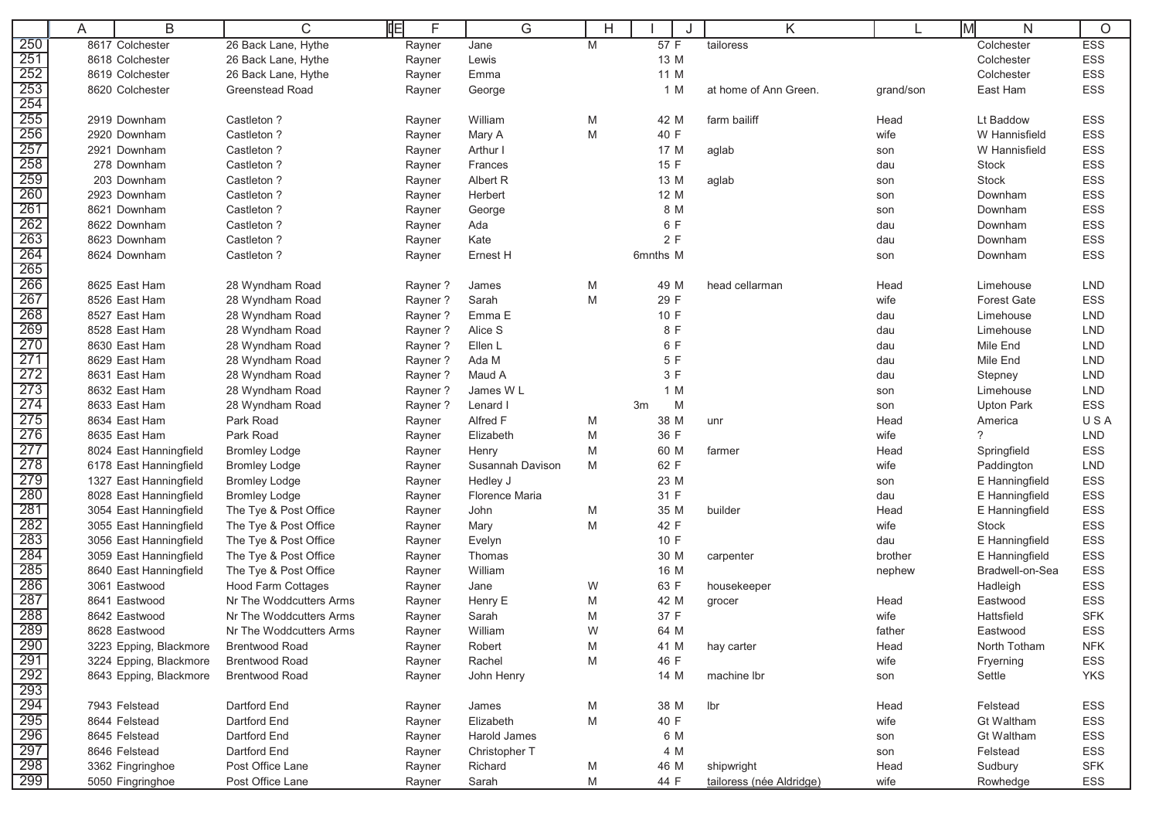|            | A | B                                       | C                                                  | 咱<br>F           | G                     |   |              | Κ                        |              | lм<br>N                        | $\circ$    |
|------------|---|-----------------------------------------|----------------------------------------------------|------------------|-----------------------|---|--------------|--------------------------|--------------|--------------------------------|------------|
| 250        |   | 8617 Colchester                         | 26 Back Lane, Hythe                                | Rayner           | Jane                  | M | 57 F         | tailoress                |              | Colchester                     | <b>ESS</b> |
| 251        |   | 8618 Colchester                         | 26 Back Lane, Hythe                                | Rayner           | Lewis                 |   | 13 M         |                          |              | Colchester                     | <b>ESS</b> |
| 252        |   | 8619 Colchester                         | 26 Back Lane, Hythe                                | Rayner           | Emma                  |   | 11 M         |                          |              | Colchester                     | ESS        |
| 253        |   | 8620 Colchester                         | <b>Greenstead Road</b>                             | Rayner           | George                |   | 1 M          | at home of Ann Green.    | grand/son    | East Ham                       | ESS        |
| 254        |   |                                         |                                                    |                  |                       |   |              |                          |              |                                |            |
| 255        |   | 2919 Downham                            | Castleton ?                                        | Rayner           | William               | M | 42 M         | farm bailiff             | Head         | Lt Baddow                      | <b>ESS</b> |
| 256        |   | 2920 Downham                            | Castleton ?                                        | Rayner           | Mary A                | M | 40 F         |                          | wife         | W Hannisfield                  | ESS        |
| 257        |   | 2921 Downham                            | Castleton ?                                        | Rayner           | Arthur I              |   | 17 M         | aglab                    | son          | W Hannisfield                  | ESS        |
| 258        |   | 278 Downham                             | Castleton ?                                        | Rayner           | Frances               |   | 15 F         |                          | dau          | <b>Stock</b>                   | ESS        |
| 259        |   | 203 Downham                             | Castleton ?                                        | Rayner           | Albert R              |   | 13 M         | aglab                    | son          | <b>Stock</b>                   | ESS        |
| 260        |   | 2923 Downham                            | Castleton ?                                        | Rayner           | Herbert               |   | 12 M         |                          | son          | Downham                        | ESS        |
| 261        |   | 8621 Downham                            | Castleton ?                                        | Rayner           | George                |   | 8 M          |                          | son          | Downham                        | <b>ESS</b> |
| 262        |   | 8622 Downham                            | Castleton ?                                        | Rayner           | Ada                   |   | 6 F          |                          | dau          | Downham                        | <b>ESS</b> |
| 263        |   | 8623 Downham                            | Castleton ?                                        | Rayner           | Kate                  |   | 2F           |                          | dau          | Downham                        | ESS        |
| 264        |   | 8624 Downham                            | Castleton ?                                        | Rayner           | Ernest H              |   | 6mnths M     |                          | son          | Downham                        | ESS        |
| 265        |   |                                         |                                                    |                  |                       |   |              |                          |              |                                |            |
| 266        |   | 8625 East Ham                           | 28 Wyndham Road                                    | Rayner?          | James                 | M | 49 M         | head cellarman           | Head         | Limehouse                      | <b>LND</b> |
| 267        |   | 8526 East Ham                           | 28 Wyndham Road                                    | Rayner?          | Sarah                 | M | 29 F         |                          | wife         | <b>Forest Gate</b>             | <b>ESS</b> |
| 268        |   | 8527 East Ham                           | 28 Wyndham Road                                    | Rayner?          | Emma E                |   | 10 F         |                          | dau          | Limehouse                      | <b>LND</b> |
| 269        |   | 8528 East Ham                           | 28 Wyndham Road                                    | Rayner?          | Alice S               |   | 8 F          |                          | dau          | Limehouse                      | <b>LND</b> |
| 270        |   | 8630 East Ham                           | 28 Wyndham Road                                    | Rayner?          | Ellen L               |   | 6 F          |                          | dau          | Mile End                       | <b>LND</b> |
| 271        |   | 8629 East Ham                           | 28 Wyndham Road                                    | Rayner?          | Ada M                 |   | 5 F          |                          | dau          | Mile End                       | <b>LND</b> |
| 272        |   | 8631 East Ham                           | 28 Wyndham Road                                    | Rayner?          | Maud A                |   | 3 F          |                          | dau          | Stepney                        | <b>LND</b> |
| 273        |   | 8632 East Ham                           | 28 Wyndham Road                                    | Rayner?          | James WL              |   | 1 M          |                          | son          | Limehouse                      | <b>LND</b> |
| 274        |   | 8633 East Ham                           | 28 Wyndham Road                                    | Rayner?          | Lenard I              |   | M<br>3m      |                          | son          | <b>Upton Park</b>              | ESS        |
| 275        |   | 8634 East Ham                           | Park Road                                          | Rayner           | Alfred F              | M | 38 M         | unr                      | Head         | America                        | USA        |
| 276        |   | 8635 East Ham                           | Park Road                                          | Rayner           | Elizabeth             | M | 36 F         |                          | wife         | $\gamma$                       | <b>LND</b> |
| 277        |   | 8024 East Hanningfield                  | <b>Bromley Lodge</b>                               | Rayner           | Henry                 | M | 60 M         | farmer                   | Head         | Springfield                    | <b>ESS</b> |
| 278        |   | 6178 East Hanningfield                  | <b>Bromley Lodge</b>                               | Rayner           | Susannah Davison      | M | 62 F         |                          | wife         | Paddington                     | <b>LND</b> |
| 279        |   | 1327 East Hanningfield                  | <b>Bromley Lodge</b>                               | Rayner           | Hedley J              |   | 23 M         |                          | son          | E Hanningfield                 | ESS        |
| 280<br>281 |   | 8028 East Hanningfield                  | <b>Bromley Lodge</b>                               | Rayner           | <b>Florence Maria</b> |   | 31 F         |                          | dau          | E Hanningfield                 | ESS        |
| 282        |   | 3054 East Hanningfield                  | The Tye & Post Office                              | Rayner           | John                  | M | 35 M         | builder                  | Head<br>wife | E Hanningfield<br><b>Stock</b> | ESS<br>ESS |
| 283        |   | 3055 East Hanningfield                  | The Tye & Post Office                              | Rayner           | Mary                  | M | 42 F         |                          |              |                                |            |
| 284        |   | 3056 East Hanningfield                  | The Tye & Post Office                              | Rayner           | Evelyn                |   | 10 F         |                          | dau          | E Hanningfield                 | <b>ESS</b> |
| 285        |   | 3059 East Hanningfield                  | The Tye & Post Office                              | Rayner           | Thomas                |   | 30 M         | carpenter                | brother      | E Hanningfield                 | ESS<br>ESS |
| 286        |   | 8640 East Hanningfield<br>3061 Eastwood | The Tye & Post Office<br><b>Hood Farm Cottages</b> | Rayner           | William<br>Jane       | W | 16 M<br>63 F | housekeeper              | nephew       | Bradwell-on-Sea                | ESS        |
| 287        |   | 8641 Eastwood                           | Nr The Woddcutters Arms                            | Rayner           | Henry E               | M | 42 M         |                          | Head         | Hadleigh<br>Eastwood           | ESS        |
| 288        |   | 8642 Eastwood                           | Nr The Woddcutters Arms                            | Rayner<br>Rayner | Sarah                 | M | 37 F         | grocer                   | wife         | Hattsfield                     | <b>SFK</b> |
| 289        |   | 8628 Eastwood                           | Nr The Woddcutters Arms                            | Rayner           | William               | W | 64 M         |                          | father       | Eastwood                       | ESS        |
| 290        |   | 3223 Epping, Blackmore                  | <b>Brentwood Road</b>                              |                  | Robert                | M | 41 M         | hay carter               | Head         | North Totham                   | <b>NFK</b> |
| 291        |   | 3224 Epping, Blackmore                  | <b>Brentwood Road</b>                              | Rayner<br>Rayner | Rachel                | M | 46 F         |                          | wife         | Fryerning                      | ESS        |
| 292        |   | 8643 Epping, Blackmore                  | <b>Brentwood Road</b>                              | Rayner           | John Henry            |   | 14 M         | machine lbr              | son          | Settle                         | YKS        |
| 293        |   |                                         |                                                    |                  |                       |   |              |                          |              |                                |            |
|            |   | 7943 Felstead                           | Dartford End                                       | Rayner           | James                 | M | 38 M         | lbr                      | Head         | Felstead                       | ESS        |
| 294<br>295 |   | 8644 Felstead                           | Dartford End                                       | Rayner           | Elizabeth             | M | 40 F         |                          | wife         | <b>Gt Waltham</b>              | ESS        |
| 296        |   | 8645 Felstead                           | Dartford End                                       | Rayner           | Harold James          |   | 6 M          |                          | son          | <b>Gt Waltham</b>              | ESS        |
|            |   | 8646 Felstead                           | Dartford End                                       | Rayner           | Christopher T         |   | 4 M          |                          | son          | Felstead                       | ESS        |
| 297<br>298 |   | 3362 Fingringhoe                        | Post Office Lane                                   | Rayner           | Richard               | M | 46 M         | shipwright               | Head         | Sudbury                        | <b>SFK</b> |
| 299        |   | 5050 Fingringhoe                        | Post Office Lane                                   | Rayner           | Sarah                 | M | 44 F         | tailoress (née Aldridge) | wife         | Rowhedge                       | ESS        |
|            |   |                                         |                                                    |                  |                       |   |              |                          |              |                                |            |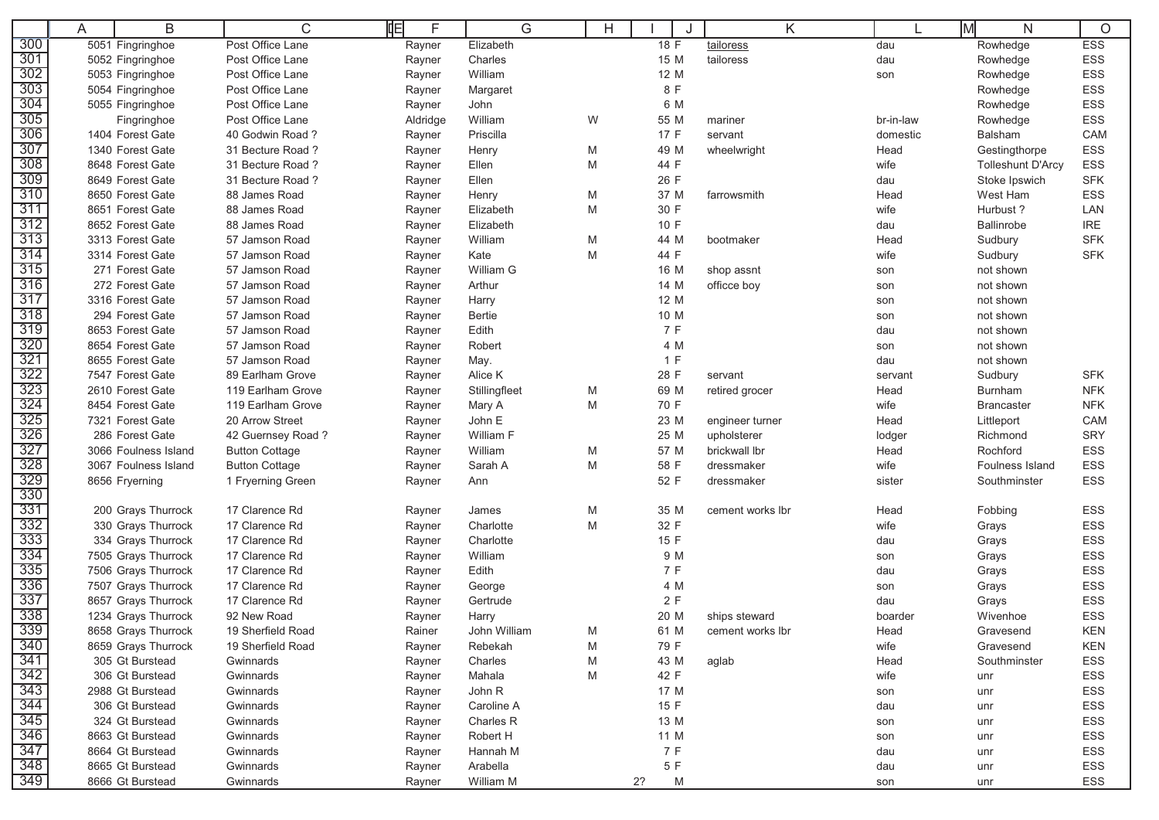|                                     | A | B                    | C                     | F<br>咱   | G             | H |         | Κ                |           | M<br>N                   | $\circ$    |
|-------------------------------------|---|----------------------|-----------------------|----------|---------------|---|---------|------------------|-----------|--------------------------|------------|
| 300                                 |   | 5051 Fingringhoe     | Post Office Lane      | Rayner   | Elizabeth     |   | 18F     | tailoress        | dau       | Rowhedge                 | <b>ESS</b> |
| 301                                 |   | 5052 Fingringhoe     | Post Office Lane      | Rayner   | Charles       |   | 15 M    | tailoress        | dau       | Rowhedge                 | ESS        |
| 302                                 |   | 5053 Fingringhoe     | Post Office Lane      | Rayner   | William       |   | 12 M    |                  | son       | Rowhedge                 | ESS        |
| 303                                 |   | 5054 Fingringhoe     | Post Office Lane      | Rayner   | Margaret      |   | 8 F     |                  |           | Rowhedge                 | ESS        |
| 304                                 |   | 5055 Fingringhoe     | Post Office Lane      | Rayner   | John          |   | 6 M     |                  |           | Rowhedge                 | ESS        |
| 305                                 |   | Fingringhoe          | Post Office Lane      | Aldridge | William       | W | 55 M    | mariner          | br-in-law | Rowhedge                 | ESS        |
| 306                                 |   | 1404 Forest Gate     | 40 Godwin Road?       | Rayner   | Priscilla     |   | 17 F    | servant          | domestic  | Balsham                  | CAM        |
| 307                                 |   | 1340 Forest Gate     | 31 Becture Road?      | Rayner   | Henry         | M | 49 M    | wheelwright      | Head      | Gestingthorpe            | ESS        |
| 308                                 |   | 8648 Forest Gate     | 31 Becture Road?      | Rayner   | Ellen         | M | 44 F    |                  | wife      | <b>Tolleshunt D'Arcy</b> | ESS        |
| 309                                 |   | 8649 Forest Gate     | 31 Becture Road?      | Rayner   | Ellen         |   | 26 F    |                  | dau       | Stoke Ipswich            | <b>SFK</b> |
| 310                                 |   | 8650 Forest Gate     | 88 James Road         | Rayner   | Henry         | M | 37 M    | farrowsmith      | Head      | West Ham                 | ESS        |
| 311                                 |   | 8651 Forest Gate     | 88 James Road         | Rayner   | Elizabeth     | M | 30 F    |                  | wife      | Hurbust?                 | LAN        |
| 312                                 |   | 8652 Forest Gate     | 88 James Road         | Rayner   | Elizabeth     |   | 10 F    |                  | dau       | <b>Ballinrobe</b>        | <b>IRE</b> |
| 313                                 |   | 3313 Forest Gate     | 57 Jamson Road        | Rayner   | William       | M | 44 M    | bootmaker        | Head      | Sudbury                  | <b>SFK</b> |
| 314                                 |   | 3314 Forest Gate     | 57 Jamson Road        | Rayner   | Kate          | M | 44 F    |                  | wife      | Sudbury                  | <b>SFK</b> |
| 315                                 |   | 271 Forest Gate      | 57 Jamson Road        | Rayner   | William G     |   | 16 M    | shop assnt       | son       | not shown                |            |
| 316                                 |   | 272 Forest Gate      | 57 Jamson Road        | Rayner   | Arthur        |   | 14 M    | officce boy      | son       | not shown                |            |
| 317                                 |   | 3316 Forest Gate     | 57 Jamson Road        | Rayner   | Harry         |   | 12 M    |                  | son       | not shown                |            |
| 318                                 |   | 294 Forest Gate      | 57 Jamson Road        | Rayner   | <b>Bertie</b> |   | 10 M    |                  | son       | not shown                |            |
| 319                                 |   | 8653 Forest Gate     | 57 Jamson Road        | Rayner   | Edith         |   | 7 F     |                  | dau       | not shown                |            |
| 320                                 |   | 8654 Forest Gate     | 57 Jamson Road        | Rayner   | Robert        |   | 4 M     |                  | son       | not shown                |            |
| 321                                 |   | 8655 Forest Gate     | 57 Jamson Road        | Rayner   | May.          |   | 1 F     |                  | dau       | not shown                |            |
| 322                                 |   | 7547 Forest Gate     | 89 Earlham Grove      | Rayner   | Alice K       |   | 28 F    | servant          | servant   | Sudbury                  | <b>SFK</b> |
| 323                                 |   | 2610 Forest Gate     | 119 Earlham Grove     | Rayner   | Stillingfleet | M | 69 M    | retired grocer   | Head      | Burnham                  | <b>NFK</b> |
| 324                                 |   | 8454 Forest Gate     | 119 Earlham Grove     | Rayner   | Mary A        | M | 70 F    |                  | wife      | <b>Brancaster</b>        | <b>NFK</b> |
| 325                                 |   | 7321 Forest Gate     | 20 Arrow Street       | Rayner   | John E        |   | 23 M    | engineer turner  | Head      | Littleport               | CAM        |
| 326                                 |   | 286 Forest Gate      | 42 Guernsey Road?     | Rayner   | William F     |   | 25 M    | upholsterer      | lodger    | Richmond                 | <b>SRY</b> |
| 327<br>328                          |   | 3066 Foulness Island | <b>Button Cottage</b> | Rayner   | William       | M | 57 M    | brickwall lbr    | Head      | Rochford                 | <b>ESS</b> |
| 329                                 |   | 3067 Foulness Island | <b>Button Cottage</b> | Rayner   | Sarah A       | M | 58 F    | dressmaker       | wife      | Foulness Island          | ESS        |
| 330                                 |   | 8656 Fryerning       | 1 Fryerning Green     | Rayner   | Ann           |   | 52 F    | dressmaker       | sister    | Southminster             | <b>ESS</b> |
| 331                                 |   | 200 Grays Thurrock   | 17 Clarence Rd        | Rayner   | James         | M | 35 M    | cement works lbr | Head      | Fobbing                  | ESS        |
| 332                                 |   | 330 Grays Thurrock   | 17 Clarence Rd        | Rayner   | Charlotte     | M | 32 F    |                  | wife      | Grays                    | ESS        |
| 333                                 |   | 334 Grays Thurrock   | 17 Clarence Rd        | Rayner   | Charlotte     |   | 15 F    |                  | dau       | Grays                    | ESS        |
| 334                                 |   | 7505 Grays Thurrock  | 17 Clarence Rd        | Rayner   | William       |   | 9 M     |                  | son       | Grays                    | <b>ESS</b> |
| 335                                 |   | 7506 Grays Thurrock  | 17 Clarence Rd        | Rayner   | Edith         |   | 7 F     |                  | dau       | Grays                    | ESS        |
| 336                                 |   | 7507 Grays Thurrock  | 17 Clarence Rd        | Rayner   | George        |   | 4 M     |                  | son       | Grays                    | ESS        |
| 337                                 |   | 8657 Grays Thurrock  | 17 Clarence Rd        | Rayner   | Gertrude      |   | 2F      |                  | dau       | Grays                    | <b>ESS</b> |
| 338                                 |   | 1234 Grays Thurrock  | 92 New Road           | Rayner   | Harry         |   | 20 M    | ships steward    | boarder   | Wivenhoe                 | <b>ESS</b> |
| 339                                 |   | 8658 Grays Thurrock  | 19 Sherfield Road     | Rainer   | John William  | M | 61 M    | cement works lbr | Head      | Gravesend                | <b>KEN</b> |
| 340                                 |   | 8659 Grays Thurrock  | 19 Sherfield Road     | Rayner   | Rebekah       | M | 79 F    |                  | wife      | Gravesend                | <b>KEN</b> |
| $\frac{341}{342}$ $\frac{343}{343}$ |   | 305 Gt Burstead      | Gwinnards             | Rayner   | Charles       | M | 43 M    | aglab            | Head      | Southminster             | ESS        |
|                                     |   | 306 Gt Burstead      | Gwinnards             | Rayner   | Mahala        | M | 42 F    |                  | wife      | unr                      | ESS        |
|                                     |   | 2988 Gt Burstead     | Gwinnards             | Rayner   | John R        |   | 17 M    |                  | son       | unr                      | ESS        |
| $\frac{344}{345}$                   |   | 306 Gt Burstead      | Gwinnards             | Rayner   | Caroline A    |   | 15 F    |                  | dau       | unr                      | ESS        |
|                                     |   | 324 Gt Burstead      | Gwinnards             | Rayner   | Charles R     |   | 13 M    |                  | son       | unr                      | ESS        |
| 346                                 |   | 8663 Gt Burstead     | Gwinnards             | Rayner   | Robert H      |   | 11 M    |                  | son       | unr                      | ESS        |
| 347<br>348<br>349                   |   | 8664 Gt Burstead     | Gwinnards             | Rayner   | Hannah M      |   | 7 F     |                  | dau       | unr                      | ESS        |
|                                     |   | 8665 Gt Burstead     | Gwinnards             | Rayner   | Arabella      |   | 5 F     |                  | dau       | unr                      | ESS        |
|                                     |   | 8666 Gt Burstead     | Gwinnards             | Rayner   | William M     |   | 2?<br>M |                  | son       | unr                      | ESS        |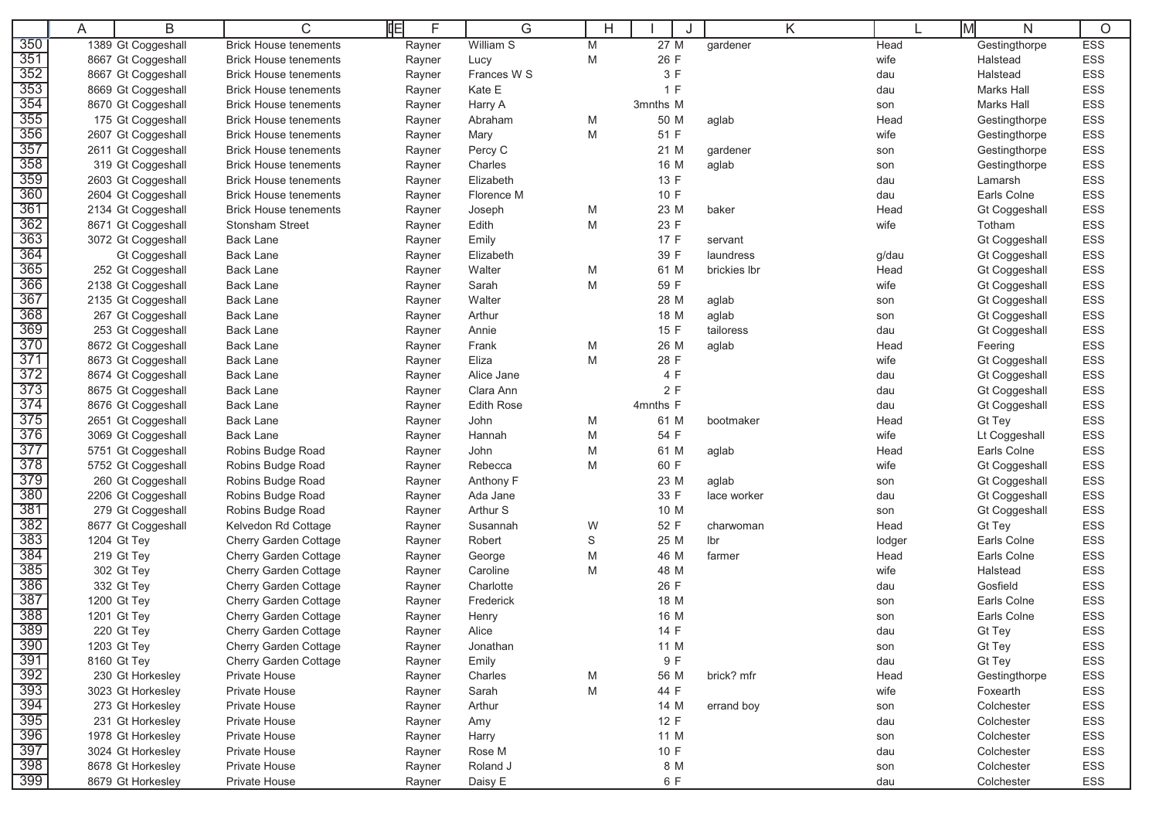|                   | A | B                                        | C                                     | 咱<br>F           | G                 | Н      |              | J            | Κ |              | M<br>N                       | O          |
|-------------------|---|------------------------------------------|---------------------------------------|------------------|-------------------|--------|--------------|--------------|---|--------------|------------------------------|------------|
| 350               |   | 1389 Gt Coggeshall                       | <b>Brick House tenements</b>          | Rayner           | William S         | M      | 27 M         | gardener     |   | Head         | Gestingthorpe                | <b>ESS</b> |
| 351               |   | 8667 Gt Coggeshall                       | <b>Brick House tenements</b>          | Rayner           | Lucy              | M      | 26 F         |              |   | wife         | Halstead                     | ESS        |
| 352               |   | 8667 Gt Coggeshall                       | <b>Brick House tenements</b>          | Rayner           | Frances W S       |        | 3F           |              |   | dau          | Halstead                     | ESS        |
| 353               |   | 8669 Gt Coggeshall                       | <b>Brick House tenements</b>          | Rayner           | Kate E            |        | 1 F          |              |   | dau          | <b>Marks Hall</b>            | ESS        |
| 354               |   | 8670 Gt Coggeshall                       | <b>Brick House tenements</b>          | Rayner           | Harry A           |        | 3mnths M     |              |   | son          | Marks Hall                   | ESS        |
| 355               |   | 175 Gt Coggeshall                        | <b>Brick House tenements</b>          | Rayner           | Abraham           | M      | 50 M         | aglab        |   | Head         | Gestingthorpe                | ESS        |
| 356               |   | 2607 Gt Coggeshall                       | <b>Brick House tenements</b>          | Rayner           | Mary              | M      | 51 F         |              |   | wife         | Gestingthorpe                | ESS        |
| 357               |   | 2611 Gt Coggeshall                       | <b>Brick House tenements</b>          | Rayner           | Percy C           |        | 21 M         | gardener     |   | son          | Gestingthorpe                | ESS        |
| 358               |   | 319 Gt Coggeshall                        | <b>Brick House tenements</b>          | Rayner           | Charles           |        | 16 M         | aglab        |   | son          | Gestingthorpe                | ESS        |
| 359               |   | 2603 Gt Coggeshall                       | <b>Brick House tenements</b>          | Rayner           | Elizabeth         |        | 13 F         |              |   | dau          | Lamarsh                      | ESS        |
| 360               |   | 2604 Gt Coggeshall                       | <b>Brick House tenements</b>          | Rayner           | Florence M        |        | 10 F         |              |   | dau          | Earls Colne                  | ESS        |
| 361               |   | 2134 Gt Coggeshall                       | <b>Brick House tenements</b>          | Rayner           | Joseph            | M      | 23 M         | baker        |   | Head         | <b>Gt Coggeshall</b>         | ESS        |
| 362               |   | 8671 Gt Coggeshall                       | Stonsham Street                       | Rayner           | Edith             | M      | 23 F         |              |   | wife         | Totham                       | ESS        |
| 363               |   | 3072 Gt Coggeshall                       | <b>Back Lane</b>                      | Rayner           | Emily             |        | 17 F         | servant      |   |              | Gt Coggeshall                | ESS        |
| 364               |   | <b>Gt Coggeshall</b>                     | <b>Back Lane</b>                      | Rayner           | Elizabeth         |        | 39 F         | laundress    |   | g/dau        | Gt Coggeshall                | ESS        |
| 365               |   | 252 Gt Coggeshall                        | <b>Back Lane</b>                      | Rayner           | Walter            | M      | 61 M         | brickies Ibr |   | Head         | Gt Coggeshall                | ESS        |
| 366               |   | 2138 Gt Coggeshall                       | <b>Back Lane</b>                      | Rayner           | Sarah             | M      | 59 F         |              |   | wife         | Gt Coggeshall                | ESS        |
| 367               |   | 2135 Gt Coggeshall                       | <b>Back Lane</b>                      | Rayner           | Walter            |        | 28 M         | aglab        |   | son          | Gt Coggeshall                | ESS        |
| 368               |   | 267 Gt Coggeshall                        | <b>Back Lane</b>                      | Rayner           | Arthur            |        | 18 M         | aglab        |   | son          | Gt Coggeshall                | ESS        |
| 369               |   | 253 Gt Coggeshall                        | <b>Back Lane</b>                      | Rayner           | Annie             |        | 15 F         | tailoress    |   | dau          | Gt Coggeshall                | ESS        |
| 370               |   | 8672 Gt Coggeshall                       | <b>Back Lane</b>                      | Rayner           | Frank             | M      | 26 M         | aglab        |   | Head         | Feering                      | ESS        |
| 371               |   | 8673 Gt Coggeshall                       | <b>Back Lane</b>                      | Rayner           | Eliza             | M      | 28 F         |              |   | wife         | Gt Coggeshall                | ESS        |
| 372               |   | 8674 Gt Coggeshall                       | <b>Back Lane</b>                      | Rayner           | Alice Jane        |        | 4 F          |              |   | dau          | Gt Coggeshall                | ESS        |
| 373               |   | 8675 Gt Coggeshall                       | <b>Back Lane</b>                      | Rayner           | Clara Ann         |        | 2F           |              |   | dau          | Gt Coggeshall                | ESS        |
| 374<br>375        |   | 8676 Gt Coggeshall                       | <b>Back Lane</b>                      | Rayner           | <b>Edith Rose</b> |        | 4mnths F     |              |   | dau          | Gt Coggeshall                | ESS        |
| 376               |   | 2651 Gt Coggeshall                       | <b>Back Lane</b>                      | Rayner           | John              | M      | 61 M<br>54 F | bootmaker    |   | Head         | Gt Tey                       | ESS        |
| 377               |   | 3069 Gt Coggeshall<br>5751 Gt Coggeshall | <b>Back Lane</b><br>Robins Budge Road | Rayner           | Hannah<br>John    | M<br>M | 61 M         |              |   | wife<br>Head | Lt Coggeshall<br>Earls Colne | ESS<br>ESS |
| 378               |   | 5752 Gt Coggeshall                       | Robins Budge Road                     | Rayner<br>Rayner | Rebecca           | M      | 60 F         | aglab        |   | wife         | Gt Coggeshall                | ESS        |
| 379               |   | 260 Gt Coggeshall                        | Robins Budge Road                     | Rayner           | Anthony F         |        | 23 M         | aglab        |   |              | Gt Coggeshall                | ESS        |
| 380               |   | 2206 Gt Coggeshall                       | Robins Budge Road                     | Rayner           | Ada Jane          |        | 33 F         | lace worker  |   | son<br>dau   | Gt Coggeshall                | ESS        |
| 381               |   | 279 Gt Coggeshall                        | Robins Budge Road                     | Rayner           | Arthur S          |        | 10 M         |              |   | son          | Gt Coggeshall                | ESS        |
| 382               |   | 8677 Gt Coggeshall                       | Kelvedon Rd Cottage                   | Rayner           | Susannah          | W      | 52 F         | charwoman    |   | Head         | Gt Tey                       | ESS        |
| 383               |   | 1204 Gt Tey                              | Cherry Garden Cottage                 | Rayner           | Robert            | S      | 25 M         | lbr          |   | lodger       | Earls Colne                  | ESS        |
| 384               |   | 219 Gt Tey                               | Cherry Garden Cottage                 | Rayner           | George            | M      | 46 M         | farmer       |   | Head         | Earls Colne                  | ESS        |
| 385               |   | 302 Gt Tey                               | Cherry Garden Cottage                 | Rayner           | Caroline          | M      | 48 M         |              |   | wife         | Halstead                     | ESS        |
| 386               |   | 332 Gt Tey                               | Cherry Garden Cottage                 | Rayner           | Charlotte         |        | 26 F         |              |   | dau          | Gosfield                     | ESS        |
| 387               |   | 1200 Gt Tey                              | Cherry Garden Cottage                 | Rayner           | Frederick         |        | 18 M         |              |   | son          | Earls Colne                  | ESS        |
| 388               |   | 1201 Gt Tey                              | Cherry Garden Cottage                 | Rayner           | Henry             |        | 16 M         |              |   | son          | Earls Colne                  | <b>ESS</b> |
| 389               |   | 220 Gt Tey                               | Cherry Garden Cottage                 | Rayner           | Alice             |        | 14 F         |              |   | dau          | <b>Gt Tey</b>                | ESS        |
| 390               |   | 1203 Gt Tey                              | Cherry Garden Cottage                 | Rayner           | Jonathan          |        | 11 M         |              |   | son          | Gt Tey                       | ESS        |
| 391               |   | 8160 Gt Tey                              | Cherry Garden Cottage                 | Rayner           | Emily             |        | 9 F          |              |   | dau          | Gt Tey                       | ESS        |
| 392               |   | 230 Gt Horkesley                         | Private House                         | Rayner           | Charles           | M      | 56 M         | brick? mfr   |   | Head         | Gestingthorpe                | ESS        |
| 393               |   | 3023 Gt Horkesley                        | Private House                         | Rayner           | Sarah             | M      | 44 F         |              |   | wife         | Foxearth                     | ESS        |
| 394               |   | 273 Gt Horkesley                         | Private House                         | Rayner           | Arthur            |        | 14 M         | errand boy   |   | son          | Colchester                   | ESS        |
| 395               |   | 231 Gt Horkesley                         | Private House                         | Rayner           | Amy               |        | 12 F         |              |   | dau          | Colchester                   | ESS        |
| 396               |   | 1978 Gt Horkesley                        | Private House                         | Rayner           | Harry             |        | 11 M         |              |   | son          | Colchester                   | ESS        |
| 397               |   | 3024 Gt Horkesley                        | Private House                         | Rayner           | Rose M            |        | 10 F         |              |   | dau          | Colchester                   | ESS        |
| $\frac{398}{399}$ |   | 8678 Gt Horkesley                        | Private House                         | Rayner           | Roland J          |        | 8 M          |              |   | son          | Colchester                   | ESS        |
|                   |   | 8679 Gt Horkesley                        | Private House                         | Rayner           | Daisy E           |        | 6 F          |              |   | dau          | Colchester                   | ESS        |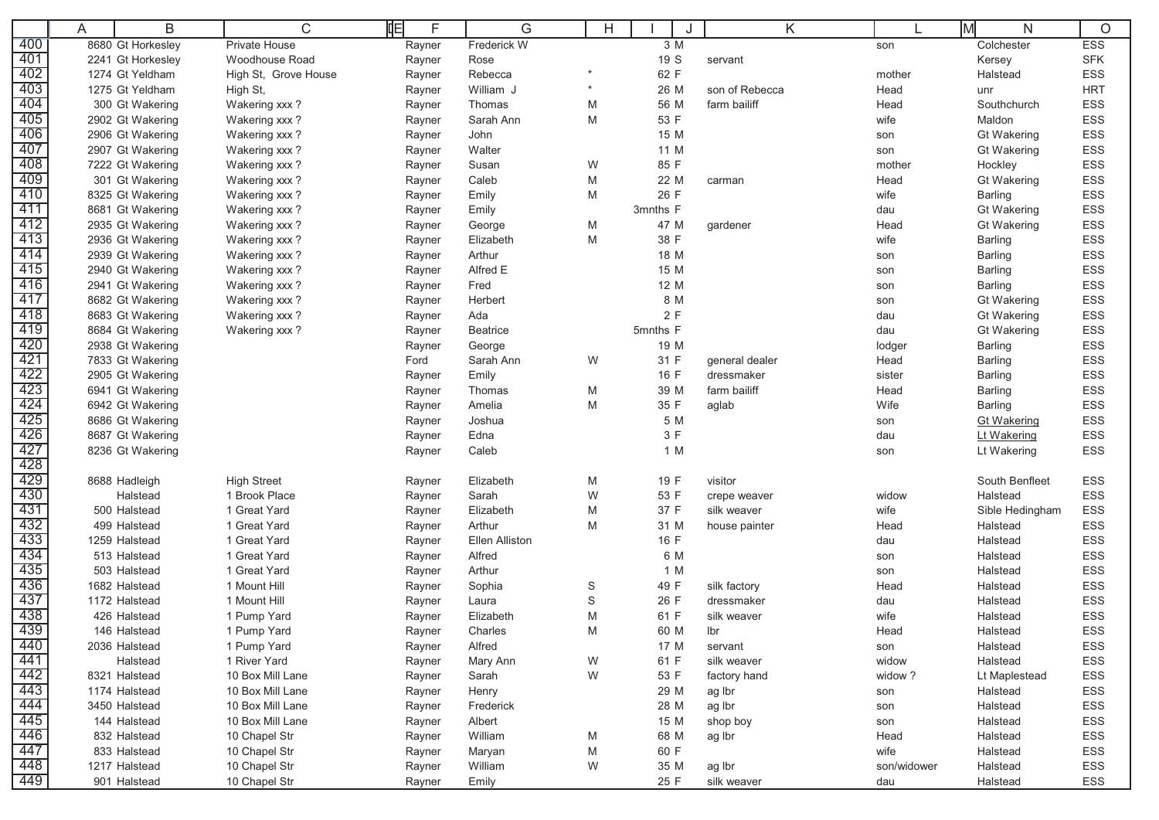|            | A | B                                    | C                    | F<br>IФ          | G                     | H      |             | Κ              |             | M<br>N                        | $\circ$    |
|------------|---|--------------------------------------|----------------------|------------------|-----------------------|--------|-------------|----------------|-------------|-------------------------------|------------|
| 400        |   | 8680 Gt Horkesley                    | <b>Private House</b> | Rayner           | Frederick W           |        | 3 M         |                | son         | Colchester                    | <b>ESS</b> |
| 401        |   | 2241 Gt Horkesley                    | Woodhouse Road       | Rayner           | Rose                  |        | 19 S        | servant        |             | Kersey                        | <b>SFK</b> |
| 402        |   | 1274 Gt Yeldham                      | High St, Grove House | Rayner           | Rebecca               |        | 62 F        |                | mother      | Halstead                      | ESS        |
| 403        |   | 1275 Gt Yeldham                      | High St,             | Rayner           | William J             | $\ast$ | 26 M        | son of Rebecca | Head        | unr                           | <b>HRT</b> |
| 404        |   | 300 Gt Wakering                      | Wakering xxx?        | Rayner           | Thomas                | M      | 56 M        | farm bailiff   | Head        | Southchurch                   | ESS        |
| 405        |   | 2902 Gt Wakering                     | Wakering xxx?        | Rayner           | Sarah Ann             | M      | 53 F        |                | wife        | Maldon                        | ESS        |
| 406        |   | 2906 Gt Wakering                     | Wakering xxx?        | Rayner           | John                  |        | 15 M        |                | son         | <b>Gt Wakering</b>            | ESS        |
| 407        |   | 2907 Gt Wakering                     | Wakering xxx?        | Rayner           | Walter                |        | 11 M        |                | son         | <b>Gt Wakering</b>            | ESS        |
| 408        |   | 7222 Gt Wakering                     | Wakering xxx?        | Rayner           | Susan                 | W      | 85 F        |                | mother      | Hockley                       | ESS        |
| 409        |   | 301 Gt Wakering                      | Wakering xxx?        | Rayner           | Caleb                 | M      | 22 M        | carman         | Head        | <b>Gt Wakering</b>            | ESS        |
| 410        |   | 8325 Gt Wakering                     | Wakering xxx?        | Rayner           | Emily                 | M      | 26 F        |                | wife        | Barling                       | ESS        |
| 411        |   | 8681 Gt Wakering                     | Wakering xxx?        | Rayner           | Emily                 |        | 3mnths F    |                | dau         | <b>Gt Wakering</b>            | ESS        |
| 412        |   | 2935 Gt Wakering                     | Wakering xxx?        | Rayner           | George                | M      | 47 M        | gardener       | Head        | <b>Gt Wakering</b>            | ESS        |
| 413        |   | 2936 Gt Wakering                     | Wakering xxx?        | Rayner           | Elizabeth             | M      | 38 F        |                | wife        | Barling                       | ESS        |
| 414        |   | 2939 Gt Wakering                     | Wakering xxx?        | Rayner           | Arthur                |        | 18 M        |                | son         | Barling                       | ESS        |
| 415        |   | 2940 Gt Wakering                     | Wakering xxx?        | Rayner           | Alfred E              |        | 15 M        |                | son         | Barling                       | ESS        |
| 416        |   | 2941 Gt Wakering                     | Wakering xxx?        | Rayner           | Fred                  |        | 12 M        |                | son         | <b>Barling</b>                | ESS        |
| 417        |   | 8682 Gt Wakering                     | Wakering xxx?        | Rayner           | Herbert               |        | 8 M         |                | son         | <b>Gt Wakering</b>            | ESS        |
| 418        |   | 8683 Gt Wakering                     | Wakering xxx?        | Rayner           | Ada                   |        | 2 F         |                | dau         | <b>Gt Wakering</b>            | ESS        |
| 419        |   | 8684 Gt Wakering                     | Wakering xxx?        | Rayner           | Beatrice              |        | 5mnths F    |                | dau         | <b>Gt Wakering</b>            | ESS        |
| 420        |   | 2938 Gt Wakering                     |                      | Rayner           | George                |        | 19 M        |                | lodger      | Barling                       | ESS        |
| 421<br>422 |   | 7833 Gt Wakering                     |                      | Ford             | Sarah Ann             | W      | 31 F        | general dealer | Head        | Barling                       | ESS        |
| 423        |   | 2905 Gt Wakering                     |                      | Rayner           | Emily                 |        | 16 F        | dressmaker     | sister      | <b>Barling</b>                | ESS<br>ESS |
| 424        |   | 6941 Gt Wakering                     |                      | Rayner           | Thomas                | M      | 39 M        | farm bailiff   | Head        | <b>Barling</b>                |            |
| 425        |   | 6942 Gt Wakering<br>8686 Gt Wakering |                      | Rayner           | Amelia<br>Joshua      | M      | 35 F<br>5 M | aglab          | Wife        | Barling<br><b>Gt Wakering</b> | ESS<br>ESS |
| 426        |   | 8687 Gt Wakering                     |                      | Rayner<br>Rayner | Edna                  |        | 3 F         |                | son<br>dau  | Lt Wakering                   | ESS        |
| 427        |   | 8236 Gt Wakering                     |                      | Rayner           | Caleb                 |        | 1 M         |                | son         | Lt Wakering                   | ESS        |
| 428        |   |                                      |                      |                  |                       |        |             |                |             |                               |            |
| 429        |   | 8688 Hadleigh                        | <b>High Street</b>   | Rayner           | Elizabeth             | M      | 19 F        | visitor        |             | South Benfleet                | ESS        |
| 430        |   | Halstead                             | 1 Brook Place        | Rayner           | Sarah                 | W      | 53 F        | crepe weaver   | widow       | Halstead                      | ESS        |
| 431        |   | 500 Halstead                         | 1 Great Yard         | Rayner           | Elizabeth             | M      | 37 F        | silk weaver    | wife        | Sible Hedingham               | ESS        |
| 432        |   | 499 Halstead                         | 1 Great Yard         | Rayner           | Arthur                | M      | 31 M        | house painter  | Head        | Halstead                      | ESS        |
| 433        |   | 1259 Halstead                        | 1 Great Yard         | Rayner           | <b>Ellen Alliston</b> |        | 16 F        |                | dau         | Halstead                      | ESS        |
| 434        |   | 513 Halstead                         | 1 Great Yard         | Rayner           | Alfred                |        | 6 M         |                | son         | Halstead                      | ESS        |
| 435        |   | 503 Halstead                         | 1 Great Yard         | Rayner           | Arthur                |        | 1 M         |                | son         | Halstead                      | ESS        |
| 436        |   | 1682 Halstead                        | 1 Mount Hill         | Rayner           | Sophia                | S      | 49 F        | silk factory   | Head        | Halstead                      | <b>ESS</b> |
| 437        |   | 1172 Halstead                        | 1 Mount Hill         | Rayner           | Laura                 | S      | 26 F        | dressmaker     | dau         | Halstead                      | ESS        |
| 438        |   | 426 Halstead                         | 1 Pump Yard          | Rayner           | Elizabeth             | M      | 61 F        | silk weaver    | wife        | Halstead                      | ESS        |
| 439        |   | 146 Halstead                         | 1 Pump Yard          | Rayner           | Charles               | M      | 60 M        | lbr            | Head        | Halstead                      | ESS        |
| 440        |   | 2036 Halstead                        | 1 Pump Yard          | Rayner           | Alfred                |        | 17 M        | servant        | son         | Halstead                      | ESS        |
| 441        |   | Halstead                             | 1 River Yard         | Rayner           | Mary Ann              | W      | 61 F        | silk weaver    | widow       | Halstead                      | ESS        |
| 442        |   | 8321 Halstead                        | 10 Box Mill Lane     | Rayner           | Sarah                 | W      | 53 F        | factory hand   | widow?      | Lt Maplestead                 | ESS        |
| 443        |   | 1174 Halstead                        | 10 Box Mill Lane     | Rayner           | Henry                 |        | 29 M        | ag Ibr         | son         | Halstead                      | ESS        |
| 444        |   | 3450 Halstead                        | 10 Box Mill Lane     | Rayner           | Frederick             |        | 28 M        | ag Ibr         | son         | Halstead                      | ESS        |
| 445        |   | 144 Halstead                         | 10 Box Mill Lane     | Rayner           | Albert                |        | 15 M        | shop boy       | son         | Halstead                      | ESS        |
| 446        |   | 832 Halstead                         | 10 Chapel Str        | Rayner           | William               | M      | 68 M        | ag Ibr         | Head        | Halstead                      | ESS        |
| 447        |   | 833 Halstead                         | 10 Chapel Str        | Rayner           | Maryan                | M      | 60 F        |                | wife        | Halstead                      | ESS        |
| 448        |   | 1217 Halstead                        | 10 Chapel Str        | Rayner           | William               | W      | 35 M        | ag Ibr         | son/widower | Halstead                      | ESS        |
| 449        |   | 901 Halstead                         | 10 Chapel Str        | Rayner           | Emily                 |        | 25 F        | silk weaver    | dau         | Halstead                      | ESS        |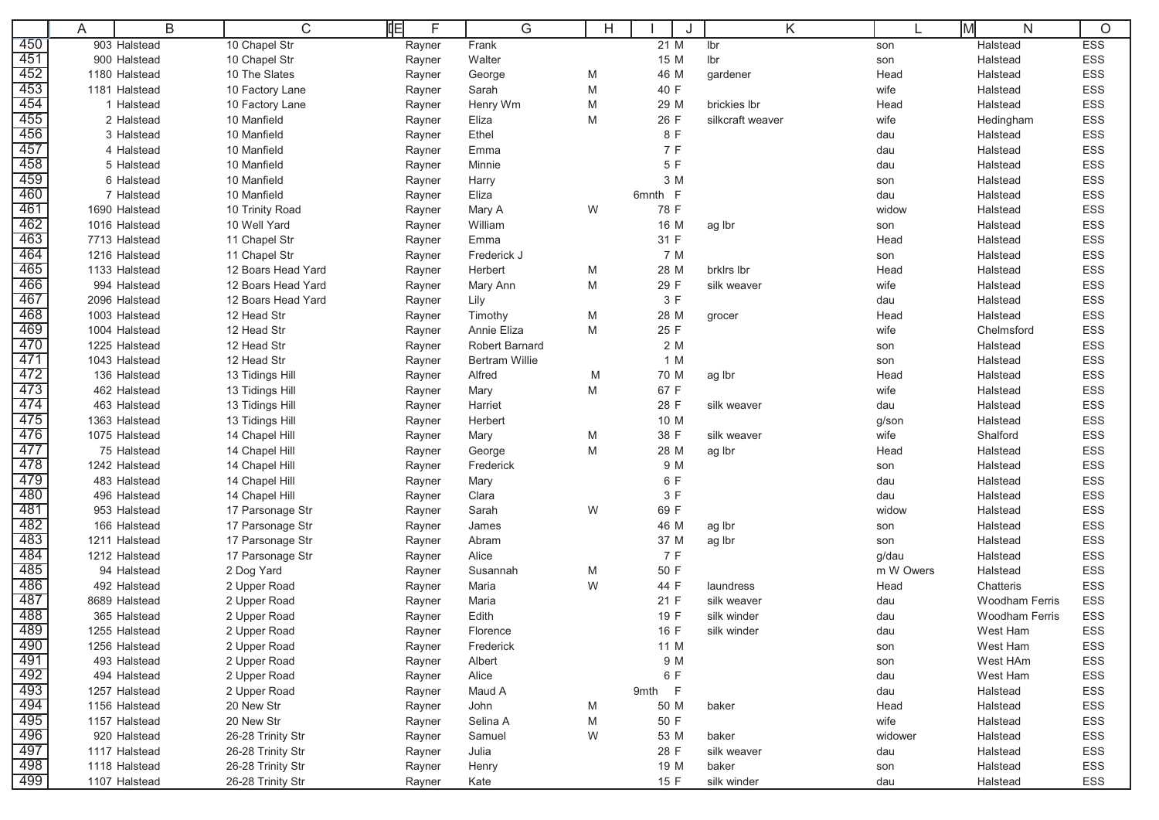|            | A |                               | B | C                                      | 咱 | F      | G                     |   | H |         | K                |           | ΙM<br>N               | O          |
|------------|---|-------------------------------|---|----------------------------------------|---|--------|-----------------------|---|---|---------|------------------|-----------|-----------------------|------------|
| 450        |   | 903 Halstead                  |   | 10 Chapel Str                          |   | Rayner | Frank                 |   |   | 21 M    | Ibr              | son       | Halstead              | <b>ESS</b> |
| 451        |   | 900 Halstead                  |   | 10 Chapel Str                          |   | Rayner | Walter                |   |   | 15 M    | Ibr              | son       | Halstead              | ESS        |
| 452        |   | 1180 Halstead                 |   | 10 The Slates                          |   | Rayner | George                | M |   | 46 M    | gardener         | Head      | Halstead              | <b>ESS</b> |
| 453        |   | 1181 Halstead                 |   | 10 Factory Lane                        |   | Rayner | Sarah                 | M |   | 40 F    |                  | wife      | Halstead              | ESS        |
| 454        |   | 1 Halstead                    |   | 10 Factory Lane                        |   | Rayner | Henry Wm              | M |   | 29 M    | brickies lbr     | Head      | Halstead              | ESS        |
| 455        |   | 2 Halstead                    |   | 10 Manfield                            |   | Rayner | Eliza                 | M |   | 26 F    | silkcraft weaver | wife      | Hedingham             | ESS        |
| 456        |   | 3 Halstead                    |   | 10 Manfield                            |   | Rayner | Ethel                 |   |   | 8 F     |                  | dau       | Halstead              | ESS        |
| 457        |   | 4 Halstead                    |   | 10 Manfield                            |   | Rayner | Emma                  |   |   | 7 F     |                  | dau       | Halstead              | ESS        |
| 458        |   | 5 Halstead                    |   | 10 Manfield                            |   | Rayner | Minnie                |   |   | 5 F     |                  | dau       | Halstead              | ESS        |
| 459        |   | 6 Halstead                    |   | 10 Manfield                            |   | Rayner | Harry                 |   |   | 3 M     |                  | son       | Halstead              | ESS        |
| 460        |   | 7 Halstead                    |   | 10 Manfield                            |   | Rayner | Eliza                 |   |   | 6mnth F |                  | dau       | Halstead              | ESS        |
| 461        |   | 1690 Halstead                 |   | 10 Trinity Road                        |   | Rayner | Mary A                | W |   | 78 F    |                  | widow     | Halstead              | ESS        |
| 462        |   | 1016 Halstead                 |   | 10 Well Yard                           |   | Rayner | William               |   |   | 16 M    | ag Ibr           | son       | Halstead              | ESS        |
| 463        |   | 7713 Halstead                 |   | 11 Chapel Str                          |   | Rayner | Emma                  |   |   | 31 F    |                  | Head      | Halstead              | ESS        |
| 464        |   | 1216 Halstead                 |   | 11 Chapel Str                          |   | Rayner | Frederick J           |   |   | 7 M     |                  | son       | Halstead              | ESS        |
| 465        |   | 1133 Halstead                 |   | 12 Boars Head Yard                     |   | Rayner | Herbert               | M |   | 28 M    | brklrs lbr       | Head      | Halstead              | ESS        |
| 466        |   | 994 Halstead                  |   | 12 Boars Head Yard                     |   | Rayner | Mary Ann              | M |   | 29 F    | silk weaver      | wife      | Halstead              | ESS        |
| 467        |   | 2096 Halstead                 |   | 12 Boars Head Yard                     |   | Rayner | Lily                  |   |   | 3 F     |                  | dau       | Halstead              | ESS        |
| 468        |   | 1003 Halstead                 |   | 12 Head Str                            |   | Rayner | Timothy               | M |   | 28 M    | grocer           | Head      | Halstead              | ESS        |
| 469        |   | 1004 Halstead                 |   | 12 Head Str                            |   | Rayner | Annie Eliza           | M |   | 25 F    |                  | wife      | Chelmsford            | ESS        |
| 470        |   | 1225 Halstead                 |   | 12 Head Str                            |   | Rayner | Robert Barnard        |   |   | 2 M     |                  | son       | Halstead              | <b>ESS</b> |
| 471        |   | 1043 Halstead                 |   | 12 Head Str                            |   | Rayner | <b>Bertram Willie</b> |   |   | 1 M     |                  | son       | Halstead              | ESS        |
| 472        |   | 136 Halstead                  |   | 13 Tidings Hill                        |   | Rayner | Alfred                | M |   | 70 M    | ag Ibr           | Head      | Halstead              | ESS        |
| 473        |   | 462 Halstead                  |   | 13 Tidings Hill                        |   | Rayner | Mary                  | M |   | 67 F    |                  | wife      | Halstead              | ESS        |
| 474        |   | 463 Halstead                  |   | 13 Tidings Hill                        |   | Rayner | Harriet               |   |   | 28 F    | silk weaver      | dau       | Halstead              | ESS        |
| 475        |   | 1363 Halstead                 |   | 13 Tidings Hill                        |   | Rayner | Herbert               |   |   | 10 M    |                  | g/son     | Halstead              | ESS        |
| 476        |   | 1075 Halstead                 |   | 14 Chapel Hill                         |   | Rayner | Mary                  | M |   | 38 F    | silk weaver      | wife      | Shalford              | ESS        |
| 477        |   | 75 Halstead                   |   | 14 Chapel Hill                         |   | Rayner | George                | M |   | 28 M    | ag Ibr           | Head      | Halstead              | ESS        |
| 478        |   | 1242 Halstead                 |   | 14 Chapel Hill                         |   | Rayner | Frederick             |   |   | 9 M     |                  | son       | Halstead              | ESS        |
| 479        |   | 483 Halstead                  |   | 14 Chapel Hill                         |   | Rayner | Mary                  |   |   | 6 F     |                  | dau       | Halstead              | ESS        |
| 480        |   | 496 Halstead                  |   | 14 Chapel Hill                         |   | Rayner | Clara                 |   |   | 3 F     |                  | dau       | Halstead              | ESS        |
| 481        |   | 953 Halstead                  |   | 17 Parsonage Str                       |   | Rayner | Sarah                 | W |   | 69 F    |                  | widow     | Halstead              | ESS        |
| 482        |   | 166 Halstead                  |   | 17 Parsonage Str                       |   | Rayner | James                 |   |   | 46 M    | ag Ibr           | son       | Halstead              | ESS        |
| 483        |   | 1211 Halstead                 |   | 17 Parsonage Str                       |   | Rayner | Abram                 |   |   | 37 M    | ag Ibr           | son       | Halstead              | ESS        |
| 484        |   | 1212 Halstead                 |   | 17 Parsonage Str                       |   | Rayner | Alice                 |   |   | 7 F     |                  | g/dau     | Halstead              | ESS        |
| 485        |   | 94 Halstead                   |   | 2 Dog Yard                             |   | Rayner | Susannah              | M |   | 50 F    |                  | m W Owers | Halstead              | ESS        |
| 486        |   | 492 Halstead                  |   | 2 Upper Road                           |   | Rayner | Maria                 | W |   | 44 F    | laundress        | Head      | Chatteris             | <b>ESS</b> |
| 487        |   | 8689 Halstead                 |   | 2 Upper Road                           |   | Rayner | Maria                 |   |   | 21 F    | silk weaver      | dau       | <b>Woodham Ferris</b> | <b>ESS</b> |
| 488<br>489 |   | 365 Halstead                  |   | 2 Upper Road                           |   | Rayner | Edith                 |   |   | 19 F    | silk winder      | dau       | <b>Woodham Ferris</b> | <b>ESS</b> |
|            |   | 1255 Halstead                 |   | 2 Upper Road                           |   | Rayner | Florence              |   |   | 16 F    | silk winder      | dau       | West Ham              | <b>ESS</b> |
| 490        |   | 1256 Halstead                 |   | 2 Upper Road                           |   | Rayner | Frederick             |   |   | 11 M    |                  | son       | West Ham              | ESS        |
| 491        |   | 493 Halstead                  |   | 2 Upper Road                           |   | Rayner | Albert                |   |   | 9 M     |                  | son       | West HAm              | ESS        |
| 492        |   | 494 Halstead                  |   | 2 Upper Road                           |   | Rayner | Alice                 |   |   | 6 F     |                  | dau       | West Ham              | ESS        |
| 493<br>494 |   | 1257 Halstead                 |   | 2 Upper Road                           |   | Rayner | Maud A                |   |   | 9mth F  |                  | dau       | Halstead              | ESS        |
| 495        |   | 1156 Halstead                 |   | 20 New Str                             |   | Rayner | John                  | M |   | 50 M    | baker            | Head      | Halstead              | ESS        |
| 496        |   | 1157 Halstead                 |   | 20 New Str                             |   | Rayner | Selina A              | M |   | 50 F    |                  | wife      | Halstead              | ESS        |
| 497        |   | 920 Halstead<br>1117 Halstead |   | 26-28 Trinity Str<br>26-28 Trinity Str |   | Rayner | Samuel                | W |   | 53 M    | baker            | widower   | Halstead              | ESS        |
| 498        |   |                               |   |                                        |   | Rayner | Julia                 |   |   | 28 F    | silk weaver      | dau       | Halstead              | ESS        |
| 499        |   | 1118 Halstead                 |   | 26-28 Trinity Str                      |   | Rayner | Henry                 |   |   | 19 M    | baker            | son       | Halstead              | ESS        |
|            |   | 1107 Halstead                 |   | 26-28 Trinity Str                      |   | Rayner | Kate                  |   |   | 15 F    | silk winder      | dau       | Halstead              | ESS        |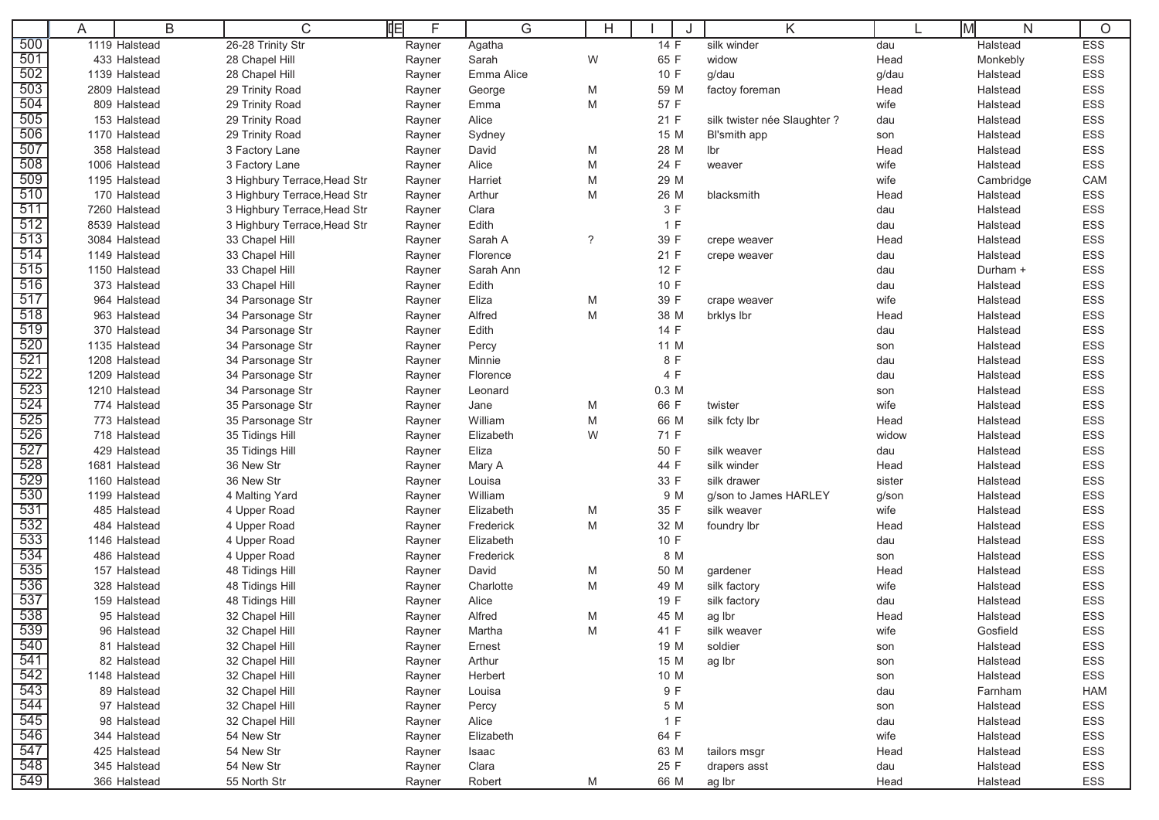|                   | Α | B                            | C                                  | 咱<br>F           | G                  | Н      | J            | Κ                            |              | İМ<br>N              | O                 |
|-------------------|---|------------------------------|------------------------------------|------------------|--------------------|--------|--------------|------------------------------|--------------|----------------------|-------------------|
| 500               |   | 1119 Halstead                | 26-28 Trinity Str                  | Rayner           | Agatha             |        | 14 F         | silk winder                  | dau          | Halstead             | <b>ESS</b>        |
| 501               |   | 433 Halstead                 | 28 Chapel Hill                     | Rayner           | Sarah              | W      | 65 F         | widow                        | Head         | Monkebly             | ESS               |
| 502               |   | 1139 Halstead                | 28 Chapel Hill                     | Rayner           | Emma Alice         |        | 10 F         | g/dau                        | g/dau        | Halstead             | <b>ESS</b>        |
| 503               |   | 2809 Halstead                | 29 Trinity Road                    | Rayner           | George             | M      | 59 M         | factoy foreman               | Head         | Halstead             | ESS               |
| 504               |   | 809 Halstead                 | 29 Trinity Road                    | Rayner           | Emma               | M      | 57 F         |                              | wife         | Halstead             | ESS               |
| 505               |   | 153 Halstead                 | 29 Trinity Road                    | Rayner           | Alice              |        | 21 F         | silk twister née Slaughter ? | dau          | Halstead             | ESS               |
| 506               |   | 1170 Halstead                | 29 Trinity Road                    | Rayner           | Sydney             |        | 15 M         | Bl'smith app                 | son          | Halstead             | ESS               |
| 507               |   | 358 Halstead                 | 3 Factory Lane                     | Rayner           | David              | M      | 28 M         | lbr                          | Head         | Halstead             | ESS               |
| 508               |   | 1006 Halstead                | 3 Factory Lane                     | Rayner           | Alice              | M      | 24 F         | weaver                       | wife         | Halstead             | <b>ESS</b>        |
| 509               |   | 1195 Halstead                | 3 Highbury Terrace, Head Str       | Rayner           | Harriet            | M      | 29 M         |                              | wife         | Cambridge            | CAM               |
| 510               |   | 170 Halstead                 | 3 Highbury Terrace, Head Str       | Rayner           | Arthur             | M      | 26 M         | blacksmith                   | Head         | Halstead             | ESS               |
| 511               |   | 7260 Halstead                | 3 Highbury Terrace, Head Str       | Rayner           | Clara              |        | 3 F          |                              | dau          | Halstead             | ESS               |
| 512               |   | 8539 Halstead                | 3 Highbury Terrace, Head Str       | Rayner           | Edith              |        | 1 F          |                              | dau          | Halstead             | ESS               |
| 513               |   | 3084 Halstead                | 33 Chapel Hill                     | Rayner           | Sarah A            | ?      | 39 F         | crepe weaver                 | Head         | Halstead             | ESS               |
| 514               |   | 1149 Halstead                | 33 Chapel Hill                     | Rayner           | Florence           |        | 21 F         | crepe weaver                 | dau          | Halstead             | ESS               |
| 515               |   | 1150 Halstead                | 33 Chapel Hill                     | Rayner           | Sarah Ann          |        | 12 F         |                              | dau          | Durham +             | ESS               |
| 516               |   | 373 Halstead                 | 33 Chapel Hill                     | Rayner           | Edith              |        | 10 F         |                              | dau          | Halstead             | <b>ESS</b>        |
| 517               |   | 964 Halstead                 | 34 Parsonage Str                   | Rayner           | Eliza              | M      | 39 F         | crape weaver                 | wife         | Halstead             | ESS               |
| 518               |   | 963 Halstead                 | 34 Parsonage Str                   | Rayner           | Alfred             | M      | 38 M         | brklys lbr                   | Head         | Halstead             | ESS               |
| 519               |   | 370 Halstead                 | 34 Parsonage Str                   | Rayner           | Edith              |        | 14 F         |                              | dau          | Halstead             | ESS               |
| 520               |   | 1135 Halstead                | 34 Parsonage Str                   | Rayner           | Percy              |        | 11 M         |                              | son          | Halstead             | <b>ESS</b>        |
| 521               |   | 1208 Halstead                | 34 Parsonage Str                   | Rayner           | Minnie             |        | 8 F          |                              | dau          | Halstead             | ESS               |
| 522               |   | 1209 Halstead                | 34 Parsonage Str                   | Rayner           | Florence           |        | 4 F          |                              | dau          | Halstead             | ESS               |
| 523               |   | 1210 Halstead                | 34 Parsonage Str                   | Rayner           | Leonard            |        | 0.3 M        |                              | son          | Halstead             | <b>ESS</b>        |
| 524               |   | 774 Halstead                 | 35 Parsonage Str                   | Rayner           | Jane               | M      | 66 F         | twister                      | wife         | Halstead             | ESS               |
| 525               |   | 773 Halstead                 | 35 Parsonage Str                   | Rayner           | William            | M      | 66 M         | silk fcty lbr                | Head         | Halstead             | <b>ESS</b>        |
| 526               |   | 718 Halstead                 | 35 Tidings Hill                    | Rayner           | Elizabeth          | W      | 71 F         |                              | widow        | Halstead             | <b>ESS</b>        |
| 527               |   | 429 Halstead                 | 35 Tidings Hill                    | Rayner           | Eliza              |        | 50 F         | silk weaver                  | dau          | Halstead             | ESS               |
| 528               |   | 1681 Halstead                | 36 New Str                         | Rayner           | Mary A             |        | 44 F         | silk winder                  | Head         | Halstead             | ESS               |
| 529               |   | 1160 Halstead                | 36 New Str                         | Rayner           | Louisa             |        | 33 F         | silk drawer                  | sister       | Halstead             | ESS               |
| 530               |   | 1199 Halstead                | 4 Malting Yard                     | Rayner           | William            |        | 9 M          | g/son to James HARLEY        | g/son        | Halstead             | <b>ESS</b>        |
| 531               |   | 485 Halstead                 | 4 Upper Road                       | Rayner           | Elizabeth          | M      | 35 F         | silk weaver                  | wife         | Halstead             | <b>ESS</b>        |
| 532               |   | 484 Halstead                 | 4 Upper Road                       | Rayner           | Frederick          | M      | 32 M         | foundry lbr                  | Head         | Halstead             | ESS               |
| 533<br>534        |   | 1146 Halstead                | 4 Upper Road                       | Rayner           | Elizabeth          |        | 10 F         |                              | dau          | Halstead             | <b>ESS</b>        |
| 535               |   | 486 Halstead                 | 4 Upper Road                       | Rayner           | Frederick<br>David |        | 8 M          |                              | son          | Halstead             | ESS               |
| 536               |   | 157 Halstead<br>328 Halstead | 48 Tidings Hill<br>48 Tidings Hill | Rayner           | Charlotte          | M<br>M | 50 M<br>49 M | gardener<br>silk factory     | Head<br>wife | Halstead<br>Halstead | ESS<br>ESS        |
| 537               |   | 159 Halstead                 | 48 Tidings Hill                    | Rayner           | Alice              |        | 19 F         |                              |              | Halstead             | <b>ESS</b>        |
| 538               |   | 95 Halstead                  | 32 Chapel Hill                     | Rayner           | Alfred             | M      | 45 M         | silk factory                 | dau<br>Head  | Halstead             | <b>ESS</b>        |
| 539               |   | 96 Halstead                  | 32 Chapel Hill                     | Rayner<br>Rayner | Martha             | M      | 41 F         | ag Ibr<br>silk weaver        | wife         | Gosfield             | <b>ESS</b>        |
| 540               |   | 81 Halstead                  | 32 Chapel Hill                     |                  | Ernest             |        | 19 M         | soldier                      |              | Halstead             | ESS               |
| 541               |   | 82 Halstead                  | 32 Chapel Hill                     | Rayner           | Arthur             |        | 15 M         |                              | son          | Halstead             | ESS               |
| 542               |   | 1148 Halstead                | 32 Chapel Hill                     | Rayner           | Herbert            |        | 10 M         | ag Ibr                       | son          |                      | ESS               |
| 543               |   | 89 Halstead                  | 32 Chapel Hill                     | Rayner           |                    |        | 9 F          |                              | son          | Halstead<br>Farnham  |                   |
| 544               |   | 97 Halstead                  | 32 Chapel Hill                     | Rayner<br>Rayner | Louisa<br>Percy    |        | 5 M          |                              | dau          | Halstead             | <b>HAM</b><br>ESS |
| 545               |   | 98 Halstead                  | 32 Chapel Hill                     | Rayner           | Alice              |        | 1 F          |                              | son<br>dau   | Halstead             | ESS               |
| 546               |   | 344 Halstead                 | 54 New Str                         | Rayner           | Elizabeth          |        | 64 F         |                              | wife         | Halstead             | ESS               |
| 547               |   | 425 Halstead                 | 54 New Str                         | Rayner           | Isaac              |        | 63 M         | tailors msgr                 | Head         | Halstead             | ESS               |
|                   |   | 345 Halstead                 | 54 New Str                         | Rayner           | Clara              |        | 25 F         | drapers asst                 | dau          | Halstead             | ESS               |
| $\frac{548}{549}$ |   | 366 Halstead                 | 55 North Str                       | Rayner           | Robert             | M      | 66 M         | ag Ibr                       | Head         | Halstead             | ESS               |
|                   |   |                              |                                    |                  |                    |        |              |                              |              |                      |                   |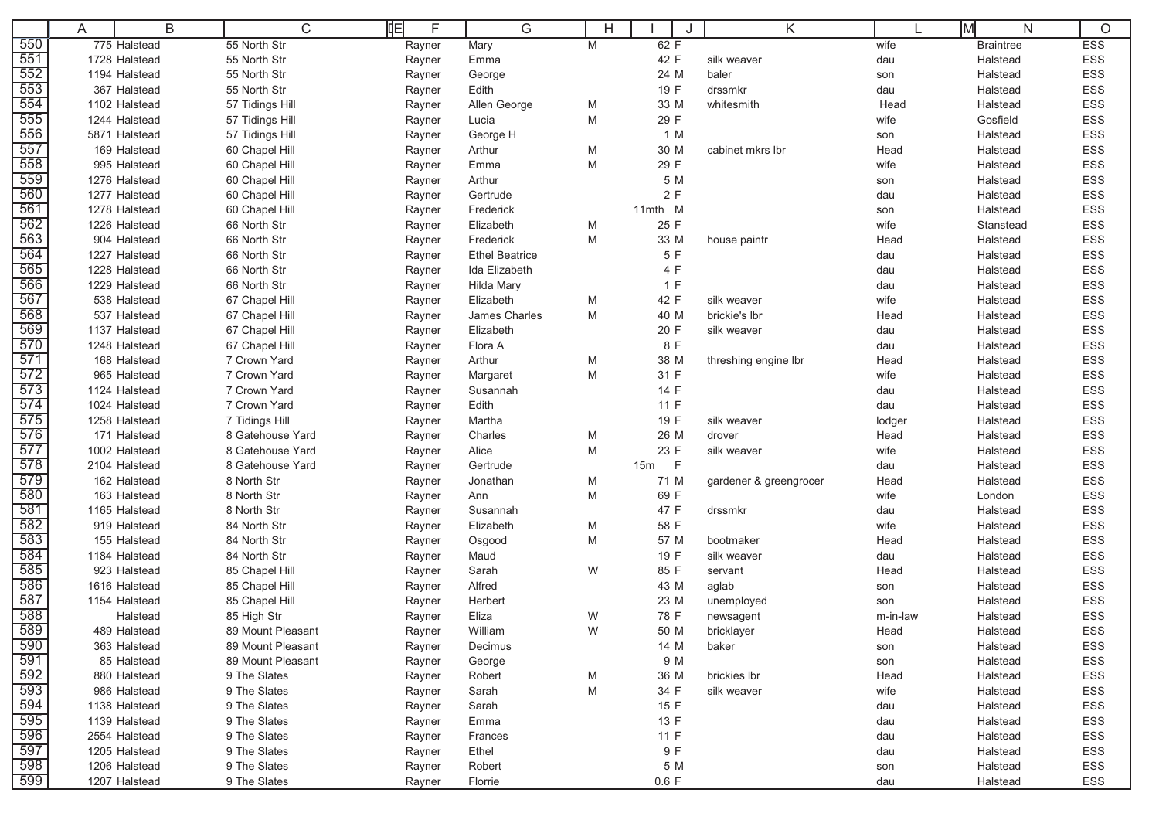|     | A | B             | 咱<br>C            | F      | G                     | н |             | K                      |          | lм<br>N          | $\circ$    |
|-----|---|---------------|-------------------|--------|-----------------------|---|-------------|------------------------|----------|------------------|------------|
| 550 |   | 775 Halstead  | 55 North Str      | Rayner | Mary                  | M | 62 F        |                        | wife     | <b>Braintree</b> | <b>ESS</b> |
| 551 |   | 1728 Halstead | 55 North Str      | Rayner | Emma                  |   | 42 F        | silk weaver            | dau      | Halstead         | ESS        |
| 552 |   | 1194 Halstead | 55 North Str      | Rayner | George                |   | 24 M        | baler                  | son      | Halstead         | <b>ESS</b> |
| 553 |   | 367 Halstead  | 55 North Str      | Rayner | Edith                 |   | 19 F        | drssmkr                | dau      | Halstead         | ESS        |
| 554 |   | 1102 Halstead | 57 Tidings Hill   | Rayner | Allen George          | M | 33 M        | whitesmith             | Head     | Halstead         | ESS        |
| 555 |   | 1244 Halstead | 57 Tidings Hill   | Rayner | Lucia                 | M | 29 F        |                        | wife     | Gosfield         | ESS        |
| 556 |   | 5871 Halstead | 57 Tidings Hill   | Rayner | George H              |   | 1 M         |                        | son      | Halstead         | ESS        |
| 557 |   | 169 Halstead  | 60 Chapel Hill    | Rayner | Arthur                | M | 30 M        | cabinet mkrs Ibr       | Head     | Halstead         | ESS        |
| 558 |   | 995 Halstead  | 60 Chapel Hill    | Rayner | Emma                  | M | 29 F        |                        | wife     | Halstead         | ESS        |
| 559 |   | 1276 Halstead | 60 Chapel Hill    | Rayner | Arthur                |   | 5 M         |                        | son      | Halstead         | <b>ESS</b> |
| 560 |   | 1277 Halstead | 60 Chapel Hill    | Rayner | Gertrude              |   | 2F          |                        | dau      | Halstead         | ESS        |
| 561 |   | 1278 Halstead | 60 Chapel Hill    | Rayner | Frederick             |   | 11mth M     |                        | son      | Halstead         | ESS        |
| 562 |   | 1226 Halstead | 66 North Str      | Rayner | Elizabeth             | M | 25 F        |                        | wife     | Stanstead        | ESS        |
| 563 |   | 904 Halstead  | 66 North Str      | Rayner | Frederick             | M | 33 M        | house paintr           | Head     | Halstead         | ESS        |
| 564 |   | 1227 Halstead | 66 North Str      | Rayner | <b>Ethel Beatrice</b> |   | 5 F         |                        | dau      | Halstead         | ESS        |
| 565 |   | 1228 Halstead | 66 North Str      | Rayner | Ida Elizabeth         |   | 4 F         |                        | dau      | Halstead         | ESS        |
| 566 |   | 1229 Halstead | 66 North Str      | Rayner | Hilda Mary            |   | 1 F         |                        | dau      | Halstead         | ESS        |
| 567 |   | 538 Halstead  | 67 Chapel Hill    | Rayner | Elizabeth             | M | 42 F        | silk weaver            | wife     | Halstead         | ESS        |
| 568 |   | 537 Halstead  | 67 Chapel Hill    | Rayner | James Charles         | M | 40 M        | brickie's lbr          | Head     | Halstead         | ESS        |
| 569 |   | 1137 Halstead | 67 Chapel Hill    | Rayner | Elizabeth             |   | 20 F        | silk weaver            | dau      | Halstead         | ESS        |
| 570 |   | 1248 Halstead | 67 Chapel Hill    | Rayner | Flora A               |   | 8 F         |                        | dau      | Halstead         | ESS        |
| 571 |   | 168 Halstead  | 7 Crown Yard      | Rayner | Arthur                | M | 38 M        | threshing engine lbr   | Head     | Halstead         | ESS        |
| 572 |   | 965 Halstead  | 7 Crown Yard      | Rayner | Margaret              | M | 31 F        |                        | wife     | Halstead         | ESS        |
| 573 |   | 1124 Halstead | 7 Crown Yard      | Rayner | Susannah              |   | 14 F        |                        | dau      | Halstead         | ESS        |
| 574 |   | 1024 Halstead | 7 Crown Yard      | Rayner | Edith                 |   | 11 F        |                        | dau      | Halstead         | ESS        |
| 575 |   | 1258 Halstead | 7 Tidings Hill    | Rayner | Martha                |   | 19 F        | silk weaver            | lodger   | Halstead         | ESS        |
| 576 |   | 171 Halstead  | 8 Gatehouse Yard  | Rayner | Charles               | M | 26 M        | drover                 | Head     | Halstead         | ESS        |
| 577 |   | 1002 Halstead | 8 Gatehouse Yard  | Rayner | Alice                 | M | 23 F        | silk weaver            | wife     | Halstead         | ESS        |
| 578 |   | 2104 Halstead | 8 Gatehouse Yard  | Rayner | Gertrude              |   | $-F$<br>15m |                        | dau      | Halstead         | ESS        |
| 579 |   | 162 Halstead  | 8 North Str       | Rayner | Jonathan              | M | 71 M        | gardener & greengrocer | Head     | Halstead         | ESS        |
| 580 |   | 163 Halstead  | 8 North Str       | Rayner | Ann                   | M | 69 F        |                        | wife     | London           | ESS        |
| 581 |   | 1165 Halstead | 8 North Str       | Rayner | Susannah              |   | 47 F        | drssmkr                | dau      | Halstead         | <b>ESS</b> |
| 582 |   | 919 Halstead  | 84 North Str      | Rayner | Elizabeth             | M | 58 F        |                        | wife     | Halstead         | ESS        |
| 583 |   | 155 Halstead  | 84 North Str      | Rayner | Osgood                | M | 57 M        | bootmaker              | Head     | Halstead         | <b>ESS</b> |
| 584 |   | 1184 Halstead | 84 North Str      | Rayner | Maud                  |   | 19 F        | silk weaver            | dau      | Halstead         | ESS        |
| 585 |   | 923 Halstead  | 85 Chapel Hill    | Rayner | Sarah                 | W | 85 F        | servant                | Head     | Halstead         | ESS        |
| 586 |   | 1616 Halstead | 85 Chapel Hill    | Rayner | Alfred                |   | 43 M        | aglab                  | son      | Halstead         | ESS        |
| 587 |   | 1154 Halstead | 85 Chapel Hill    | Rayner | Herbert               |   | 23 M        | unemployed             | son      | Halstead         | ESS        |
| 588 |   | Halstead      | 85 High Str       | Rayner | Eliza                 | W | 78 F        | newsagent              | m-in-law | Halstead         | <b>ESS</b> |
| 589 |   | 489 Halstead  | 89 Mount Pleasant | Rayner | William               | W | 50 M        | bricklayer             | Head     | Halstead         | <b>ESS</b> |
| 590 |   | 363 Halstead  | 89 Mount Pleasant | Rayner | Decimus               |   | 14 M        | baker                  | son      | Halstead         | ESS        |
| 591 |   | 85 Halstead   | 89 Mount Pleasant | Rayner | George                |   | 9 M         |                        | son      | Halstead         | ESS        |
| 592 |   | 880 Halstead  | 9 The Slates      | Rayner | Robert                | M | 36 M        | brickies lbr           | Head     | Halstead         | ESS        |
| 593 |   | 986 Halstead  | 9 The Slates      | Rayner | Sarah                 | Μ | 34 F        | silk weaver            | wife     | Halstead         | ESS        |
| 594 |   | 1138 Halstead | 9 The Slates      | Rayner | Sarah                 |   | 15 F        |                        | dau      | Halstead         | ESS        |
| 595 |   | 1139 Halstead | 9 The Slates      | Rayner | Emma                  |   | 13 F        |                        | dau      | Halstead         | ESS        |
| 596 |   | 2554 Halstead | 9 The Slates      | Rayner | Frances               |   | 11 F        |                        | dau      | Halstead         | ESS        |
| 597 |   | 1205 Halstead | 9 The Slates      | Rayner | Ethel                 |   | 9 F         |                        | dau      | Halstead         | ESS        |
| 598 |   | 1206 Halstead | 9 The Slates      | Rayner | Robert                |   | 5 M         |                        | son      | Halstead         | ESS        |
| 599 |   | 1207 Halstead | 9 The Slates      | Rayner | Florrie               |   | 0.6 F       |                        | dau      | Halstead         | ESS        |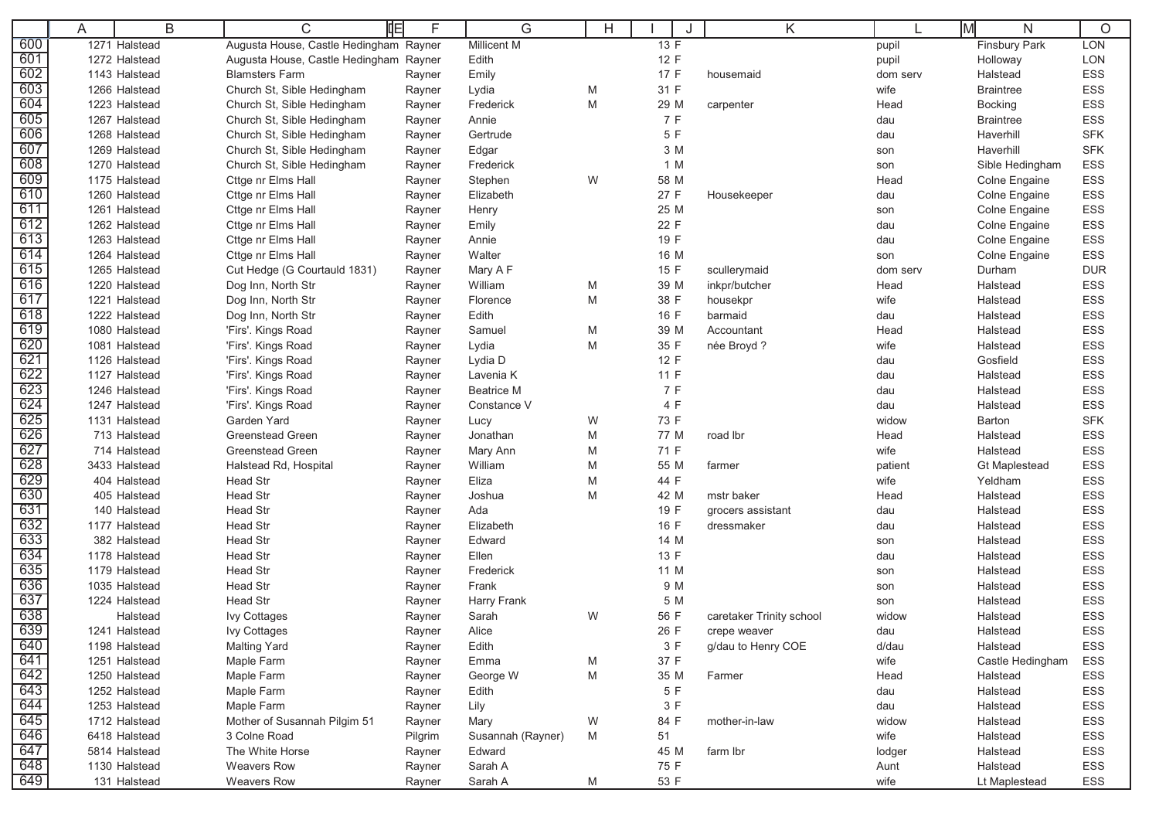|            | A | B             | 咱<br>С                                 | F       | G                 | H |      | Κ                        | ΙM       | N                    | $\circ$    |
|------------|---|---------------|----------------------------------------|---------|-------------------|---|------|--------------------------|----------|----------------------|------------|
| 600        |   | 1271 Halstead | Augusta House, Castle Hedingham Rayner |         | Millicent M       |   | 13 F |                          | pupil    | Finsbury Park        | LON        |
| 601        |   | 1272 Halstead | Augusta House, Castle Hedingham Rayner |         | Edith             |   | 12 F |                          | pupil    | Holloway             | LON        |
| 602        |   | 1143 Halstead | <b>Blamsters Farm</b>                  | Rayner  | Emily             |   | 17 F | housemaid                | dom serv | Halstead             | ESS        |
| 603        |   | 1266 Halstead | Church St, Sible Hedingham             | Rayner  | Lydia             | M | 31 F |                          | wife     | <b>Braintree</b>     | <b>ESS</b> |
| 604        |   | 1223 Halstead | Church St, Sible Hedingham             | Rayner  | Frederick         | M | 29 M | carpenter                | Head     | <b>Bocking</b>       | ESS        |
| 605        |   | 1267 Halstead | Church St, Sible Hedingham             | Rayner  | Annie             |   | 7 F  |                          | dau      | <b>Braintree</b>     | <b>ESS</b> |
| 606        |   | 1268 Halstead | Church St, Sible Hedingham             | Rayner  | Gertrude          |   | 5 F  |                          | dau      | Haverhill            | <b>SFK</b> |
| 607        |   | 1269 Halstead | Church St, Sible Hedingham             | Rayner  | Edgar             |   | 3 M  |                          | son      | Haverhill            | <b>SFK</b> |
| 608        |   | 1270 Halstead | Church St, Sible Hedingham             | Rayner  | Frederick         |   | 1 M  |                          | son      | Sible Hedingham      | ESS        |
| 609        |   | 1175 Halstead | Cttge nr Elms Hall                     | Rayner  | Stephen           | W | 58 M |                          | Head     | Colne Engaine        | ESS        |
| 610        |   | 1260 Halstead | Cttge nr Elms Hall                     | Rayner  | Elizabeth         |   | 27 F | Housekeeper              | dau      | Colne Engaine        | ESS        |
| 611        |   | 1261 Halstead | Cttge nr Elms Hall                     | Rayner  | Henry             |   | 25 M |                          | son      | Colne Engaine        | ESS        |
| 612        |   | 1262 Halstead | Cttge nr Elms Hall                     | Rayner  | Emily             |   | 22 F |                          | dau      | Colne Engaine        | ESS        |
| 613        |   | 1263 Halstead | Cttge nr Elms Hall                     | Rayner  | Annie             |   | 19 F |                          | dau      | Colne Engaine        | ESS        |
| 614        |   | 1264 Halstead | Cttge nr Elms Hall                     | Rayner  | Walter            |   | 16 M |                          | son      | <b>Colne Engaine</b> | ESS        |
| 615        |   | 1265 Halstead | Cut Hedge (G Courtauld 1831)           | Rayner  | Mary A F          |   | 15 F | scullerymaid             | dom serv | Durham               | <b>DUR</b> |
| 616        |   | 1220 Halstead | Dog Inn, North Str                     | Rayner  | William           | M | 39 M | inkpr/butcher            | Head     | Halstead             | ESS        |
| 617        |   | 1221 Halstead | Dog Inn, North Str                     | Rayner  | Florence          | M | 38 F | housekpr                 | wife     | Halstead             | ESS        |
| 618        |   | 1222 Halstead | Dog Inn, North Str                     | Rayner  | Edith             |   | 16 F | barmaid                  | dau      | Halstead             | ESS        |
| 619        |   | 1080 Halstead | 'Firs'. Kings Road                     | Rayner  | Samuel            | M | 39 M | Accountant               | Head     | Halstead             | <b>ESS</b> |
| 620        |   | 1081 Halstead | 'Firs'. Kings Road                     | Rayner  | Lydia             | M | 35 F | née Broyd?               | wife     | Halstead             | ESS        |
| 621        |   | 1126 Halstead | 'Firs'. Kings Road                     | Rayner  | Lydia D           |   | 12 F |                          | dau      | Gosfield             | ESS        |
| 622        |   | 1127 Halstead | 'Firs'. Kings Road                     | Rayner  | Lavenia K         |   | 11 F |                          | dau      | Halstead             | <b>ESS</b> |
| 623        |   | 1246 Halstead | 'Firs'. Kings Road                     | Rayner  | <b>Beatrice M</b> |   | 7 F  |                          | dau      | Halstead             | ESS        |
| 624        |   | 1247 Halstead | 'Firs'. Kings Road                     | Rayner  | Constance V       |   | 4 F  |                          | dau      | Halstead             | ESS        |
| 625        |   | 1131 Halstead | Garden Yard                            | Rayner  | Lucy              | W | 73 F |                          | widow    | Barton               | <b>SFK</b> |
| 626        |   | 713 Halstead  | <b>Greenstead Green</b>                | Rayner  | Jonathan          | M | 77 M | road lbr                 | Head     | Halstead             | <b>ESS</b> |
| 627        |   | 714 Halstead  | <b>Greenstead Green</b>                | Rayner  | Mary Ann          | M | 71 F |                          | wife     | Halstead             | ESS        |
| 628        |   | 3433 Halstead | Halstead Rd, Hospital                  | Rayner  | William           | M | 55 M | farmer                   | patient  | <b>Gt Maplestead</b> | ESS        |
| 629        |   | 404 Halstead  | Head Str                               | Rayner  | Eliza             | M | 44 F |                          | wife     | Yeldham              | ESS        |
| 630        |   | 405 Halstead  | <b>Head Str</b>                        | Rayner  | Joshua            | M | 42 M | mstr baker               | Head     | Halstead             | <b>ESS</b> |
| 631        |   | 140 Halstead  | <b>Head Str</b>                        | Rayner  | Ada               |   | 19 F | grocers assistant        | dau      | Halstead             | ESS        |
| 632        |   | 1177 Halstead | Head Str                               | Rayner  | Elizabeth         |   | 16 F | dressmaker               | dau      | Halstead             | ESS        |
| 633        |   | 382 Halstead  | <b>Head Str</b>                        | Rayner  | Edward            |   | 14 M |                          | son      | Halstead             | <b>ESS</b> |
| 634        |   | 1178 Halstead | Head Str                               | Rayner  | Ellen             |   | 13 F |                          | dau      | Halstead             | ESS        |
| 635        |   | 1179 Halstead | Head Str                               | Rayner  | Frederick         |   | 11 M |                          | son      | Halstead             | ESS        |
| 636        |   | 1035 Halstead | Head Str                               | Rayner  | Frank             |   | 9 M  |                          | son      | Halstead             | <b>ESS</b> |
| 637        |   | 1224 Halstead | <b>Head Str</b>                        | Rayner  | Harry Frank       |   | 5 M  |                          | son      | Halstead             | ESS        |
| 638<br>639 |   | Halstead      | <b>Ivy Cottages</b>                    | Rayner  | Sarah             | W | 56 F | caretaker Trinity school | widow    | Halstead             | ESS        |
|            |   | 1241 Halstead | <b>Ivy Cottages</b>                    | Rayner  | Alice             |   | 26 F | crepe weaver             | dau      | Halstead             | <b>ESS</b> |
| 640        |   | 1198 Halstead | <b>Malting Yard</b>                    | Rayner  | Edith             |   | 3 F  | g/dau to Henry COE       | d/dau    | Halstead             | ESS        |
| 641        |   | 1251 Halstead | Maple Farm                             | Rayner  | Emma              | M | 37 F |                          | wife     | Castle Hedingham     | ESS        |
| 642        |   | 1250 Halstead | Maple Farm                             | Rayner  | George W          | М | 35 M | Farmer                   | Head     | Halstead             | ESS        |
| 643<br>644 |   | 1252 Halstead | Maple Farm                             | Rayner  | Edith             |   | 5 F  |                          | dau      | Halstead             | ESS        |
|            |   | 1253 Halstead | Maple Farm                             | Rayner  | Lily              |   | 3 F  |                          | dau      | Halstead             | ESS        |
| 645        |   | 1712 Halstead | Mother of Susannah Pilgim 51           | Rayner  | Mary              | W | 84 F | mother-in-law            | widow    | Halstead             | ESS        |
| 646        |   | 6418 Halstead | 3 Colne Road                           | Pilgrim | Susannah (Rayner) | M | 51   |                          | wife     | Halstead             | ESS        |
| 647        |   | 5814 Halstead | The White Horse                        | Rayner  | Edward            |   | 45 M | farm lbr                 | lodger   | Halstead             | ESS        |
| 648<br>649 |   | 1130 Halstead | <b>Weavers Row</b>                     | Rayner  | Sarah A           |   | 75 F |                          | Aunt     | Halstead             | ESS        |
|            |   | 131 Halstead  | <b>Weavers Row</b>                     | Rayner  | Sarah A           | M | 53 F |                          | wife     | Lt Maplestead        | ESS        |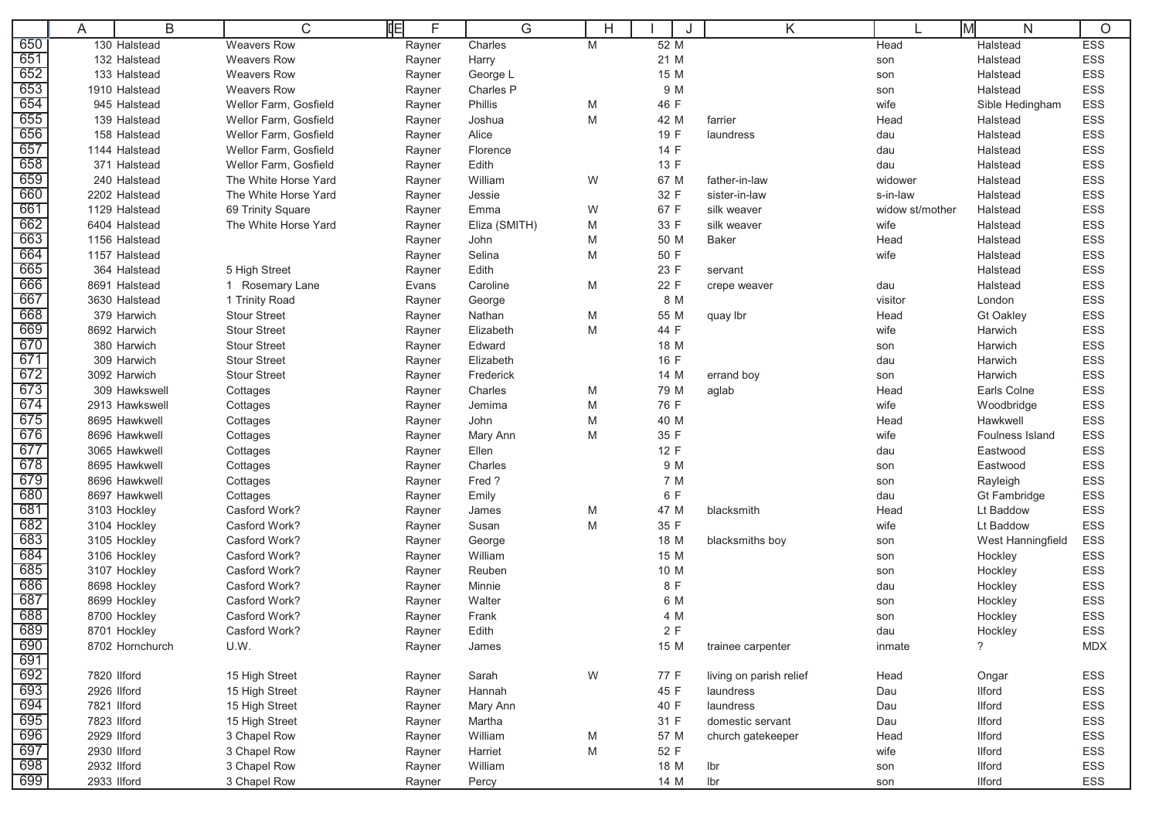|            | A           | B               | 咱<br>C                | F      | G             | Н |           | Κ                       |                 | lм<br>N           | $\circ$    |
|------------|-------------|-----------------|-----------------------|--------|---------------|---|-----------|-------------------------|-----------------|-------------------|------------|
| 650        |             | 130 Halstead    | <b>Weavers Row</b>    | Rayner | Charles       | M | 52 M      |                         | Head            | Halstead          | <b>ESS</b> |
| 651        |             | 132 Halstead    | <b>Weavers Row</b>    | Rayner | Harry         |   | 21 M      |                         | son             | Halstead          | ESS        |
| 652        |             | 133 Halstead    | <b>Weavers Row</b>    | Rayner | George L      |   | 15 M      |                         | son             | Halstead          | <b>ESS</b> |
| 653        |             | 1910 Halstead   | <b>Weavers Row</b>    | Rayner | Charles P     |   | 9 M       |                         | son             | Halstead          | ESS        |
| 654        |             | 945 Halstead    | Wellor Farm, Gosfield | Rayner | Phillis       | M | 46 F      |                         | wife            | Sible Hedingham   | ESS        |
| 655        |             | 139 Halstead    | Wellor Farm, Gosfield | Rayner | Joshua        | M | 42 M      | farrier                 | Head            | Halstead          | ESS        |
| 656        |             | 158 Halstead    | Wellor Farm, Gosfield | Rayner | Alice         |   | 19 F      | laundress               | dau             | Halstead          | ESS        |
| 657        |             | 1144 Halstead   | Wellor Farm, Gosfield | Rayner | Florence      |   | 14 F      |                         | dau             | Halstead          | ESS        |
| 658        |             | 371 Halstead    | Wellor Farm, Gosfield | Rayner | Edith         |   | 13 F      |                         | dau             | Halstead          | <b>ESS</b> |
| 659        |             | 240 Halstead    | The White Horse Yard  | Rayner | William       | W | 67 M      | father-in-law           | widower         | Halstead          | <b>ESS</b> |
| 660        |             | 2202 Halstead   | The White Horse Yard  | Rayner | Jessie        |   | 32 F      | sister-in-law           | s-in-law        | Halstead          | ESS        |
| 661        |             | 1129 Halstead   | 69 Trinity Square     | Rayner | Emma          | W | 67 F      | silk weaver             | widow st/mother | Halstead          | ESS        |
| 662        |             | 6404 Halstead   | The White Horse Yard  | Rayner | Eliza (SMITH) | M | 33 F      | silk weaver             | wife            | Halstead          | ESS        |
| 663        |             | 1156 Halstead   |                       | Rayner | John          | M | 50 M      | <b>Baker</b>            | Head            | Halstead          | ESS        |
| 664        |             | 1157 Halstead   |                       | Rayner | Selina        | M | 50 F      |                         | wife            | Halstead          | ESS        |
| 665        |             | 364 Halstead    | 5 High Street         | Rayner | Edith         |   | 23 F      | servant                 |                 | Halstead          | ESS        |
| 666        |             | 8691 Halstead   | 1 Rosemary Lane       | Evans  | Caroline      | M | 22 F      | crepe weaver            | dau             | Halstead          | ESS        |
| 667        |             | 3630 Halstead   | 1 Trinity Road        | Rayner | George        |   | 8 M       |                         | visitor         | London            | ESS        |
| 668        |             | 379 Harwich     | <b>Stour Street</b>   | Rayner | Nathan        | M | 55 M      | quay lbr                | Head            | <b>Gt Oakley</b>  | ESS        |
| 669        |             | 8692 Harwich    | <b>Stour Street</b>   | Rayner | Elizabeth     | M | 44 F      |                         | wife            | Harwich           | ESS        |
| 670        |             | 380 Harwich     | <b>Stour Street</b>   | Rayner | Edward        |   | 18 M      |                         | son             | Harwich           | ESS        |
| 671        |             | 309 Harwich     | <b>Stour Street</b>   | Rayner | Elizabeth     |   | 16 F      |                         | dau             | Harwich           | ESS        |
| 672        |             | 3092 Harwich    | <b>Stour Street</b>   | Rayner | Frederick     |   | 14 M      | errand boy              | son             | Harwich           | ESS        |
| 673        |             | 309 Hawkswell   | Cottages              | Rayner | Charles       | M | 79 M      | aglab                   | Head            | Earls Colne       | <b>ESS</b> |
| 674        |             | 2913 Hawkswell  | Cottages              | Rayner | Jemima        | M | 76 F      |                         | wife            | Woodbridge        | ESS        |
| 675        |             | 8695 Hawkwell   | Cottages              | Rayner | John          | M | 40 M      |                         | Head            | Hawkwell          | <b>ESS</b> |
| 676        |             | 8696 Hawkwell   | Cottages              | Rayner | Mary Ann      | M | 35 F      |                         | wife            | Foulness Island   | ESS        |
| 677        |             | 3065 Hawkwell   | Cottages              | Rayner | Ellen         |   | 12 F      |                         | dau             | Eastwood          | ESS        |
| 678        |             | 8695 Hawkwell   | Cottages              | Rayner | Charles       |   | 9 M       |                         | son             | Eastwood          | ESS        |
| 679        |             | 8696 Hawkwell   | Cottages              | Rayner | Fred?         |   | 7 M       |                         | son             | Rayleigh          | ESS        |
| 680        |             | 8697 Hawkwell   | Cottages              | Rayner | Emily         |   | 6 F       |                         | dau             | Gt Fambridge      | ESS        |
| 681        |             | 3103 Hockley    | Casford Work?         | Rayner | James         | M | 47 M      | blacksmith              | Head            | Lt Baddow         | <b>ESS</b> |
| 682        |             | 3104 Hockley    | Casford Work?         | Rayner | Susan         | M | 35 F      |                         | wife            | Lt Baddow         | ESS        |
| 683        |             | 3105 Hockley    | Casford Work?         | Rayner | George        |   | 18 M      | blacksmiths boy         | son             | West Hanningfield | ESS        |
| 684        |             | 3106 Hockley    | Casford Work?         | Rayner | William       |   | 15 M      |                         | son             | Hockley           | <b>ESS</b> |
| 685        |             | 3107 Hockley    | Casford Work?         | Rayner | Reuben        |   | 10 M      |                         | son             | Hockley           | ESS        |
| 686        |             | 8698 Hockley    | Casford Work?         | Rayner | Minnie        |   | 8 F       |                         | dau             | Hockley           | ESS        |
| 687        |             | 8699 Hockley    | Casford Work?         | Rayner | Walter        |   | 6 M       |                         | son             | Hockley           | ESS        |
| 688<br>689 |             | 8700 Hockley    | Casford Work?         | Rayner | Frank         |   | 4 M<br>2F |                         | son             | Hockley           | <b>ESS</b> |
|            |             | 8701 Hockley    | Casford Work?         | Rayner | Edith         |   |           |                         | dau             | Hockley           | <b>ESS</b> |
| 690<br>691 |             | 8702 Hornchurch | U.W.                  | Rayner | James         |   | 15 M      | trainee carpenter       | inmate          | $\tilde{?}$       | <b>MDX</b> |
| 692        | 7820 Ilford |                 | 15 High Street        | Rayner | Sarah         | W | 77 F      | living on parish relief | Head            | Ongar             | ESS        |
| 693        | 2926 Ilford |                 | 15 High Street        | Rayner | Hannah        |   | 45 F      | laundress               | Dau             | <b>Ilford</b>     | ESS        |
| 694        | 7821 Ilford |                 | 15 High Street        | Rayner | Mary Ann      |   | 40 F      | laundress               | Dau             | <b>Ilford</b>     | ESS        |
| 695        | 7823 Ilford |                 | 15 High Street        | Rayner | Martha        |   | 31 F      | domestic servant        | Dau             | <b>Ilford</b>     | ESS        |
| 696        | 2929 Ilford |                 | 3 Chapel Row          | Rayner | William       | M | 57 M      | church gatekeeper       | Head            | <b>Ilford</b>     | ESS        |
| 697        | 2930 Ilford |                 | 3 Chapel Row          | Rayner | Harriet       | М | 52 F      |                         | wife            | <b>Ilford</b>     | ESS        |
| 698        | 2932 Ilford |                 | 3 Chapel Row          | Rayner | William       |   | 18 M      | Ibr                     | son             | <b>Ilford</b>     | ESS        |
| 699        | 2933 Ilford |                 | 3 Chapel Row          | Rayner | Percy         |   | 14 M      | lbr                     | son             | <b>Ilford</b>     | ESS        |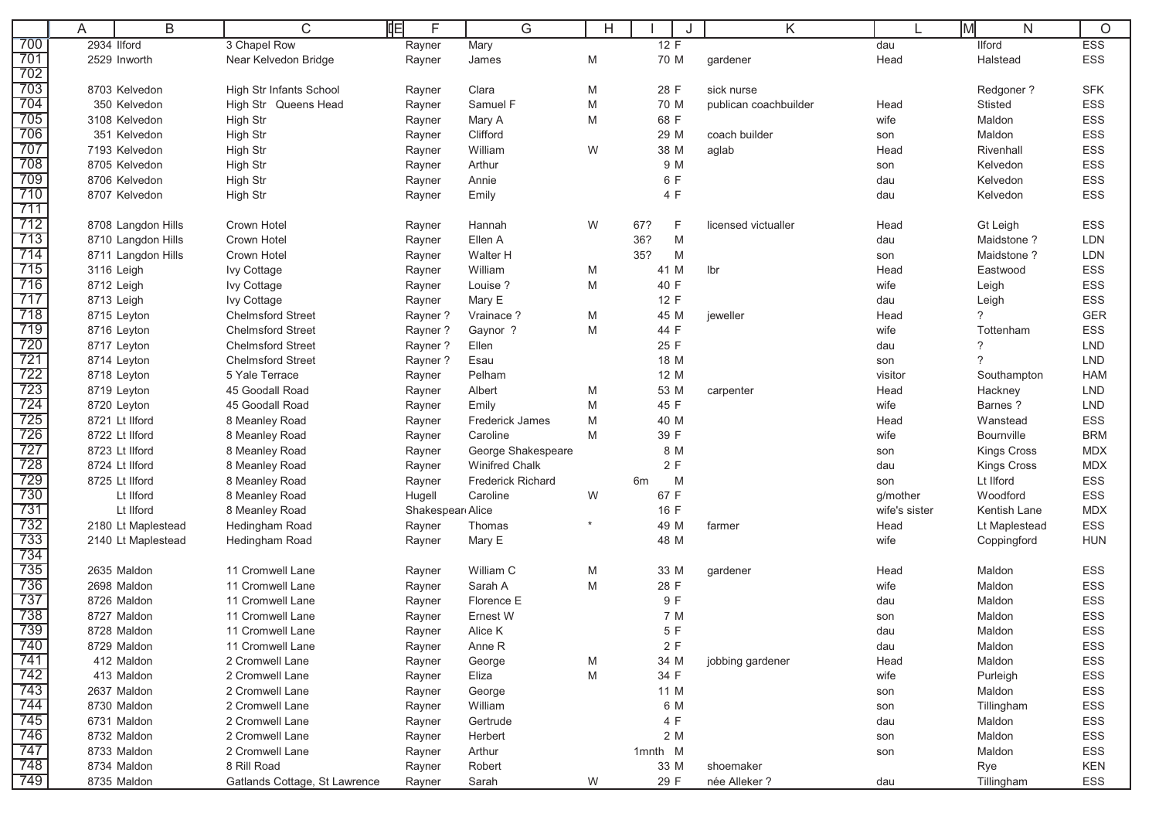|            | A | B                  | $\mathsf{C}$                  | 咱<br>F           | G                        | Н       |              |   | Κ                     |               | M<br>$\mathsf{N}$  | $\circ$    |
|------------|---|--------------------|-------------------------------|------------------|--------------------------|---------|--------------|---|-----------------------|---------------|--------------------|------------|
| 700        |   | 2934 Ilford        | 3 Chapel Row                  | Rayner           | Mary                     |         | 12 F         |   |                       | dau           | <b>Ilford</b>      | <b>ESS</b> |
| 701<br>702 |   | 2529 Inworth       | Near Kelvedon Bridge          | Rayner           | James                    | M       | 70 M         |   | gardener              | Head          | Halstead           | ESS        |
| 703        |   | 8703 Kelvedon      | High Str Infants School       | Rayner           | Clara                    | M       | 28 F         |   | sick nurse            |               | Redgoner?          | <b>SFK</b> |
| 704        |   | 350 Kelvedon       | High Str Queens Head          | Rayner           | Samuel F                 | M       | 70 M         |   | publican coachbuilder | Head          | <b>Stisted</b>     | <b>ESS</b> |
| 705        |   | 3108 Kelvedon      | High Str                      | Rayner           | Mary A                   | M       | 68 F         |   |                       | wife          | Maldon             | ESS        |
| 706        |   | 351 Kelvedon       | High Str                      | Rayner           | Clifford                 |         | 29 M         |   | coach builder         | son           | Maldon             | ESS        |
| 707        |   | 7193 Kelvedon      | High Str                      | Rayner           | William                  | W       | 38 M         |   | aglab                 | Head          | Rivenhall          | ESS        |
| 708        |   | 8705 Kelvedon      | High Str                      | Rayner           | Arthur                   |         | 9 M          |   |                       | son           | Kelvedon           | ESS        |
| 709        |   | 8706 Kelvedon      | High Str                      | Rayner           | Annie                    |         | 6 F          |   |                       | dau           | Kelvedon           | ESS        |
| 710        |   | 8707 Kelvedon      | High Str                      | Rayner           | Emily                    |         | 4 F          |   |                       | dau           | Kelvedon           | ESS        |
|            |   |                    |                               |                  |                          |         |              |   |                       |               |                    |            |
|            |   | 8708 Langdon Hills | Crown Hotel                   | Rayner           | Hannah                   | W       | 67?          | F | licensed victualler   | Head          | Gt Leigh           | ESS        |
| 713        |   | 8710 Langdon Hills | Crown Hotel                   | Rayner           | Ellen A                  |         | 36?          | M |                       | dau           | Maidstone?         | LDN        |
|            |   | 8711 Langdon Hills | Crown Hotel                   | Rayner           | Walter H                 |         | 35?          | M |                       | son           | Maidstone?         | LDN        |
|            |   | 3116 Leigh         | Ivy Cottage                   | Rayner           | William                  | M       | 41 M         |   | Ibr                   | Head          | Eastwood           | <b>ESS</b> |
| 716        |   | 8712 Leigh         | Ivy Cottage                   | Rayner           | Louise ?                 | M       | 40 F         |   |                       | wife          | Leigh              | ESS        |
|            |   | 8713 Leigh         | Ivy Cottage                   | Rayner           | Mary E                   |         | 12 F         |   |                       | dau           | Leigh              | ESS        |
| 718        |   | 8715 Leyton        | <b>Chelmsford Street</b>      | Rayner?          | Vrainace ?               | M       | 45 M         |   | jeweller              | Head          | ?                  | <b>GER</b> |
| 719        |   | 8716 Leyton        | <b>Chelmsford Street</b>      | Rayner?          | Gaynor ?                 | M       | 44 F         |   |                       | wife          | Tottenham          | ESS        |
| 720        |   | 8717 Leyton        | <b>Chelmsford Street</b>      | Rayner?          | Ellen                    |         | 25 F         |   |                       | dau           | ?                  | <b>LND</b> |
| 721        |   | 8714 Leyton        | <b>Chelmsford Street</b>      | Rayner?          | Esau                     |         | 18 M         |   |                       | son           | 7                  | <b>LND</b> |
|            |   | 8718 Leyton        | 5 Yale Terrace                | Rayner           | Pelham                   |         | 12 M         |   |                       | visitor       | Southampton        | <b>HAM</b> |
| 723        |   | 8719 Leyton        | 45 Goodall Road               | Rayner           | Albert                   | M       | 53 M         |   | carpenter             | Head          | Hackney            | <b>LND</b> |
| 724        |   | 8720 Leyton        | 45 Goodall Road               | Rayner           | Emily                    | M       | 45 F         |   |                       | wife          | Barnes?            | <b>LND</b> |
| 725        |   | 8721 Lt Ilford     | 8 Meanley Road                | Rayner           | Frederick James          | M       | 40 M         |   |                       | Head          | Wanstead           | <b>ESS</b> |
| 726        |   | 8722 Lt Ilford     | 8 Meanley Road                | Rayner           | Caroline                 | M       | 39 F         |   |                       | wife          | Bournville         | <b>BRM</b> |
| 727        |   | 8723 Lt Ilford     | 8 Meanley Road                | Rayner           | George Shakespeare       |         | 8 M          |   |                       | son           | <b>Kings Cross</b> | <b>MDX</b> |
| 728        |   | 8724 Lt Ilford     | 8 Meanley Road                | Rayner           | <b>Winifred Chalk</b>    |         | 2 F          |   |                       | dau           | <b>Kings Cross</b> | <b>MDX</b> |
| 729        |   | 8725 Lt Ilford     | 8 Meanley Road                | Rayner           | <b>Frederick Richard</b> |         | 6m           | M |                       | son           | Lt IIford          | <b>ESS</b> |
| 730        |   | Lt IIford          | 8 Meanley Road                | Hugell           | Caroline                 | W       | 67 F         |   |                       | g/mother      | Woodford           | ESS        |
| 731        |   | Lt IIford          | 8 Meanley Road                | Shakespear Alice |                          | $\star$ | 16 F         |   |                       | wife's sister | Kentish Lane       | <b>MDX</b> |
| 732<br>733 |   | 2180 Lt Maplestead | Hedingham Road                | Rayner           | Thomas                   |         | 49 M<br>48 M |   | farmer                | Head<br>wife  | Lt Maplestead      | ESS        |
| 734        |   | 2140 Lt Maplestead | Hedingham Road                | Rayner           | Mary E                   |         |              |   |                       |               | Coppingford        | <b>HUN</b> |
| 735        |   | 2635 Maldon        | 11 Cromwell Lane              | Rayner           | William C                | M       | 33 M         |   | gardener              | Head          | Maldon             | <b>ESS</b> |
| 736        |   | 2698 Maldon        | 11 Cromwell Lane              | Rayner           | Sarah A                  | M       | 28 F         |   |                       | wife          | Maldon             | <b>ESS</b> |
| 737        |   | 8726 Maldon        | 11 Cromwell Lane              | Rayner           | Florence E               |         | 9 F          |   |                       | dau           | Maldon             | ESS        |
| 738        |   | 8727 Maldon        | 11 Cromwell Lane              | Rayner           | Ernest W                 |         | 7 M          |   |                       | son           | Maldon             | ESS        |
| 739        |   | 8728 Maldon        | 11 Cromwell Lane              | Rayner           | Alice K                  |         | $5F$         |   |                       | dau           | Maldon             | ESS        |
| 740        |   | 8729 Maldon        | 11 Cromwell Lane              | Rayner           | Anne R                   |         | 2 F          |   |                       | dau           | Maldon             | ESS        |
| 741        |   | 412 Maldon         | 2 Cromwell Lane               | Rayner           | George                   | M       | 34 M         |   | jobbing gardener      | Head          | Maldon             | ESS        |
| 742        |   | 413 Maldon         | 2 Cromwell Lane               | Rayner           | Eliza                    | M       | 34 F         |   |                       | wife          | Purleigh           | ESS        |
| 743        |   | 2637 Maldon        | 2 Cromwell Lane               | Rayner           | George                   |         | 11 M         |   |                       | son           | Maldon             | ESS        |
| 744        |   | 8730 Maldon        | 2 Cromwell Lane               | Rayner           | William                  |         | 6 M          |   |                       | son           | Tillingham         | ESS        |
| 745        |   | 6731 Maldon        | 2 Cromwell Lane               | Rayner           | Gertrude                 |         | 4 F          |   |                       | dau           | Maldon             | ESS        |
| 746        |   | 8732 Maldon        | 2 Cromwell Lane               | Rayner           | Herbert                  |         | 2 M          |   |                       | son           | Maldon             | <b>ESS</b> |
| 747        |   | 8733 Maldon        | 2 Cromwell Lane               | Rayner           | Arthur                   |         | 1mnth M      |   |                       | son           | Maldon             | ESS        |
| 748        |   | 8734 Maldon        | 8 Rill Road                   | Rayner           | Robert                   |         | 33 M         |   | shoemaker             |               | Rye                | KEN        |
| 749        |   | 8735 Maldon        | Gatlands Cottage, St Lawrence | Rayner           | Sarah                    | W       | 29 F         |   | née Alleker ?         | dau           | Tillingham         | ESS        |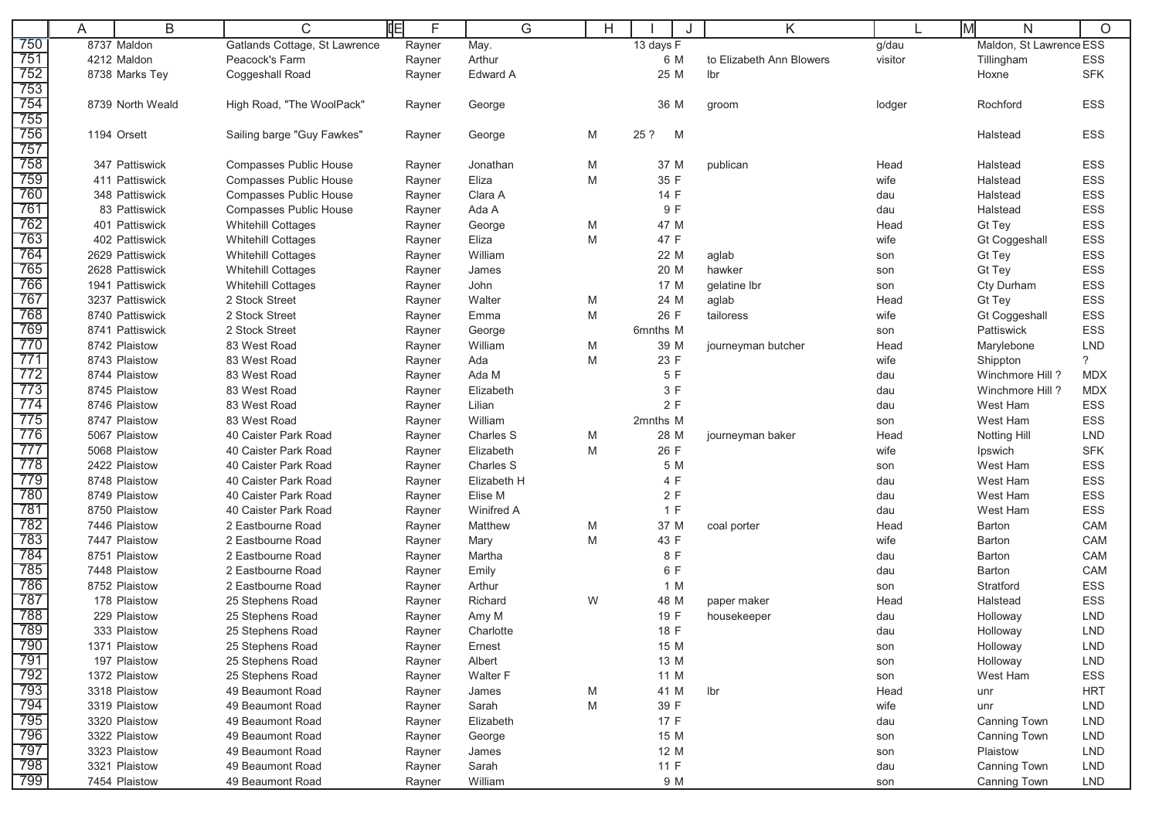|     | A | B                | $\mathsf{C}$                  | 咱<br>F | G           | H |           | J | Κ                        |         | Iмl<br>N                | $\circ$        |
|-----|---|------------------|-------------------------------|--------|-------------|---|-----------|---|--------------------------|---------|-------------------------|----------------|
| 750 |   | 8737 Maldon      | Gatlands Cottage, St Lawrence | Rayner | May.        |   | 13 days F |   |                          | g/dau   | Maldon, St Lawrence ESS |                |
| 751 |   | 4212 Maldon      | Peacock's Farm                | Rayner | Arthur      |   | 6 M       |   | to Elizabeth Ann Blowers | visitor | Tillingham              | ESS            |
| 752 |   | 8738 Marks Tey   | Coggeshall Road               | Rayner | Edward A    |   | 25 M      |   | Ibr                      |         | Hoxne                   | <b>SFK</b>     |
| 753 |   |                  |                               |        |             |   |           |   |                          |         |                         |                |
| 754 |   | 8739 North Weald | High Road, "The WoolPack"     | Rayner | George      |   | 36 M      |   | groom                    | lodger  | Rochford                | <b>ESS</b>     |
| 755 |   |                  |                               |        |             |   |           |   |                          |         |                         |                |
| 756 |   | 1194 Orsett      | Sailing barge "Guy Fawkes"    | Rayner | George      | M | 25 ?      | M |                          |         | Halstead                | <b>ESS</b>     |
| 757 |   |                  |                               |        |             |   |           |   |                          |         |                         |                |
| 758 |   | 347 Pattiswick   | <b>Compasses Public House</b> | Rayner | Jonathan    | M | 37 M      |   | publican                 | Head    | Halstead                | <b>ESS</b>     |
| 759 |   | 411 Pattiswick   | Compasses Public House        | Rayner | Eliza       | M | 35 F      |   |                          | wife    | Halstead                | <b>ESS</b>     |
| 760 |   | 348 Pattiswick   | Compasses Public House        | Rayner | Clara A     |   | 14 F      |   |                          | dau     | Halstead                | ESS            |
| 76٬ |   | 83 Pattiswick    | <b>Compasses Public House</b> | Rayner | Ada A       |   | 9 F       |   |                          | dau     | Halstead                | ESS            |
| 762 |   | 401 Pattiswick   | <b>Whitehill Cottages</b>     | Rayner | George      | M | 47 M      |   |                          | Head    | Gt Tey                  | <b>ESS</b>     |
| 763 |   | 402 Pattiswick   | <b>Whitehill Cottages</b>     | Rayner | Eliza       | M | 47 F      |   |                          | wife    | <b>Gt Coggeshall</b>    | <b>ESS</b>     |
| 764 |   | 2629 Pattiswick  | <b>Whitehill Cottages</b>     | Rayner | William     |   | 22 M      |   | aglab                    | son     | Gt Tey                  | <b>ESS</b>     |
| 765 |   | 2628 Pattiswick  | <b>Whitehill Cottages</b>     | Rayner | James       |   | 20 M      |   | hawker                   | son     | Gt Tey                  | <b>ESS</b>     |
| 766 |   | 1941 Pattiswick  | <b>Whitehill Cottages</b>     | Rayner | John        |   | 17 M      |   | gelatine lbr             | son     | Cty Durham              | <b>ESS</b>     |
| 767 |   | 3237 Pattiswick  | 2 Stock Street                | Rayner | Walter      | M | 24 M      |   | aglab                    | Head    | Gt Tey                  | ESS            |
| 768 |   | 8740 Pattiswick  | 2 Stock Street                | Rayner | Emma        | M | 26 F      |   | tailoress                | wife    | <b>Gt Coggeshall</b>    | ESS            |
| 769 |   | 8741 Pattiswick  | 2 Stock Street                | Rayner | George      |   | 6mnths M  |   |                          | son     | Pattiswick              | <b>ESS</b>     |
| 770 |   | 8742 Plaistow    | 83 West Road                  | Rayner | William     | M | 39 M      |   | journeyman butcher       | Head    | Marylebone              | <b>LND</b>     |
|     |   | 8743 Plaistow    | 83 West Road                  | Rayner | Ada         | M | 23 F      |   |                          | wife    | Shippton                | $\overline{?}$ |
|     |   | 8744 Plaistow    | 83 West Road                  | Rayner | Ada M       |   | 5 F       |   |                          | dau     | Winchmore Hill?         | <b>MDX</b>     |
| 773 |   | 8745 Plaistow    | 83 West Road                  | Rayner | Elizabeth   |   | 3 F       |   |                          | dau     | Winchmore Hill?         | <b>MDX</b>     |
| 774 |   | 8746 Plaistow    | 83 West Road                  | Rayner | Lilian      |   | 2F        |   |                          | dau     | West Ham                | ESS            |
| 775 |   | 8747 Plaistow    | 83 West Road                  | Rayner | William     |   | 2mnths M  |   |                          | son     | West Ham                | <b>ESS</b>     |
| 776 |   | 5067 Plaistow    | 40 Caister Park Road          | Rayner | Charles S   | M | 28 M      |   | journeyman baker         | Head    | Notting Hill            | <b>LND</b>     |
|     |   | 5068 Plaistow    | 40 Caister Park Road          | Rayner | Elizabeth   | M | 26 F      |   |                          | wife    | Ipswich                 | <b>SFK</b>     |
| 778 |   | 2422 Plaistow    | 40 Caister Park Road          | Rayner | Charles S   |   | 5 M       |   |                          | son     | West Ham                | ESS            |
| 779 |   | 8748 Plaistow    | 40 Caister Park Road          | Rayner | Elizabeth H |   | 4 F       |   |                          | dau     | West Ham                | ESS            |
| 780 |   | 8749 Plaistow    | 40 Caister Park Road          | Rayner | Elise M     |   | 2F        |   |                          | dau     | West Ham                | ESS            |
| 781 |   | 8750 Plaistow    | 40 Caister Park Road          | Rayner | Winifred A  |   | 1 F       |   |                          | dau     | West Ham                | <b>ESS</b>     |
| 782 |   | 7446 Plaistow    | 2 Eastbourne Road             | Rayner | Matthew     | M | 37 M      |   | coal porter              | Head    | Barton                  | CAM            |
| 783 |   | 7447 Plaistow    | 2 Eastbourne Road             | Rayner | Mary        | M | 43 F      |   |                          | wife    | Barton                  | CAM            |
| 784 |   | 8751 Plaistow    | 2 Eastbourne Road             | Rayner | Martha      |   | 8 F       |   |                          | dau     | Barton                  | <b>CAM</b>     |
| 785 |   | 7448 Plaistow    | 2 Eastbourne Road             | Rayner | Emily       |   | 6 F       |   |                          | dau     | Barton                  | CAM            |
| 786 |   | 8752 Plaistow    | 2 Eastbourne Road             | Rayner | Arthur      |   | 1 M       |   |                          | son     | Stratford               | ESS            |
| 787 |   | 178 Plaistow     | 25 Stephens Road              | Rayner | Richard     | W | 48 M      |   | paper maker              | Head    | Halstead                | <b>ESS</b>     |
| 788 |   | 229 Plaistow     | 25 Stephens Road              | Rayner | Amy M       |   | 19 F      |   | housekeeper              | dau     | Holloway                | <b>LND</b>     |
| 789 |   | 333 Plaistow     | 25 Stephens Road              | Rayner | Charlotte   |   | 18 F      |   |                          | dau     | Holloway                | <b>LND</b>     |
| 790 |   | 1371 Plaistow    | 25 Stephens Road              | Rayner | Ernest      |   | 15 M      |   |                          | son     | Holloway                | <b>LND</b>     |
| 791 |   | 197 Plaistow     | 25 Stephens Road              | Rayner | Albert      |   | 13 M      |   |                          | son     | Holloway                | <b>LND</b>     |
| 792 |   | 1372 Plaistow    | 25 Stephens Road              | Rayner | Walter F    |   | 11 M      |   |                          | son     | West Ham                | ESS            |
| 793 |   | 3318 Plaistow    | 49 Beaumont Road              | Rayner | James       | M | 41 M      |   | Ibr                      | Head    | unr                     | <b>HRT</b>     |
| 794 |   | 3319 Plaistow    | 49 Beaumont Road              | Rayner | Sarah       | M | 39 F      |   |                          | wife    | unr                     | LND            |
| 795 |   | 3320 Plaistow    | 49 Beaumont Road              | Rayner | Elizabeth   |   | 17 F      |   |                          | dau     | Canning Town            | LND            |
| 796 |   | 3322 Plaistow    | 49 Beaumont Road              | Rayner | George      |   | 15 M      |   |                          | son     | <b>Canning Town</b>     | LND            |
| 797 |   | 3323 Plaistow    | 49 Beaumont Road              | Rayner | James       |   | 12 M      |   |                          | son     | Plaistow                | LND            |
| 798 |   | 3321 Plaistow    | 49 Beaumont Road              | Rayner | Sarah       |   | 11 F      |   |                          | dau     | Canning Town            | <b>LND</b>     |
| 799 |   | 7454 Plaistow    | 49 Beaumont Road              | Rayner | William     |   | 9 M       |   |                          | son     | Canning Town            | LND            |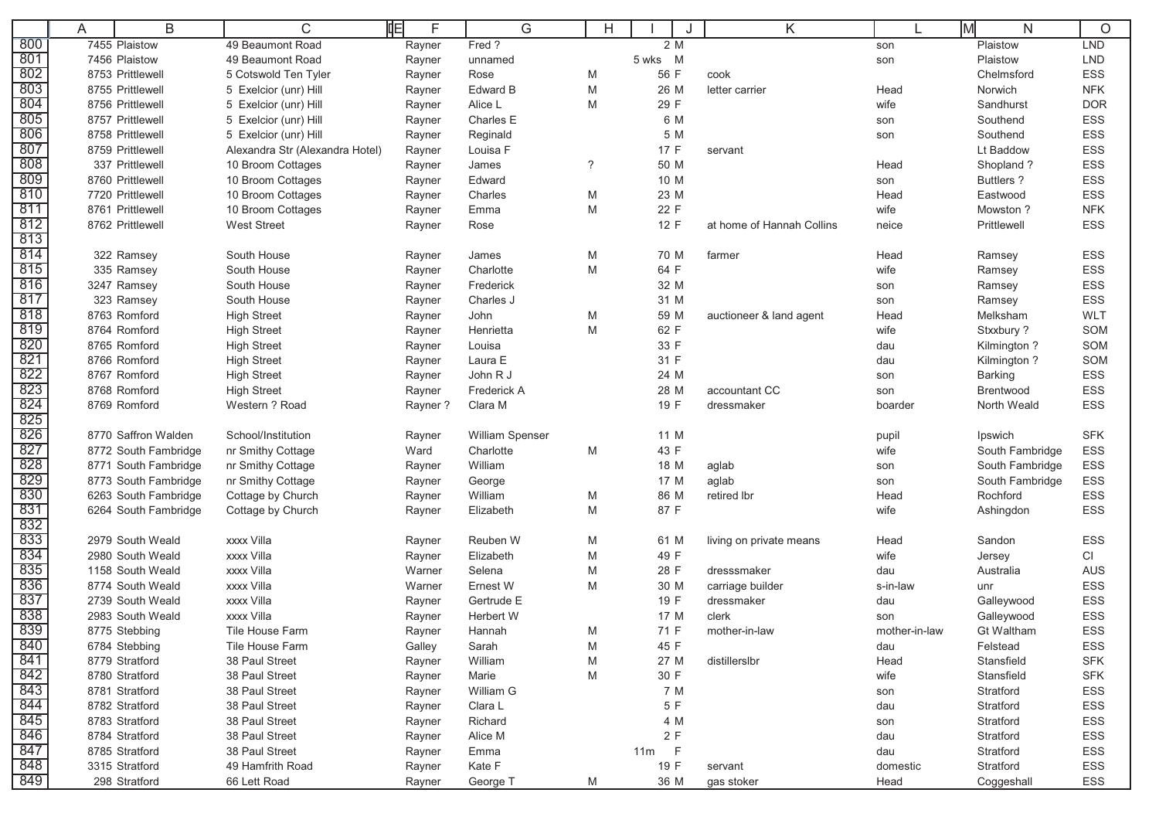|                  | A | B                            | C                                        | 咱<br>F            | G                      | H          |              | K                         |                | M<br>N                      | $\circ$    |
|------------------|---|------------------------------|------------------------------------------|-------------------|------------------------|------------|--------------|---------------------------|----------------|-----------------------------|------------|
| 800              |   | 7455 Plaistow                | 49 Beaumont Road                         | Rayner            | Fred?                  |            | 2 M          |                           | son            | Plaistow                    | <b>LND</b> |
| 801              |   | 7456 Plaistow                | 49 Beaumont Road                         | Rayner            | unnamed                |            | 5 wks M      |                           | son            | Plaistow                    | <b>LND</b> |
| 802              |   | 8753 Prittlewell             | 5 Cotswold Ten Tyler                     | Rayner            | Rose                   | M          | 56 F         | cook                      |                | Chelmsford                  | ESS        |
| 803              |   | 8755 Prittlewell             | 5 Exelcior (unr) Hill                    | Rayner            | Edward B               | M          | 26 M         | letter carrier            | Head           | Norwich                     | <b>NFK</b> |
| 804              |   | 8756 Prittlewell             | 5 Exelcior (unr) Hill                    | Rayner            | Alice L                | M          | 29 F         |                           | wife           | Sandhurst                   | <b>DOR</b> |
| 805              |   | 8757 Prittlewell             | 5 Exelcior (unr) Hill                    | Rayner            | Charles E              |            | 6 M          |                           | son            | Southend                    | ESS        |
| 806              |   | 8758 Prittlewell             | 5 Exelcior (unr) Hill                    | Rayner            | Reginald               |            | 5 M          |                           | son            | Southend                    | ESS        |
| 807              |   | 8759 Prittlewell             | Alexandra Str (Alexandra Hotel)          | Rayner            | Louisa F               |            | 17 F         | servant                   |                | Lt Baddow                   | ESS        |
| 808              |   | 337 Prittlewell              | 10 Broom Cottages                        | Rayner            | James                  | $\ddot{?}$ | 50 M         |                           | Head           | Shopland?                   | ESS        |
| 809              |   | 8760 Prittlewell             | 10 Broom Cottages                        | Rayner            | Edward                 |            | 10 M         |                           | son            | <b>Buttlers?</b>            | ESS        |
| 810              |   | 7720 Prittlewell             | 10 Broom Cottages                        | Rayner            | Charles                | M          | 23 M         |                           | Head           | Eastwood                    | ESS        |
| 811              |   | 8761 Prittlewell             | 10 Broom Cottages                        | Rayner            | Emma                   | M          | 22 F         |                           | wife           | Mowston?                    | <b>NFK</b> |
| 812              |   | 8762 Prittlewell             | <b>West Street</b>                       | Rayner            | Rose                   |            | 12 F         | at home of Hannah Collins | neice          | Prittlewell                 | <b>ESS</b> |
| 813              |   |                              |                                          |                   |                        |            |              |                           |                |                             |            |
| 814              |   | 322 Ramsey                   | South House                              | Rayner            | James                  | M          | 70 M         | farmer                    | Head           | Ramsey                      | ESS        |
| 815              |   | 335 Ramsey                   | South House                              | Rayner            | Charlotte              | M          | 64 F         |                           | wife           | Ramsey                      | ESS        |
| $\overline{816}$ |   | 3247 Ramsey                  | South House                              | Rayner            | Frederick              |            | 32 M         |                           | son            | Ramsey                      | ESS        |
| 817              |   | 323 Ramsey                   | South House                              | Rayner            | Charles J              |            | 31 M         |                           | son            | Ramsey                      | ESS        |
| 818              |   | 8763 Romford                 | <b>High Street</b>                       | Rayner            | John                   | M          | 59 M         | auctioneer & land agent   | Head           | Melksham                    | <b>WLT</b> |
| 819              |   | 8764 Romford                 | <b>High Street</b>                       | Rayner            | Henrietta              | M          | 62 F         |                           | wife           | Stxxbury ?                  | SOM        |
| 820<br>821       |   | 8765 Romford                 | <b>High Street</b>                       | Rayner            | Louisa                 |            | 33 F         |                           | dau            | Kilmington ?                | SOM        |
| 822              |   | 8766 Romford<br>8767 Romford | <b>High Street</b>                       | Rayner            | Laura E<br>John R J    |            | 31 F         |                           | dau            | Kilmington ?                | SOM        |
| 823              |   | 8768 Romford                 | <b>High Street</b><br><b>High Street</b> | Rayner            | Frederick A            |            | 24 M<br>28 M | accountant CC             | son            | <b>Barking</b><br>Brentwood | ESS<br>ESS |
| 824              |   | 8769 Romford                 | Western ? Road                           | Rayner<br>Rayner? | Clara M                |            | 19 F         | dressmaker                | son<br>boarder | North Weald                 | <b>ESS</b> |
| 825              |   |                              |                                          |                   |                        |            |              |                           |                |                             |            |
| 826              |   | 8770 Saffron Walden          | School/Institution                       | Rayner            | <b>William Spenser</b> |            | 11 M         |                           | pupil          | Ipswich                     | <b>SFK</b> |
| 827              |   | 8772 South Fambridge         | nr Smithy Cottage                        | Ward              | Charlotte              | M          | 43 F         |                           | wife           | South Fambridge             | ESS        |
| 828              |   | 8771 South Fambridge         | nr Smithy Cottage                        | Rayner            | William                |            | 18 M         | aglab                     | son            | South Fambridge             | ESS        |
| 829              |   | 8773 South Fambridge         | nr Smithy Cottage                        | Rayner            | George                 |            | 17 M         | aglab                     | son            | South Fambridge             | ESS        |
| 830              |   | 6263 South Fambridge         | Cottage by Church                        | Rayner            | William                | M          | 86 M         | retired lbr               | Head           | Rochford                    | ESS        |
| 831              |   | 6264 South Fambridge         | Cottage by Church                        | Rayner            | Elizabeth              | M          | 87 F         |                           | wife           | Ashingdon                   | ESS        |
| 832              |   |                              |                                          |                   |                        |            |              |                           |                |                             |            |
| 833              |   | 2979 South Weald             | xxxx Villa                               | Rayner            | Reuben W               | M          | 61 M         | living on private means   | Head           | Sandon                      | ESS        |
| 834              |   | 2980 South Weald             | xxxx Villa                               | Rayner            | Elizabeth              | M          | 49 F         |                           | wife           | Jersey                      | CI         |
| 835              |   | 1158 South Weald             | xxxx Villa                               | Warner            | Selena                 | M          | 28 F         | dresssmaker               | dau            | Australia                   | <b>AUS</b> |
| 836              |   | 8774 South Weald             | xxxx Villa                               | Warner            | Ernest W               | M          | 30 M         | carriage builder          | s-in-law       | unr                         | <b>ESS</b> |
| 837              |   | 2739 South Weald             | xxxx Villa                               | Rayner            | Gertrude E             |            | 19 F         | dressmaker                | dau            | Galleywood                  | ESS        |
| 838              |   | 2983 South Weald             | xxxx Villa                               | Rayner            | Herbert W              |            | 17 M         | clerk                     | son            | Galleywood                  | ESS        |
| 839              |   | 8775 Stebbing                | <b>Tile House Farm</b>                   | Rayner            | Hannah                 | M          | 71 F         | mother-in-law             | mother-in-law  | <b>Gt Waltham</b>           | ESS        |
| 840              |   | 6784 Stebbing                | Tile House Farm                          | Galley            | Sarah                  | M          | 45 F         |                           | dau            | Felstead                    | ESS        |
| 841              |   | 8779 Stratford               | 38 Paul Street                           | Rayner            | William                | M          | 27 M         | distillerslbr             | Head           | Stansfield                  | <b>SFK</b> |
| 842              |   | 8780 Stratford               | 38 Paul Street                           | Rayner            | Marie                  | M          | 30 F         |                           | wife           | Stansfield                  | <b>SFK</b> |
| 843              |   | 8781 Stratford               | 38 Paul Street                           | Rayner            | William G              |            | 7 M          |                           | son            | Stratford                   | ESS        |
| 844              |   | 8782 Stratford               | 38 Paul Street                           | Rayner            | Clara L                |            | 5 F          |                           | dau            | Stratford                   | ESS        |
| 845              |   | 8783 Stratford               | 38 Paul Street                           | Rayner            | Richard                |            | 4 M          |                           | son            | Stratford                   | ESS        |
| 846              |   | 8784 Stratford               | 38 Paul Street                           | Rayner            | Alice M                |            | 2 F          |                           | dau            | Stratford                   | ESS        |
| 847              |   | 8785 Stratford               | 38 Paul Street                           | Rayner            | Emma                   |            | $11m$ F      |                           | dau            | Stratford                   | ESS        |
| 848              |   | 3315 Stratford               | 49 Hamfrith Road                         | Rayner            | Kate F                 |            | 19 F         | servant                   | domestic       | Stratford                   | ESS        |
| 849              |   | 298 Stratford                | 66 Lett Road                             | Rayner            | George T               | M          | 36 M         | gas stoker                | Head           | Coggeshall                  | ESS        |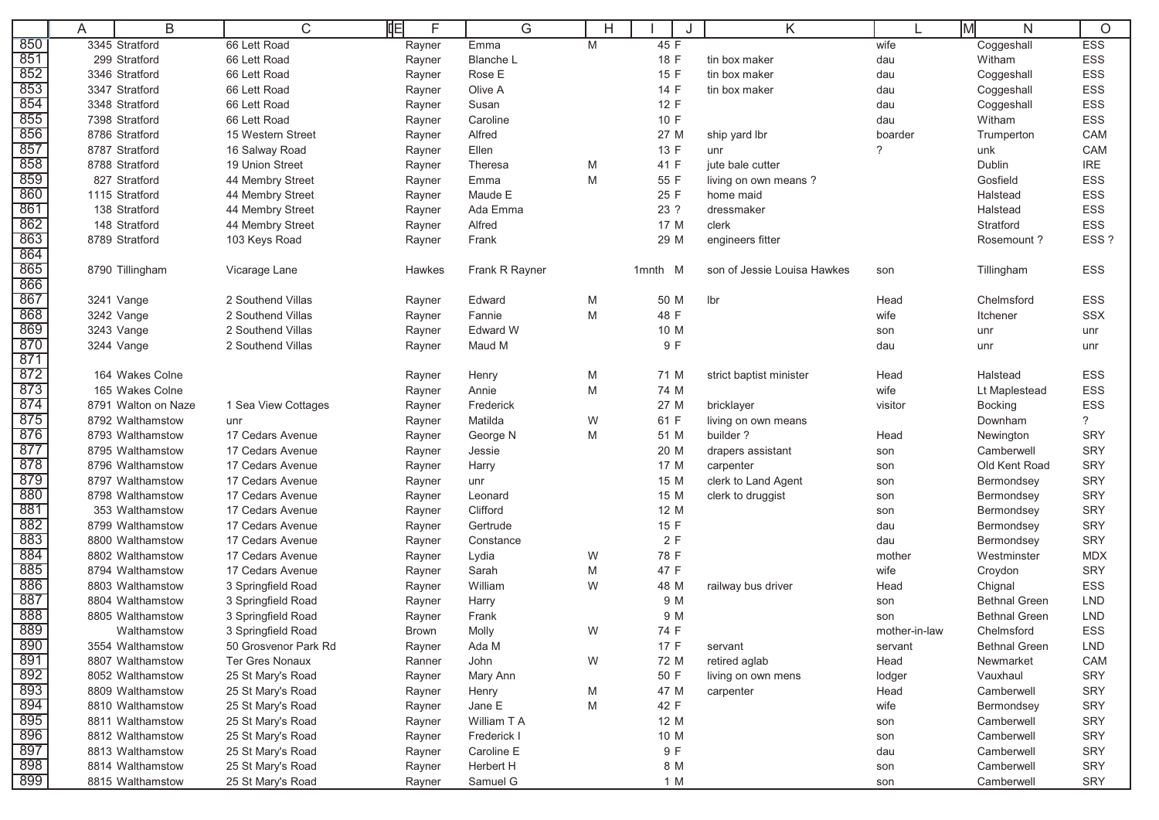|            | A | B                                   | C                                      | 咱<br>F                 | G                    | H      |              | K                           |                      | M<br>N                          | $\circ$                  |
|------------|---|-------------------------------------|----------------------------------------|------------------------|----------------------|--------|--------------|-----------------------------|----------------------|---------------------------------|--------------------------|
| 850        |   | 3345 Stratford                      | 66 Lett Road                           | Rayner                 | Emma                 | M      | 45 F         |                             | wife                 | Coggeshall                      | <b>ESS</b>               |
| 851        |   | 299 Stratford                       | 66 Lett Road                           | Rayner                 | <b>Blanche L</b>     |        | 18 F         | tin box maker               | dau                  | Witham                          | ESS                      |
| 852        |   | 3346 Stratford                      | 66 Lett Road                           | Rayner                 | Rose E               |        | 15 F         | tin box maker               | dau                  | Coggeshall                      | ESS                      |
| 853        |   | 3347 Stratford                      | 66 Lett Road                           | Rayner                 | Olive A              |        | 14 F         | tin box maker               | dau                  | Coggeshall                      | ESS                      |
| 854        |   | 3348 Stratford                      | 66 Lett Road                           | Rayner                 | Susan                |        | 12 F         |                             | dau                  | Coggeshall                      | ESS                      |
| 855        |   | 7398 Stratford                      | 66 Lett Road                           | Rayner                 | Caroline             |        | 10 F         |                             | dau                  | Witham                          | ESS                      |
| 856        |   | 8786 Stratford                      | 15 Western Street                      | Rayner                 | Alfred               |        | 27 M         | ship yard lbr               | boarder              | Trumperton                      | CAM                      |
| 857        |   | 8787 Stratford                      | 16 Salway Road                         | Rayner                 | Ellen                |        | 13 F         | unr                         | $\overline{?}$       | unk                             | CAM                      |
| 858        |   | 8788 Stratford                      | 19 Union Street                        | Rayner                 | Theresa              | M      | 41 F         | jute bale cutter            |                      | Dublin                          | <b>IRE</b>               |
| 859        |   | 827 Stratford                       | 44 Membry Street                       | Rayner                 | Emma                 | M      | 55 F         | living on own means?        |                      | Gosfield                        | ESS                      |
| 860        |   | 1115 Stratford                      | 44 Membry Street                       | Rayner                 | Maude E              |        | 25 F         | home maid                   |                      | Halstead                        | ESS                      |
| 861        |   | 138 Stratford                       | 44 Membry Street                       | Rayner                 | Ada Emma             |        | 23 ?         | dressmaker                  |                      | Halstead                        | <b>ESS</b>               |
| 862        |   | 148 Stratford                       | 44 Membry Street                       | Rayner                 | Alfred               |        | 17 M         | clerk                       |                      | Stratford                       | ESS                      |
| 863        |   | 8789 Stratford                      | 103 Keys Road                          | Rayner                 | Frank                |        | 29 M         | engineers fitter            |                      | Rosemount?                      | ESS?                     |
| 864        |   |                                     |                                        |                        |                      |        |              |                             |                      |                                 |                          |
| 865        |   | 8790 Tillingham                     | Vicarage Lane                          | Hawkes                 | Frank R Rayner       |        | 1mnth M      | son of Jessie Louisa Hawkes | son                  | Tillingham                      | ESS                      |
| 866        |   |                                     |                                        |                        |                      |        |              |                             |                      |                                 |                          |
| 867        |   | 3241 Vange                          | 2 Southend Villas                      | Rayner                 | Edward               | M      | 50 M         | lbr                         | Head                 | Chelmsford                      | ESS                      |
| 868        |   | 3242 Vange                          | 2 Southend Villas                      | Rayner                 | Fannie               | M      | 48 F         |                             | wife                 | Itchener                        | <b>SSX</b>               |
| 869        |   | 3243 Vange                          | 2 Southend Villas                      | Rayner                 | <b>Edward W</b>      |        | 10 M         |                             | son                  | unr                             | unr                      |
| 870        |   | 3244 Vange                          | 2 Southend Villas                      | Rayner                 | Maud M               |        | 9 F          |                             | dau                  | unr                             | unr                      |
| 871        |   |                                     |                                        |                        |                      |        |              |                             |                      |                                 |                          |
| 872        |   | 164 Wakes Colne                     |                                        | Rayner                 | Henry                | M      | 71 M         | strict baptist minister     | Head                 | Halstead                        | ESS                      |
| 873        |   | 165 Wakes Colne                     |                                        | Rayner                 | Annie                | M      | 74 M         |                             | wife                 | Lt Maplestead                   | ESS                      |
| 874        |   | 8791 Walton on Naze                 | 1 Sea View Cottages                    | Rayner                 | Frederick            |        | 27 M         | bricklayer                  | visitor              | <b>Bocking</b>                  | ESS                      |
| 875        |   | 8792 Walthamstow                    | unr                                    | Rayner                 | Matilda              | W      | 61 F         | living on own means         |                      | Downham                         | $\overline{?}$           |
| 876        |   | 8793 Walthamstow                    | 17 Cedars Avenue                       | Rayner                 | George N             | M      | 51 M         | builder?                    | Head                 | Newington                       | SRY                      |
| 877        |   | 8795 Walthamstow                    | 17 Cedars Avenue                       | Rayner                 | Jessie               |        | 20 M         | drapers assistant           | son                  | Camberwell                      | <b>SRY</b>               |
| 878        |   | 8796 Walthamstow                    | 17 Cedars Avenue                       | Rayner                 | Harry                |        | 17 M         | carpenter                   | son                  | Old Kent Road                   | <b>SRY</b>               |
| 879        |   | 8797 Walthamstow                    | 17 Cedars Avenue                       | Rayner                 | unr                  |        | 15 M         | clerk to Land Agent         | son                  | Bermondsey                      | <b>SRY</b>               |
| 880<br>881 |   | 8798 Walthamstow<br>353 Walthamstow | 17 Cedars Avenue                       | Rayner                 | Leonard              |        | 15 M         | clerk to druggist           | son                  | Bermondsey                      | <b>SRY</b>               |
| 882        |   | 8799 Walthamstow                    | 17 Cedars Avenue<br>17 Cedars Avenue   | Rayner                 | Clifford<br>Gertrude |        | 12 M<br>15 F |                             | son                  | Bermondsey                      | SRY<br><b>SRY</b>        |
| 883        |   | 8800 Walthamstow                    | 17 Cedars Avenue                       | Rayner                 |                      |        |              |                             | dau                  | Bermondsey                      |                          |
| 884        |   | 8802 Walthamstow                    | 17 Cedars Avenue                       | Rayner                 | Constance            |        | 2F<br>78 F   |                             | dau                  | Bermondsey                      | <b>SRY</b><br><b>MDX</b> |
| 885        |   | 8794 Walthamstow                    |                                        | Rayner                 | Lydia<br>Sarah       | W      | 47 F         |                             | mother               | Westminster                     |                          |
| 886        |   | 8803 Walthamstow                    | 17 Cedars Avenue<br>3 Springfield Road | Rayner                 | William              | M<br>W | 48 M         |                             | wife<br>Head         | Croydon                         | <b>SRY</b><br><b>ESS</b> |
| 887        |   | 8804 Walthamstow                    | 3 Springfield Road                     | Rayner                 | Harry                |        | 9 M          | railway bus driver          |                      | Chignal<br><b>Bethnal Green</b> | <b>LND</b>               |
| 888        |   | 8805 Walthamstow                    | 3 Springfield Road                     | Rayner                 | Frank                |        | 9 M          |                             | son                  | <b>Bethnal Green</b>            | <b>LND</b>               |
| 889        |   | Walthamstow                         | 3 Springfield Road                     | Rayner<br><b>Brown</b> |                      | W      | 74 F         |                             | son<br>mother-in-law | Chelmsford                      | ESS                      |
| 890        |   | 3554 Walthamstow                    | 50 Grosvenor Park Rd                   | Rayner                 | Molly<br>Ada M       |        | 17 F         | servant                     |                      | <b>Bethnal Green</b>            | <b>LND</b>               |
| 891        |   | 8807 Walthamstow                    | <b>Ter Gres Nonaux</b>                 | Ranner                 | John                 | W      | 72 M         | retired aglab               | servant<br>Head      | Newmarket                       | CAM                      |
| 892        |   | 8052 Walthamstow                    | 25 St Mary's Road                      | Rayner                 | Mary Ann             |        | 50 F         | living on own mens          | lodger               | Vauxhaul                        | SRY                      |
| 893        |   | 8809 Walthamstow                    | 25 St Mary's Road                      | Rayner                 | Henry                | M      | 47 M         | carpenter                   | Head                 | Camberwell                      | <b>SRY</b>               |
| 894        |   | 8810 Walthamstow                    | 25 St Mary's Road                      | Rayner                 | Jane E               | M      | 42 F         |                             | wife                 | Bermondsey                      | <b>SRY</b>               |
| 895        |   | 8811 Walthamstow                    | 25 St Mary's Road                      | Rayner                 | William T A          |        | 12 M         |                             | son                  | Camberwell                      | SRY                      |
| 896        |   | 8812 Walthamstow                    | 25 St Mary's Road                      | Rayner                 | Frederick I          |        | 10 M         |                             | son                  | Camberwell                      | SRY                      |
| 897        |   | 8813 Walthamstow                    | 25 St Mary's Road                      | Rayner                 | Caroline E           |        | 9 F          |                             | dau                  | Camberwell                      | SRY                      |
| 898        |   | 8814 Walthamstow                    | 25 St Mary's Road                      | Rayner                 | Herbert H            |        | 8 M          |                             | son                  | Camberwell                      | SRY                      |
| 899        |   | 8815 Walthamstow                    | 25 St Mary's Road                      | Rayner                 | Samuel G             |        | 1 M          |                             | son                  | Camberwell                      | SRY                      |
|            |   |                                     |                                        |                        |                      |        |              |                             |                      |                                 |                          |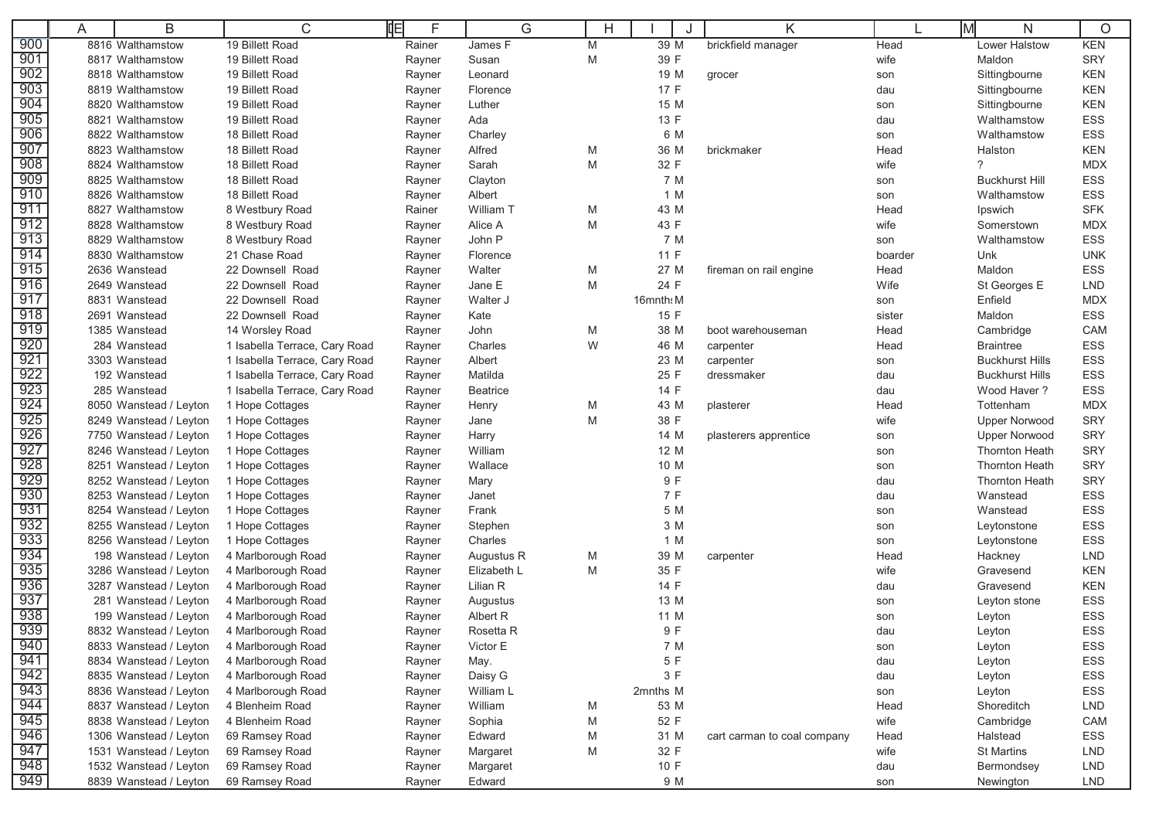|                   | A | B                      | C                             | 咱<br>F | G                  | Η |           | K                           |         | Iм<br>N                | $\circ$    |
|-------------------|---|------------------------|-------------------------------|--------|--------------------|---|-----------|-----------------------------|---------|------------------------|------------|
| 900               |   | 8816 Walthamstow       | 19 Billett Road               | Rainer | James <sub>F</sub> | M | 39 M      | brickfield manager          | Head    | Lower Halstow          | <b>KEN</b> |
| 901               |   | 8817 Walthamstow       | 19 Billett Road               | Rayner | Susan              | M | 39 F      |                             | wife    | Maldon                 | <b>SRY</b> |
| 902               |   | 8818 Walthamstow       | 19 Billett Road               | Rayner | Leonard            |   | 19 M      | grocer                      | son     | Sittingbourne          | <b>KEN</b> |
| 903               |   | 8819 Walthamstow       | 19 Billett Road               | Rayner | Florence           |   | 17 F      |                             | dau     | Sittingbourne          | <b>KEN</b> |
| 904               |   | 8820 Walthamstow       | 19 Billett Road               | Rayner | Luther             |   | 15 M      |                             | son     | Sittingbourne          | <b>KEN</b> |
| 905               |   | 8821 Walthamstow       | 19 Billett Road               | Rayner | Ada                |   | 13 F      |                             | dau     | Walthamstow            | ESS        |
| 906               |   | 8822 Walthamstow       | 18 Billett Road               | Rayner | Charley            |   | 6 M       |                             | son     | Walthamstow            | <b>ESS</b> |
| 907               |   | 8823 Walthamstow       | 18 Billett Road               | Rayner | Alfred             | M | 36 M      | brickmaker                  | Head    | Halston                | <b>KEN</b> |
| 908               |   | 8824 Walthamstow       | 18 Billett Road               | Rayner | Sarah              | M | 32 F      |                             | wife    | $\gamma$               | MDX        |
| 909               |   | 8825 Walthamstow       | 18 Billett Road               | Rayner | Clayton            |   | 7 M       |                             | son     | <b>Buckhurst Hill</b>  | ESS        |
| 910               |   | 8826 Walthamstow       | 18 Billett Road               | Rayner | Albert             |   | 1 M       |                             | son     | Walthamstow            | ESS        |
| 911               |   | 8827 Walthamstow       | 8 Westbury Road               | Rainer | William T          | M | 43 M      |                             | Head    | Ipswich                | <b>SFK</b> |
| 912               |   | 8828 Walthamstow       | 8 Westbury Road               | Rayner | Alice A            | M | 43 F      |                             | wife    | Somerstown             | <b>MDX</b> |
| 913               |   | 8829 Walthamstow       | 8 Westbury Road               | Rayner | John P             |   | 7 M       |                             | son     | Walthamstow            | <b>ESS</b> |
| 914               |   | 8830 Walthamstow       | 21 Chase Road                 | Rayner | Florence           |   | 11 F      |                             | boarder | Unk                    | <b>UNK</b> |
| 915               |   | 2636 Wanstead          | 22 Downsell Road              | Rayner | Walter             | M | 27 M      | fireman on rail engine      | Head    | Maldon                 | <b>ESS</b> |
| 916               |   | 2649 Wanstead          | 22 Downsell Road              | Rayner | Jane E             | M | 24 F      |                             | Wife    | St Georges E           | <b>LND</b> |
| 917               |   | 8831 Wanstead          | 22 Downsell Road              | Rayner | Walter J           |   | 16mnth: M |                             | son     | Enfield                | <b>MDX</b> |
| 918               |   | 2691 Wanstead          | 22 Downsell Road              | Rayner | Kate               |   | 15 F      |                             | sister  | Maldon                 | ESS        |
| 919               |   | 1385 Wanstead          | 14 Worsley Road               | Rayner | John               | M | 38 M      | boot warehouseman           | Head    | Cambridge              | CAM        |
| 920               |   | 284 Wanstead           | 1 Isabella Terrace, Cary Road | Rayner | Charles            | W | 46 M      | carpenter                   | Head    | <b>Braintree</b>       | ESS        |
| 921               |   | 3303 Wanstead          | 1 Isabella Terrace, Cary Road | Rayner | Albert             |   | 23 M      | carpenter                   | son     | <b>Buckhurst Hills</b> | ESS        |
| 922               |   | 192 Wanstead           | 1 Isabella Terrace, Cary Road | Rayner | Matilda            |   | 25 F      | dressmaker                  | dau     | <b>Buckhurst Hills</b> | ESS        |
| 923               |   | 285 Wanstead           | 1 Isabella Terrace, Cary Road | Rayner | Beatrice           |   | 14 F      |                             | dau     | Wood Haver?            | <b>ESS</b> |
| 924               |   | 8050 Wanstead / Leyton | 1 Hope Cottages               | Rayner | Henry              | M | 43 M      | plasterer                   | Head    | Tottenham              | <b>MDX</b> |
| 925               |   | 8249 Wanstead / Leyton | 1 Hope Cottages               | Rayner | Jane               | M | 38 F      |                             | wife    | <b>Upper Norwood</b>   | <b>SRY</b> |
| 926               |   | 7750 Wanstead / Leyton | 1 Hope Cottages               | Rayner | Harry              |   | 14 M      | plasterers apprentice       | son     | <b>Upper Norwood</b>   | <b>SRY</b> |
| 927               |   | 8246 Wanstead / Leyton | 1 Hope Cottages               | Rayner | William            |   | 12 M      |                             | son     | <b>Thornton Heath</b>  | <b>SRY</b> |
| 928               |   | 8251 Wanstead / Leyton | 1 Hope Cottages               | Rayner | Wallace            |   | 10 M      |                             | son     | <b>Thornton Heath</b>  | <b>SRY</b> |
| 929               |   | 8252 Wanstead / Leyton | 1 Hope Cottages               | Rayner | Mary               |   | 9 F       |                             | dau     | <b>Thornton Heath</b>  | <b>SRY</b> |
| 930               |   | 8253 Wanstead / Leyton | 1 Hope Cottages               | Rayner | Janet              |   | 7 F       |                             | dau     | Wanstead               | ESS        |
| 931               |   | 8254 Wanstead / Leyton | 1 Hope Cottages               | Rayner | Frank              |   | 5 M       |                             | son     | Wanstead               | ESS        |
| 932               |   | 8255 Wanstead / Leyton | 1 Hope Cottages               | Rayner | Stephen            |   | 3 M       |                             | son     | Leytonstone            | ESS        |
| 933               |   | 8256 Wanstead / Leyton | 1 Hope Cottages               | Rayner | Charles            |   | 1 M       |                             | son     | Leytonstone            | ESS        |
| 934               |   | 198 Wanstead / Leyton  | 4 Marlborough Road            | Rayner | Augustus R         | M | 39 M      | carpenter                   | Head    | Hackney                | <b>LND</b> |
| 935               |   | 3286 Wanstead / Leyton | 4 Marlborough Road            | Rayner | Elizabeth L        | M | 35 F      |                             | wife    | Gravesend              | <b>KEN</b> |
| 936               |   | 3287 Wanstead / Leyton | 4 Marlborough Road            | Rayner | Lilian R           |   | 14 F      |                             | dau     | Gravesend              | <b>KEN</b> |
| 937               |   | 281 Wanstead / Leyton  | 4 Marlborough Road            | Rayner | Augustus           |   | 13 M      |                             | son     | Leyton stone           | ESS        |
| 938               |   | 199 Wanstead / Leyton  | 4 Marlborough Road            | Rayner | Albert R           |   | 11 M      |                             | son     | Leyton                 | ESS        |
| 939               |   | 8832 Wanstead / Leyton | 4 Marlborough Road            | Rayner | Rosetta R          |   | 9 F       |                             | dau     | Leyton                 | <b>ESS</b> |
| 940               |   | 8833 Wanstead / Leyton | 4 Marlborough Road            | Rayner | Victor E           |   | 7 M       |                             | son     | Leyton                 | ESS        |
| 941               |   | 8834 Wanstead / Leyton | 4 Marlborough Road            | Rayner | May.               |   | 5 F       |                             | dau     | Leyton                 | ESS        |
| 942               |   | 8835 Wanstead / Leyton | 4 Marlborough Road            | Rayner | Daisy G            |   | 3 F       |                             | dau     | Leyton                 | ESS        |
| $\frac{943}{944}$ |   | 8836 Wanstead / Leyton | 4 Marlborough Road            | Rayner | William L          |   | 2mnths M  |                             | son     | Leyton                 | ESS        |
|                   |   | 8837 Wanstead / Leyton | 4 Blenheim Road               | Rayner | William            | M | 53 M      |                             | Head    | Shoreditch             | <b>LND</b> |
| 945               |   | 8838 Wanstead / Leyton | 4 Blenheim Road               | Rayner | Sophia             | M | 52 F      |                             | wife    | Cambridge              | CAM        |
| 946               |   | 1306 Wanstead / Leyton | 69 Ramsey Road                | Rayner | Edward             | M | 31 M      | cart carman to coal company | Head    | Halstead               | ESS        |
| 947               |   | 1531 Wanstead / Leyton | 69 Ramsey Road                | Rayner | Margaret           | M | 32 F      |                             | wife    | <b>St Martins</b>      | <b>LND</b> |
| 948               |   | 1532 Wanstead / Leyton | 69 Ramsey Road                | Rayner | Margaret           |   | 10 F      |                             | dau     | Bermondsey             | <b>LND</b> |
| 949               |   | 8839 Wanstead / Leyton | 69 Ramsey Road                | Rayner | Edward             |   | 9 M       |                             | son     | Newington              | LND        |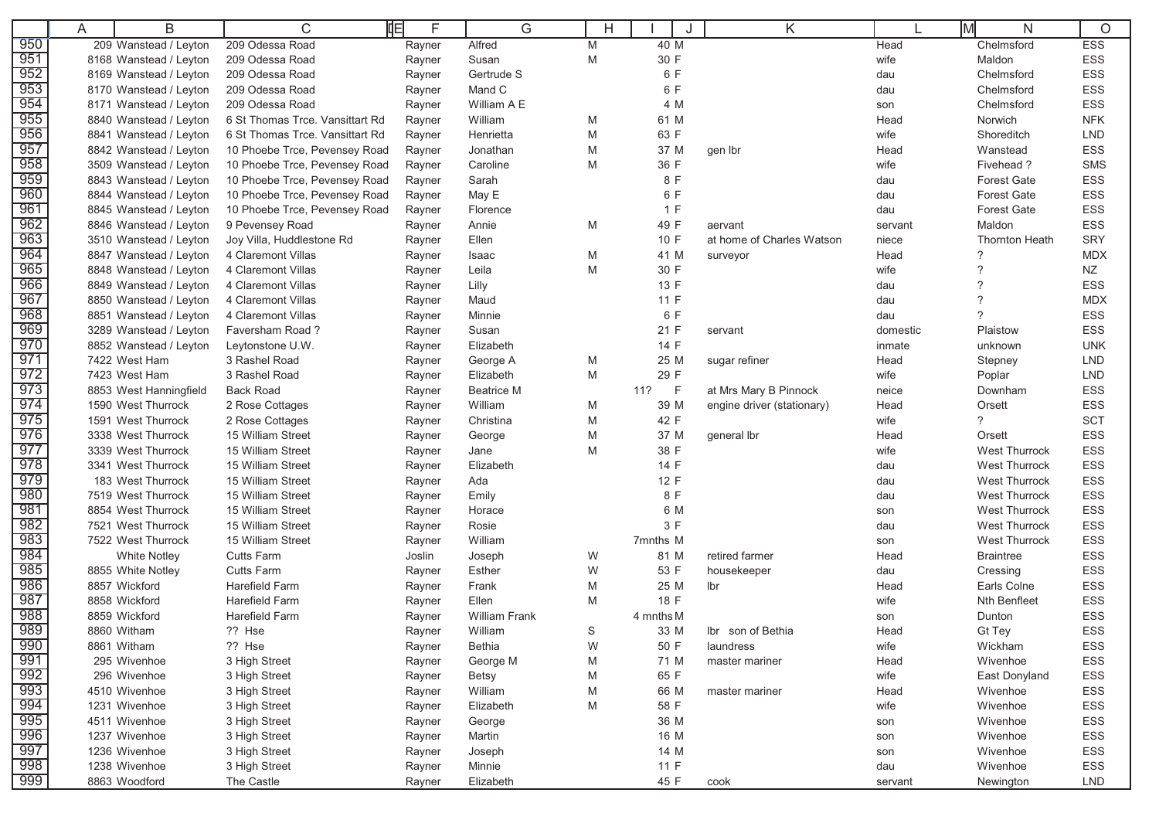|            | Α | B                      | C                               | 咱<br>F | G                    |   |             | J | Κ                          |          | lМ<br>N               | $\circ$    |
|------------|---|------------------------|---------------------------------|--------|----------------------|---|-------------|---|----------------------------|----------|-----------------------|------------|
| 950        |   | 209 Wanstead / Leyton  | 209 Odessa Road                 | Rayner | Alfred               | M | 40 M        |   |                            | Head     | Chelmsford            | <b>ESS</b> |
| 951        |   | 8168 Wanstead / Leyton | 209 Odessa Road                 | Rayner | Susan                | M | 30 F        |   |                            | wife     | Maldon                | ESS        |
| 952        |   | 8169 Wanstead / Leyton | 209 Odessa Road                 | Rayner | Gertrude S           |   | 6 F         |   |                            | dau      | Chelmsford            | <b>ESS</b> |
| 953        |   | 8170 Wanstead / Leyton | 209 Odessa Road                 | Rayner | Mand C               |   | 6 F         |   |                            | dau      | Chelmsford            | ESS        |
| 954        |   | 8171 Wanstead / Leyton | 209 Odessa Road                 | Rayner | William A E          |   | 4 M         |   |                            | son      | Chelmsford            | ESS        |
| 955        |   | 8840 Wanstead / Leyton | 6 St Thomas Trce, Vansittart Rd | Rayner | William              | M | 61 M        |   |                            | Head     | Norwich               | <b>NFK</b> |
| 956        |   | 8841 Wanstead / Leyton | 6 St Thomas Trce. Vansittart Rd | Rayner | Henrietta            | M | 63 F        |   |                            | wife     | Shoreditch            | <b>LND</b> |
| 957        |   | 8842 Wanstead / Leyton | 10 Phoebe Trce, Pevensey Road   | Rayner | Jonathan             | M | 37 M        |   | gen Ibr                    | Head     | Wanstead              | ESS        |
| 958        |   | 3509 Wanstead / Leyton | 10 Phoebe Trce, Pevensey Road   | Rayner | Caroline             | M | 36 F        |   |                            | wife     | Fivehead?             | <b>SMS</b> |
| 959        |   | 8843 Wanstead / Leyton | 10 Phoebe Trce, Pevensey Road   | Rayner | Sarah                |   | 8 F         |   |                            | dau      | <b>Forest Gate</b>    | <b>ESS</b> |
| 960        |   | 8844 Wanstead / Leyton | 10 Phoebe Trce, Pevensey Road   | Rayner | May E                |   | 6 F         |   |                            | dau      | <b>Forest Gate</b>    | ESS        |
| 961        |   | 8845 Wanstead / Leyton | 10 Phoebe Trce, Pevensey Road   | Rayner | Florence             |   | 1 F         |   |                            | dau      | <b>Forest Gate</b>    | <b>ESS</b> |
| 962        |   | 8846 Wanstead / Leyton | 9 Pevensey Road                 | Rayner | Annie                | M | 49 F        |   | aervant                    | servant  | Maldon                | <b>ESS</b> |
| 963        |   | 3510 Wanstead / Leyton | Joy Villa, Huddlestone Rd       | Rayner | Ellen                |   | 10 F        |   | at home of Charles Watson  | niece    | <b>Thornton Heath</b> | <b>SRY</b> |
| 964        |   | 8847 Wanstead / Leyton | 4 Claremont Villas              | Rayner | Isaac                | M | 41 M        |   | surveyor                   | Head     | $\gamma$              | <b>MDX</b> |
| 965        |   | 8848 Wanstead / Leyton | 4 Claremont Villas              | Rayner | Leila                | M | 30 F        |   |                            | wife     | $\mathcal{P}$         | <b>NZ</b>  |
| 966        |   | 8849 Wanstead / Leyton | 4 Claremont Villas              | Rayner | Lilly                |   | 13 F        |   |                            | dau      | $\mathcal{P}$         | ESS        |
| 967        |   | 8850 Wanstead / Leyton | 4 Claremont Villas              | Rayner | Maud                 |   | 11 F        |   |                            | dau      | $\gamma$              | <b>MDX</b> |
| 968        |   | 8851 Wanstead / Leyton | 4 Claremont Villas              | Rayner | Minnie               |   | 6 F         |   |                            | dau      | $\gamma$              | ESS        |
| 969        |   | 3289 Wanstead / Leyton | Faversham Road?                 | Rayner | Susan                |   | 21 F        |   | servant                    | domestic | Plaistow              | <b>ESS</b> |
| 970        |   | 8852 Wanstead / Leyton | Leytonstone U.W.                | Rayner | Elizabeth            |   | 14 F        |   |                            | inmate   | unknown               | <b>UNK</b> |
| 97         |   | 7422 West Ham          | 3 Rashel Road                   | Rayner | George A             | M | 25 M        |   | sugar refiner              | Head     | Stepney               | <b>LND</b> |
| 972        |   | 7423 West Ham          | 3 Rashel Road                   | Rayner | Elizabeth            | M | 29 F        |   |                            | wife     | Poplar                | <b>LND</b> |
| 973        |   | 8853 West Hanningfield | <b>Back Road</b>                | Rayner | <b>Beatrice M</b>    |   | 11?<br>$-F$ |   | at Mrs Mary B Pinnock      | neice    | Downham               | ESS        |
| 974        |   | 1590 West Thurrock     | 2 Rose Cottages                 | Rayner | William              | M | 39 M        |   | engine driver (stationary) | Head     | Orsett                | ESS        |
| 975        |   | 1591 West Thurrock     | 2 Rose Cottages                 | Rayner | Christina            | M | 42 F        |   |                            | wife     | $\gamma$              | <b>SCT</b> |
| 976        |   | 3338 West Thurrock     | 15 William Street               | Rayner | George               | M | 37 M        |   | general lbr                | Head     | Orsett                | <b>ESS</b> |
| 977        |   | 3339 West Thurrock     | 15 William Street               | Rayner | Jane                 | M | 38 F        |   |                            | wife     | <b>West Thurrock</b>  | ESS        |
| 978        |   | 3341 West Thurrock     | 15 William Street               | Rayner | Elizabeth            |   | 14 F        |   |                            | dau      | <b>West Thurrock</b>  | ESS        |
| 979        |   | 183 West Thurrock      | 15 William Street               | Rayner | Ada                  |   | 12 F        |   |                            | dau      | <b>West Thurrock</b>  | ESS        |
| 980        |   | 7519 West Thurrock     | 15 William Street               | Rayner | Emily                |   | 8 F         |   |                            | dau      | <b>West Thurrock</b>  | ESS        |
| 981        |   | 8854 West Thurrock     | 15 William Street               | Rayner | Horace               |   | 6 M         |   |                            | son      | <b>West Thurrock</b>  | ESS        |
| 982        |   | 7521 West Thurrock     | 15 William Street               | Rayner | Rosie                |   | 3 F         |   |                            | dau      | <b>West Thurrock</b>  | ESS        |
| 983        |   | 7522 West Thurrock     | 15 William Street               | Rayner | William              |   | 7mnths M    |   |                            | son      | <b>West Thurrock</b>  | <b>ESS</b> |
| 984        |   | <b>White Notley</b>    | <b>Cutts Farm</b>               | Joslin | Joseph               | W | 81 M        |   | retired farmer             | Head     | <b>Braintree</b>      | <b>ESS</b> |
| 985        |   | 8855 White Notley      | <b>Cutts Farm</b>               | Rayner | Esther               | W | 53 F        |   | housekeeper                | dau      | Cressing              | ESS        |
| 986        |   | 8857 Wickford          | <b>Harefield Farm</b>           | Rayner | Frank                | M | 25 M        |   | lbr                        | Head     | Earls Colne           | ESS        |
| 987        |   | 8858 Wickford          | <b>Harefield Farm</b>           | Rayner | Ellen                | M | 18 F        |   |                            | wife     | Nth Benfleet          | <b>ESS</b> |
| 988        |   | 8859 Wickford          | Harefield Farm                  | Rayner | <b>William Frank</b> |   | 4 mnths M   |   |                            | son      | Dunton                | <b>ESS</b> |
| 989        |   | 8860 Witham            | ?? Hse                          | Rayner | William              | S | 33 M        |   | Ibr son of Bethia          | Head     | Gt Tey                | <b>ESS</b> |
| 990        |   | 8861 Witham            | ?? Hse                          | Rayner | Bethia               | W | 50 F        |   | laundress                  | wife     | Wickham               | ESS        |
| 991        |   | 295 Wivenhoe           | 3 High Street                   | Rayner | George M             | M | 71 M        |   | master mariner             | Head     | Wivenhoe              | ESS        |
| 992        |   | 296 Wivenhoe           | 3 High Street                   | Rayner | <b>Betsy</b>         | M | 65 F        |   |                            | wife     | East Donyland         | ESS        |
| 993        |   | 4510 Wivenhoe          | 3 High Street                   | Rayner | William              | M | 66 M        |   | master mariner             | Head     | Wivenhoe              | ESS        |
| 994        |   | 1231 Wivenhoe          | 3 High Street                   | Rayner | Elizabeth            | M | 58 F        |   |                            | wife     | Wivenhoe              | ESS        |
| 995        |   | 4511 Wivenhoe          | 3 High Street                   | Rayner | George               |   | 36 M        |   |                            | son      | Wivenhoe              | ESS        |
| 996        |   | 1237 Wivenhoe          | 3 High Street                   | Rayner | Martin               |   | 16 M        |   |                            | son      | Wivenhoe              | ESS        |
| 997        |   | 1236 Wivenhoe          | 3 High Street                   | Rayner | Joseph               |   | 14 M        |   |                            | son      | Wivenhoe              | ESS        |
| 998<br>999 |   | 1238 Wivenhoe          | 3 High Street                   | Rayner | Minnie               |   | 11 F        |   |                            | dau      | Wivenhoe              | ESS        |
|            |   | 8863 Woodford          | The Castle                      | Rayner | Elizabeth            |   | 45 F        |   | cook                       | servant  | Newington             | <b>LND</b> |